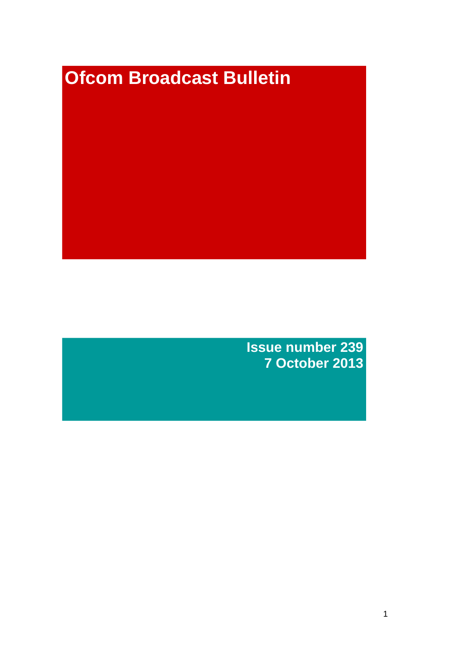# **Ofcom Broadcast Bulletin**

**Issue number 239 7 October 2013**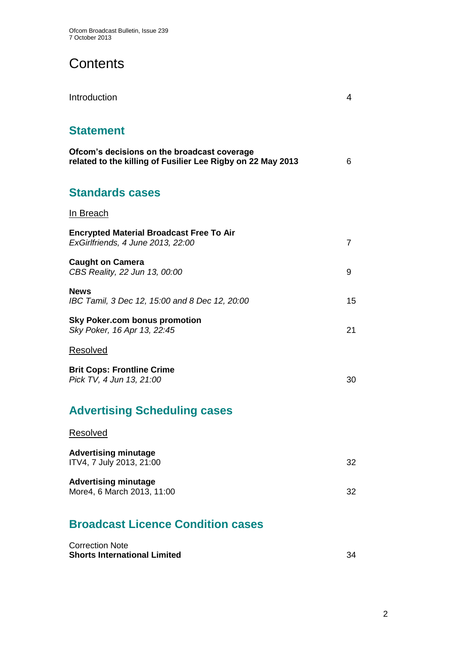# **Contents**

| Introduction                                                                                               | 4  |
|------------------------------------------------------------------------------------------------------------|----|
| <b>Statement</b>                                                                                           |    |
| Ofcom's decisions on the broadcast coverage<br>related to the killing of Fusilier Lee Rigby on 22 May 2013 | 6  |
| <b>Standards cases</b>                                                                                     |    |
| In Breach                                                                                                  |    |
| <b>Encrypted Material Broadcast Free To Air</b><br>ExGirlfriends, 4 June 2013, 22:00                       | 7  |
| <b>Caught on Camera</b><br>CBS Reality, 22 Jun 13, 00:00                                                   | 9  |
| <b>News</b><br>IBC Tamil, 3 Dec 12, 15:00 and 8 Dec 12, 20:00                                              | 15 |
| <b>Sky Poker.com bonus promotion</b><br>Sky Poker, 16 Apr 13, 22:45                                        | 21 |
| Resolved                                                                                                   |    |
| <b>Brit Cops: Frontline Crime</b><br>Pick TV, 4 Jun 13, 21:00                                              | 30 |
| <b>Advertising Scheduling cases</b>                                                                        |    |
| Resolved                                                                                                   |    |
| <b>Advertising minutage</b><br>ITV4, 7 July 2013, 21:00                                                    | 32 |
| <b>Advertising minutage</b><br>More4, 6 March 2013, 11:00                                                  | 32 |
| <b>Broadcast Licence Condition cases</b>                                                                   |    |

| <b>Correction Note</b>              |  |
|-------------------------------------|--|
| <b>Shorts International Limited</b> |  |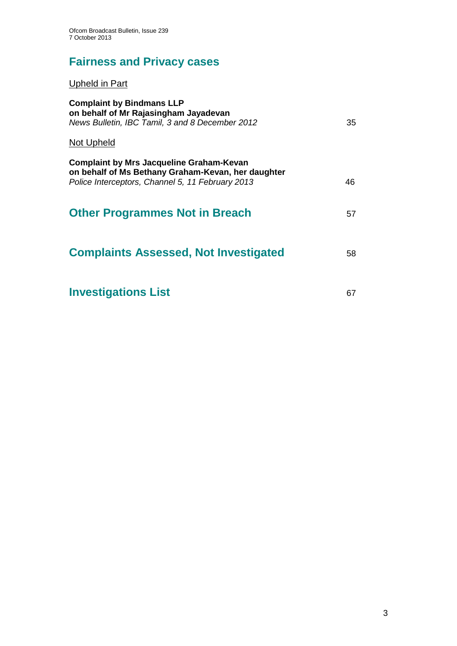# **Fairness and Privacy cases**

Upheld in Part

| <b>Complaint by Bindmans LLP</b><br>on behalf of Mr Rajasingham Jayadevan<br>News Bulletin, IBC Tamil, 3 and 8 December 2012                              | 35 |
|-----------------------------------------------------------------------------------------------------------------------------------------------------------|----|
| <b>Not Upheld</b>                                                                                                                                         |    |
| <b>Complaint by Mrs Jacqueline Graham-Kevan</b><br>on behalf of Ms Bethany Graham-Kevan, her daughter<br>Police Interceptors, Channel 5, 11 February 2013 | 46 |
| <b>Other Programmes Not in Breach</b>                                                                                                                     | 57 |
|                                                                                                                                                           |    |
| <b>Complaints Assessed, Not Investigated</b>                                                                                                              | 58 |
| <b>Investigations List</b>                                                                                                                                | 67 |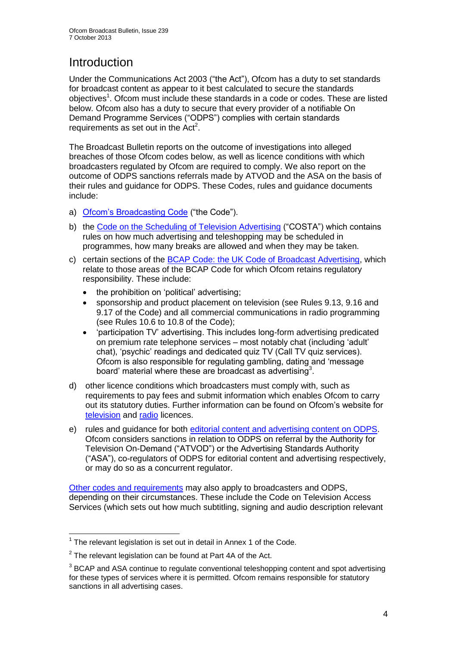# **Introduction**

Under the Communications Act 2003 ("the Act"), Ofcom has a duty to set standards for broadcast content as appear to it best calculated to secure the standards objectives<sup>1</sup>. Ofcom must include these standards in a code or codes. These are listed below. Ofcom also has a duty to secure that every provider of a notifiable On Demand Programme Services ("ODPS") complies with certain standards requirements as set out in the  $Act<sup>2</sup>$ .

The Broadcast Bulletin reports on the outcome of investigations into alleged breaches of those Ofcom codes below, as well as licence conditions with which broadcasters regulated by Ofcom are required to comply. We also report on the outcome of ODPS sanctions referrals made by ATVOD and the ASA on the basis of their rules and guidance for ODPS. These Codes, rules and guidance documents include:

- a) [Ofcom's Broadcasting Code](http://stakeholders.ofcom.org.uk/broadcasting/broadcast-codes/broadcast-code/) ("the Code").
- b) the [Code on the Scheduling of Television Advertising](http://stakeholders.ofcom.org.uk/broadcasting/broadcast-codes/advert-code/) ("COSTA") which contains rules on how much advertising and teleshopping may be scheduled in programmes, how many breaks are allowed and when they may be taken.
- c) certain sections of the [BCAP Code: the UK Code of Broadcast Advertising,](http://www.bcap.org.uk/Advertising-Codes/Broadcast-HTML.aspx) which relate to those areas of the BCAP Code for which Ofcom retains regulatory responsibility. These include:
	- the prohibition on 'political' advertising:
	- sponsorship and product placement on television (see Rules 9.13, 9.16 and 9.17 of the Code) and all commercial communications in radio programming (see Rules 10.6 to 10.8 of the Code);
	- 'participation TV' advertising. This includes long-form advertising predicated on premium rate telephone services – most notably chat (including 'adult' chat), 'psychic' readings and dedicated quiz TV (Call TV quiz services). Ofcom is also responsible for regulating gambling, dating and 'message board' material where these are broadcast as advertising<sup>3</sup>.
- d) other licence conditions which broadcasters must comply with, such as requirements to pay fees and submit information which enables Ofcom to carry out its statutory duties. Further information can be found on Ofcom's website for [television](http://licensing.ofcom.org.uk/tv-broadcast-licences/) and [radio](http://licensing.ofcom.org.uk/radio-broadcast-licensing/) licences.
- e) rules and guidance for both [editorial content and advertising content on ODPS.](http://www.atvod.co.uk/uploads/files/ATVOD_Rules_and_Guidance_Ed_2.0_May_2012.pdf) Ofcom considers sanctions in relation to ODPS on referral by the Authority for Television On-Demand ("ATVOD") or the Advertising Standards Authority ("ASA"), co-regulators of ODPS for editorial content and advertising respectively, or may do so as a concurrent regulator.

[Other codes and requirements](http://stakeholders.ofcom.org.uk/broadcasting/broadcast-codes/) may also apply to broadcasters and ODPS, depending on their circumstances. These include the Code on Television Access Services (which sets out how much subtitling, signing and audio description relevant

<sup>1</sup>  $1$  The relevant legislation is set out in detail in Annex 1 of the Code.

 $2$  The relevant legislation can be found at Part 4A of the Act.

 $3$  BCAP and ASA continue to regulate conventional teleshopping content and spot advertising for these types of services where it is permitted. Ofcom remains responsible for statutory sanctions in all advertising cases.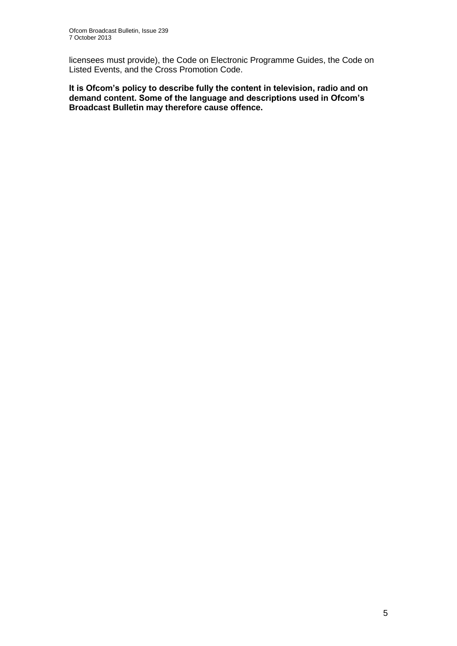licensees must provide), the Code on Electronic Programme Guides, the Code on Listed Events, and the Cross Promotion Code.

**It is Ofcom's policy to describe fully the content in television, radio and on demand content. Some of the language and descriptions used in Ofcom's Broadcast Bulletin may therefore cause offence.**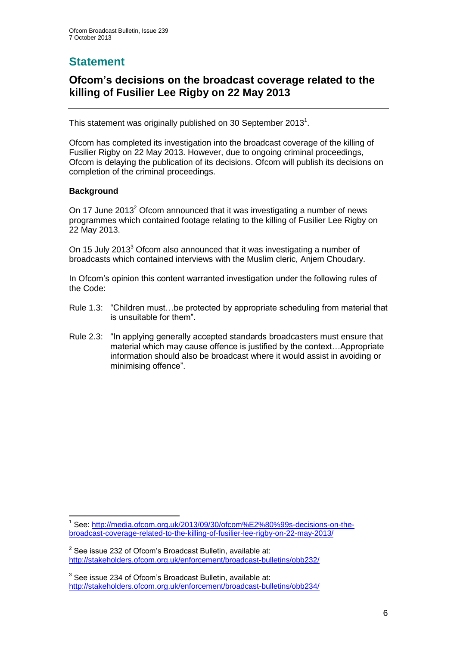# **Statement**

## **Ofcom's decisions on the broadcast coverage related to the killing of Fusilier Lee Rigby on 22 May 2013**

This statement was originally published on 30 September 2013<sup>1</sup>.

Ofcom has completed its investigation into the broadcast coverage of the killing of Fusilier Rigby on 22 May 2013. However, due to ongoing criminal proceedings, Ofcom is delaying the publication of its decisions. Ofcom will publish its decisions on completion of the criminal proceedings.

#### **Background**

On 17 June 2013<sup>2</sup> Ofcom announced that it was investigating a number of news programmes which contained footage relating to the killing of Fusilier Lee Rigby on 22 May 2013.

On 15 July 2013<sup>3</sup> Ofcom also announced that it was investigating a number of broadcasts which contained interviews with the Muslim cleric, Anjem Choudary.

In Ofcom's opinion this content warranted investigation under the following rules of the Code:

- Rule 1.3: "Children must…be protected by appropriate scheduling from material that is unsuitable for them".
- Rule 2.3: "In applying generally accepted standards broadcasters must ensure that material which may cause offence is justified by the context…Appropriate information should also be broadcast where it would assist in avoiding or minimising offence".

<sup>1</sup> 1 See: [http://media.ofcom.org.uk/2013/09/30/ofcom%E2%80%99s-decisions-on-the](http://media.ofcom.org.uk/2013/09/30/ofcom%E2%80%99s-decisions-on-the-broadcast-coverage-related-to-the-killing-of-fusilier-lee-rigby-on-22-may-2013/)[broadcast-coverage-related-to-the-killing-of-fusilier-lee-rigby-on-22-may-2013/](http://media.ofcom.org.uk/2013/09/30/ofcom%E2%80%99s-decisions-on-the-broadcast-coverage-related-to-the-killing-of-fusilier-lee-rigby-on-22-may-2013/)

 $2$  See issue 232 of Ofcom's Broadcast Bulletin, available at: <http://stakeholders.ofcom.org.uk/enforcement/broadcast-bulletins/obb232/>

 $3$  See issue 234 of Ofcom's Broadcast Bulletin, available at: <http://stakeholders.ofcom.org.uk/enforcement/broadcast-bulletins/obb234/>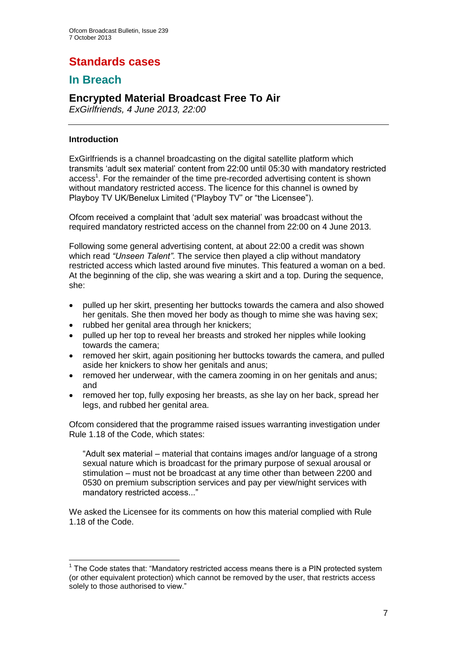# **Standards cases**

## **In Breach**

## **Encrypted Material Broadcast Free To Air**

*ExGirlfriends, 4 June 2013, 22:00*

#### **Introduction**

1

ExGirlfriends is a channel broadcasting on the digital satellite platform which transmits 'adult sex material' content from 22:00 until 05:30 with mandatory restricted access<sup>1</sup>. For the remainder of the time pre-recorded advertising content is shown without mandatory restricted access. The licence for this channel is owned by Playboy TV UK/Benelux Limited ("Playboy TV" or "the Licensee").

Ofcom received a complaint that 'adult sex material' was broadcast without the required mandatory restricted access on the channel from 22:00 on 4 June 2013.

Following some general advertising content, at about 22:00 a credit was shown which read *"Unseen Talent"*. The service then played a clip without mandatory restricted access which lasted around five minutes. This featured a woman on a bed. At the beginning of the clip, she was wearing a skirt and a top. During the sequence, she:

- pulled up her skirt, presenting her buttocks towards the camera and also showed her genitals. She then moved her body as though to mime she was having sex;
- rubbed her genital area through her knickers:
- pulled up her top to reveal her breasts and stroked her nipples while looking towards the camera;
- removed her skirt, again positioning her buttocks towards the camera, and pulled aside her knickers to show her genitals and anus;
- removed her underwear, with the camera zooming in on her genitals and anus; and
- removed her top, fully exposing her breasts, as she lay on her back, spread her legs, and rubbed her genital area.

Ofcom considered that the programme raised issues warranting investigation under Rule 1.18 of the Code, which states:

"Adult sex material – material that contains images and/or language of a strong sexual nature which is broadcast for the primary purpose of sexual arousal or stimulation – must not be broadcast at any time other than between 2200 and 0530 on premium subscription services and pay per view/night services with mandatory restricted access..."

We asked the Licensee for its comments on how this material complied with Rule 1.18 of the Code.

 $1$  The Code states that: "Mandatory restricted access means there is a PIN protected system (or other equivalent protection) which cannot be removed by the user, that restricts access solely to those authorised to view."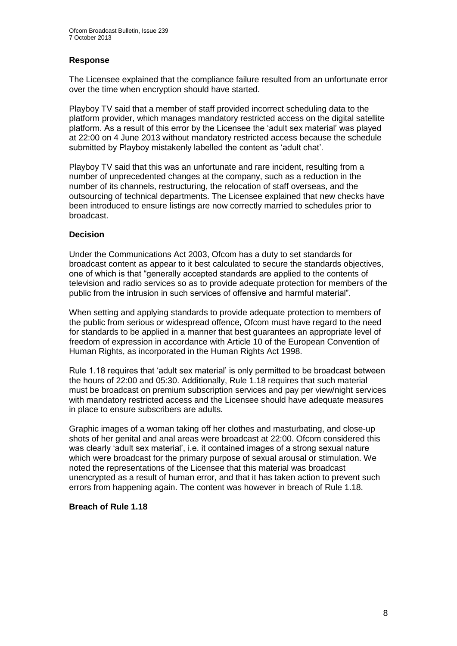#### **Response**

The Licensee explained that the compliance failure resulted from an unfortunate error over the time when encryption should have started.

Playboy TV said that a member of staff provided incorrect scheduling data to the platform provider, which manages mandatory restricted access on the digital satellite platform. As a result of this error by the Licensee the 'adult sex material' was played at 22:00 on 4 June 2013 without mandatory restricted access because the schedule submitted by Playboy mistakenly labelled the content as 'adult chat'.

Playboy TV said that this was an unfortunate and rare incident, resulting from a number of unprecedented changes at the company, such as a reduction in the number of its channels, restructuring, the relocation of staff overseas, and the outsourcing of technical departments. The Licensee explained that new checks have been introduced to ensure listings are now correctly married to schedules prior to broadcast.

#### **Decision**

Under the Communications Act 2003, Ofcom has a duty to set standards for broadcast content as appear to it best calculated to secure the standards objectives, one of which is that "generally accepted standards are applied to the contents of television and radio services so as to provide adequate protection for members of the public from the intrusion in such services of offensive and harmful material".

When setting and applying standards to provide adequate protection to members of the public from serious or widespread offence, Ofcom must have regard to the need for standards to be applied in a manner that best guarantees an appropriate level of freedom of expression in accordance with Article 10 of the European Convention of Human Rights, as incorporated in the Human Rights Act 1998.

Rule 1.18 requires that 'adult sex material' is only permitted to be broadcast between the hours of 22:00 and 05:30. Additionally, Rule 1.18 requires that such material must be broadcast on premium subscription services and pay per view/night services with mandatory restricted access and the Licensee should have adequate measures in place to ensure subscribers are adults.

Graphic images of a woman taking off her clothes and masturbating, and close-up shots of her genital and anal areas were broadcast at 22:00. Ofcom considered this was clearly 'adult sex material', i.e. it contained images of a strong sexual nature which were broadcast for the primary purpose of sexual arousal or stimulation. We noted the representations of the Licensee that this material was broadcast unencrypted as a result of human error, and that it has taken action to prevent such errors from happening again. The content was however in breach of Rule 1.18.

#### **Breach of Rule 1.18**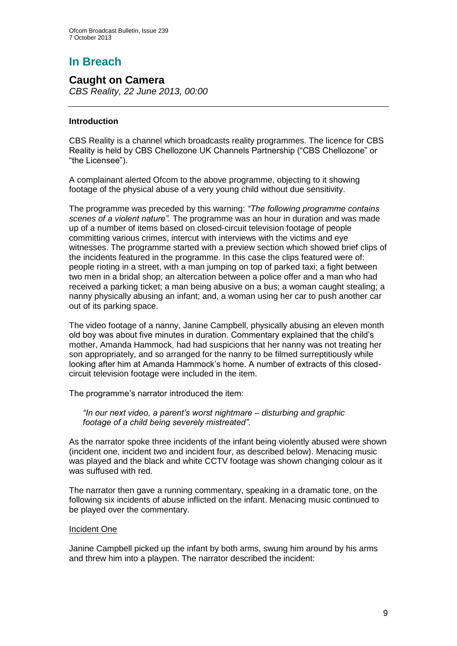# **In Breach**

## **Caught on Camera**

*CBS Reality, 22 June 2013, 00:00*

#### **Introduction**

CBS Reality is a channel which broadcasts reality programmes. The licence for CBS Reality is held by CBS Chellozone UK Channels Partnership ("CBS Chellozone" or "the Licensee").

A complainant alerted Ofcom to the above programme, objecting to it showing footage of the physical abuse of a very young child without due sensitivity.

The programme was preceded by this warning: *"The following programme contains scenes of a violent nature".* The programme was an hour in duration and was made up of a number of items based on closed-circuit television footage of people committing various crimes, intercut with interviews with the victims and eye witnesses. The programme started with a preview section which showed brief clips of the incidents featured in the programme. In this case the clips featured were of: people rioting in a street, with a man jumping on top of parked taxi; a fight between two men in a bridal shop; an altercation between a police offer and a man who had received a parking ticket; a man being abusive on a bus; a woman caught stealing; a nanny physically abusing an infant; and, a woman using her car to push another car out of its parking space.

The video footage of a nanny, Janine Campbell, physically abusing an eleven month old boy was about five minutes in duration. Commentary explained that the child's mother, Amanda Hammock, had had suspicions that her nanny was not treating her son appropriately, and so arranged for the nanny to be filmed surreptitiously while looking after him at Amanda Hammock's home. A number of extracts of this closedcircuit television footage were included in the item.

The programme's narrator introduced the item:

*"In our next video, a parent's worst nightmare – disturbing and graphic footage of a child being severely mistreated".*

As the narrator spoke three incidents of the infant being violently abused were shown (incident one, incident two and incident four, as described below). Menacing music was played and the black and white CCTV footage was shown changing colour as it was suffused with red.

The narrator then gave a running commentary, speaking in a dramatic tone, on the following six incidents of abuse inflicted on the infant. Menacing music continued to be played over the commentary.

#### Incident One

Janine Campbell picked up the infant by both arms, swung him around by his arms and threw him into a playpen. The narrator described the incident: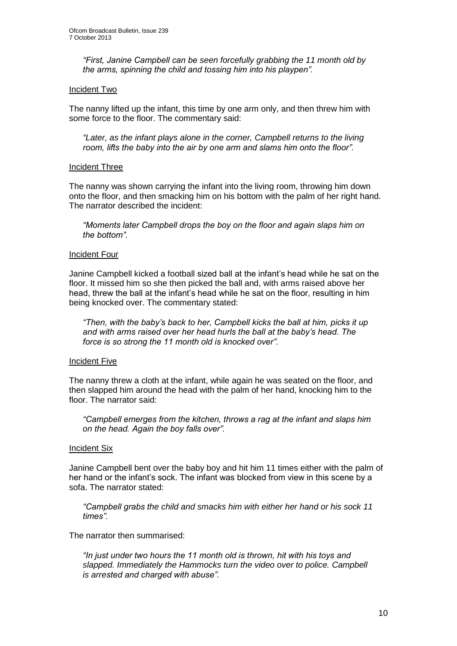*"First, Janine Campbell can be seen forcefully grabbing the 11 month old by the arms, spinning the child and tossing him into his playpen".*

#### Incident Two

The nanny lifted up the infant, this time by one arm only, and then threw him with some force to the floor. The commentary said:

*"Later, as the infant plays alone in the corner, Campbell returns to the living room, lifts the baby into the air by one arm and slams him onto the floor".*

#### Incident Three

The nanny was shown carrying the infant into the living room, throwing him down onto the floor, and then smacking him on his bottom with the palm of her right hand. The narrator described the incident:

*"Moments later Campbell drops the boy on the floor and again slaps him on the bottom".*

#### Incident Four

Janine Campbell kicked a football sized ball at the infant's head while he sat on the floor. It missed him so she then picked the ball and, with arms raised above her head, threw the ball at the infant's head while he sat on the floor, resulting in him being knocked over. The commentary stated:

*"Then, with the baby's back to her, Campbell kicks the ball at him, picks it up and with arms raised over her head hurls the ball at the baby's head. The force is so strong the 11 month old is knocked over".*

#### Incident Five

The nanny threw a cloth at the infant, while again he was seated on the floor, and then slapped him around the head with the palm of her hand, knocking him to the floor. The narrator said:

*"Campbell emerges from the kitchen, throws a rag at the infant and slaps him on the head. Again the boy falls over".* 

#### **Incident Six**

Janine Campbell bent over the baby boy and hit him 11 times either with the palm of her hand or the infant's sock. The infant was blocked from view in this scene by a sofa. The narrator stated:

*"Campbell grabs the child and smacks him with either her hand or his sock 11 times".*

The narrator then summarised:

*"In just under two hours the 11 month old is thrown, hit with his toys and slapped. Immediately the Hammocks turn the video over to police. Campbell is arrested and charged with abuse".*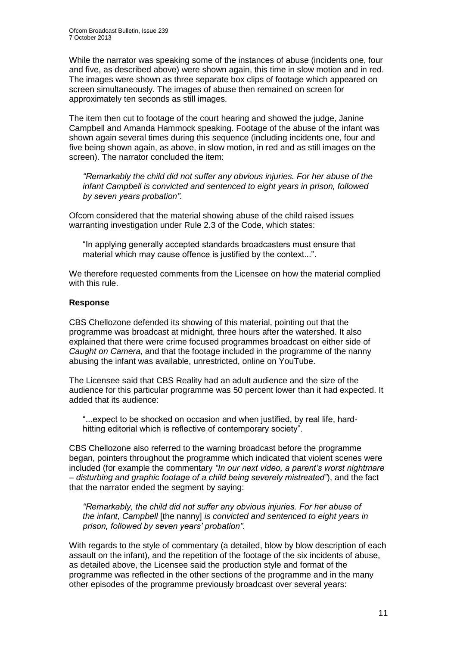While the narrator was speaking some of the instances of abuse (incidents one, four and five, as described above) were shown again, this time in slow motion and in red. The images were shown as three separate box clips of footage which appeared on screen simultaneously. The images of abuse then remained on screen for approximately ten seconds as still images.

The item then cut to footage of the court hearing and showed the judge, Janine Campbell and Amanda Hammock speaking. Footage of the abuse of the infant was shown again several times during this sequence (including incidents one, four and five being shown again, as above, in slow motion, in red and as still images on the screen). The narrator concluded the item:

*"Remarkably the child did not suffer any obvious injuries. For her abuse of the infant Campbell is convicted and sentenced to eight years in prison, followed by seven years probation".* 

Ofcom considered that the material showing abuse of the child raised issues warranting investigation under Rule 2.3 of the Code, which states:

"In applying generally accepted standards broadcasters must ensure that material which may cause offence is justified by the context...".

We therefore requested comments from the Licensee on how the material complied with this rule.

#### **Response**

CBS Chellozone defended its showing of this material, pointing out that the programme was broadcast at midnight, three hours after the watershed. It also explained that there were crime focused programmes broadcast on either side of *Caught on Camera*, and that the footage included in the programme of the nanny abusing the infant was available, unrestricted, online on YouTube.

The Licensee said that CBS Reality had an adult audience and the size of the audience for this particular programme was 50 percent lower than it had expected. It added that its audience:

"...expect to be shocked on occasion and when justified, by real life, hardhitting editorial which is reflective of contemporary society".

CBS Chellozone also referred to the warning broadcast before the programme began, pointers throughout the programme which indicated that violent scenes were included (for example the commentary *"In our next video, a parent's worst nightmare – disturbing and graphic footage of a child being severely mistreated"*), and the fact that the narrator ended the segment by saying:

*"Remarkably, the child did not suffer any obvious injuries. For her abuse of the infant, Campbell* [the nanny] *is convicted and sentenced to eight years in prison, followed by seven years' probation".* 

With regards to the style of commentary (a detailed, blow by blow description of each assault on the infant), and the repetition of the footage of the six incidents of abuse, as detailed above, the Licensee said the production style and format of the programme was reflected in the other sections of the programme and in the many other episodes of the programme previously broadcast over several years: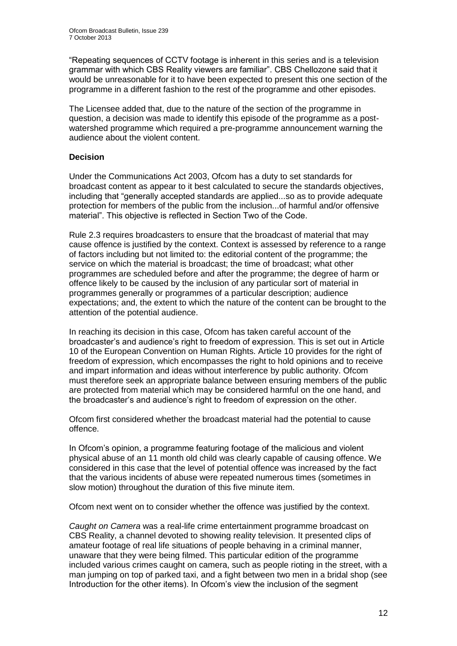"Repeating sequences of CCTV footage is inherent in this series and is a television grammar with which CBS Reality viewers are familiar". CBS Chellozone said that it would be unreasonable for it to have been expected to present this one section of the programme in a different fashion to the rest of the programme and other episodes.

The Licensee added that, due to the nature of the section of the programme in question, a decision was made to identify this episode of the programme as a postwatershed programme which required a pre-programme announcement warning the audience about the violent content.

#### **Decision**

Under the Communications Act 2003, Ofcom has a duty to set standards for broadcast content as appear to it best calculated to secure the standards objectives, including that "generally accepted standards are applied...so as to provide adequate protection for members of the public from the inclusion...of harmful and/or offensive material". This objective is reflected in Section Two of the Code.

Rule 2.3 requires broadcasters to ensure that the broadcast of material that may cause offence is justified by the context. Context is assessed by reference to a range of factors including but not limited to: the editorial content of the programme; the service on which the material is broadcast; the time of broadcast; what other programmes are scheduled before and after the programme; the degree of harm or offence likely to be caused by the inclusion of any particular sort of material in programmes generally or programmes of a particular description; audience expectations; and, the extent to which the nature of the content can be brought to the attention of the potential audience.

In reaching its decision in this case, Ofcom has taken careful account of the broadcaster's and audience's right to freedom of expression. This is set out in Article 10 of the European Convention on Human Rights. Article 10 provides for the right of freedom of expression, which encompasses the right to hold opinions and to receive and impart information and ideas without interference by public authority. Ofcom must therefore seek an appropriate balance between ensuring members of the public are protected from material which may be considered harmful on the one hand, and the broadcaster's and audience's right to freedom of expression on the other.

Ofcom first considered whether the broadcast material had the potential to cause offence.

In Ofcom's opinion, a programme featuring footage of the malicious and violent physical abuse of an 11 month old child was clearly capable of causing offence. We considered in this case that the level of potential offence was increased by the fact that the various incidents of abuse were repeated numerous times (sometimes in slow motion) throughout the duration of this five minute item.

Ofcom next went on to consider whether the offence was justified by the context.

*Caught on Camera* was a real-life crime entertainment programme broadcast on CBS Reality, a channel devoted to showing reality television. It presented clips of amateur footage of real life situations of people behaving in a criminal manner, unaware that they were being filmed. This particular edition of the programme included various crimes caught on camera, such as people rioting in the street, with a man jumping on top of parked taxi, and a fight between two men in a bridal shop (see Introduction for the other items). In Ofcom's view the inclusion of the segment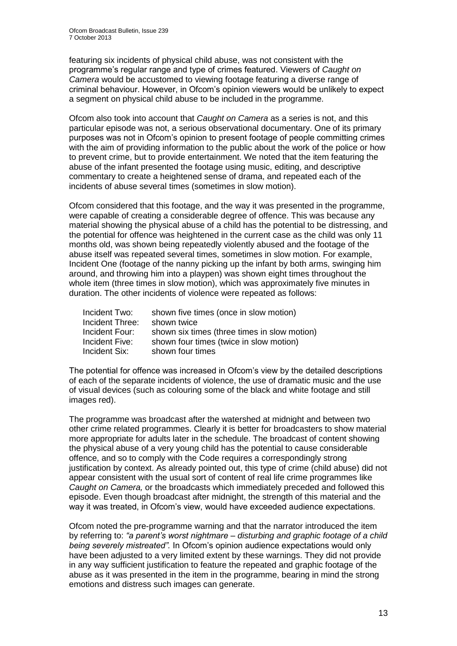featuring six incidents of physical child abuse, was not consistent with the programme's regular range and type of crimes featured. Viewers of *Caught on Camera* would be accustomed to viewing footage featuring a diverse range of criminal behaviour. However, in Ofcom's opinion viewers would be unlikely to expect a segment on physical child abuse to be included in the programme.

Ofcom also took into account that *Caught on Camera* as a series is not, and this particular episode was not, a serious observational documentary. One of its primary purposes was not in Ofcom's opinion to present footage of people committing crimes with the aim of providing information to the public about the work of the police or how to prevent crime, but to provide entertainment. We noted that the item featuring the abuse of the infant presented the footage using music, editing, and descriptive commentary to create a heightened sense of drama, and repeated each of the incidents of abuse several times (sometimes in slow motion).

Ofcom considered that this footage, and the way it was presented in the programme, were capable of creating a considerable degree of offence. This was because any material showing the physical abuse of a child has the potential to be distressing, and the potential for offence was heightened in the current case as the child was only 11 months old, was shown being repeatedly violently abused and the footage of the abuse itself was repeated several times, sometimes in slow motion. For example, Incident One (footage of the nanny picking up the infant by both arms, swinging him around, and throwing him into a playpen) was shown eight times throughout the whole item (three times in slow motion), which was approximately five minutes in duration. The other incidents of violence were repeated as follows:

| Incident Two:   | shown five times (once in slow motion)       |
|-----------------|----------------------------------------------|
| Incident Three: | shown twice                                  |
| Incident Four:  | shown six times (three times in slow motion) |
| Incident Five:  | shown four times (twice in slow motion)      |
| Incident Six:   | shown four times                             |

The potential for offence was increased in Ofcom's view by the detailed descriptions of each of the separate incidents of violence, the use of dramatic music and the use of visual devices (such as colouring some of the black and white footage and still images red).

The programme was broadcast after the watershed at midnight and between two other crime related programmes. Clearly it is better for broadcasters to show material more appropriate for adults later in the schedule. The broadcast of content showing the physical abuse of a very young child has the potential to cause considerable offence, and so to comply with the Code requires a correspondingly strong justification by context. As already pointed out, this type of crime (child abuse) did not appear consistent with the usual sort of content of real life crime programmes like *Caught on Camera,* or the broadcasts which immediately preceded and followed this episode. Even though broadcast after midnight, the strength of this material and the way it was treated, in Ofcom's view, would have exceeded audience expectations.

Ofcom noted the pre-programme warning and that the narrator introduced the item by referring to: *"a parent's worst nightmare – disturbing and graphic footage of a child being severely mistreated".* In Ofcom's opinion audience expectations would only have been adjusted to a very limited extent by these warnings. They did not provide in any way sufficient justification to feature the repeated and graphic footage of the abuse as it was presented in the item in the programme, bearing in mind the strong emotions and distress such images can generate.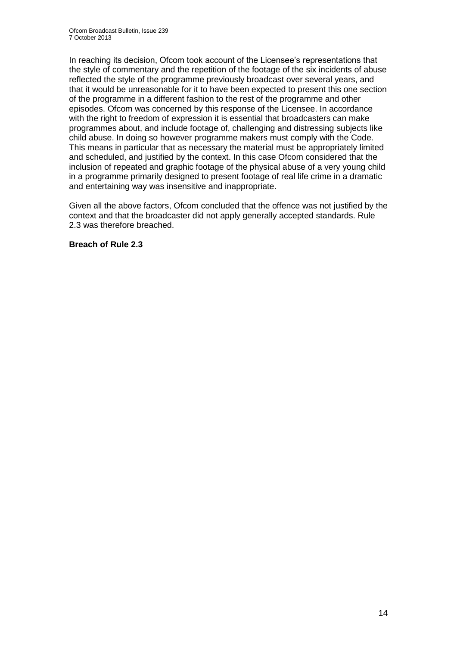In reaching its decision, Ofcom took account of the Licensee's representations that the style of commentary and the repetition of the footage of the six incidents of abuse reflected the style of the programme previously broadcast over several years, and that it would be unreasonable for it to have been expected to present this one section of the programme in a different fashion to the rest of the programme and other episodes. Ofcom was concerned by this response of the Licensee. In accordance with the right to freedom of expression it is essential that broadcasters can make programmes about, and include footage of, challenging and distressing subjects like child abuse. In doing so however programme makers must comply with the Code. This means in particular that as necessary the material must be appropriately limited and scheduled, and justified by the context. In this case Ofcom considered that the inclusion of repeated and graphic footage of the physical abuse of a very young child in a programme primarily designed to present footage of real life crime in a dramatic and entertaining way was insensitive and inappropriate.

Given all the above factors, Ofcom concluded that the offence was not justified by the context and that the broadcaster did not apply generally accepted standards. Rule 2.3 was therefore breached.

#### **Breach of Rule 2.3**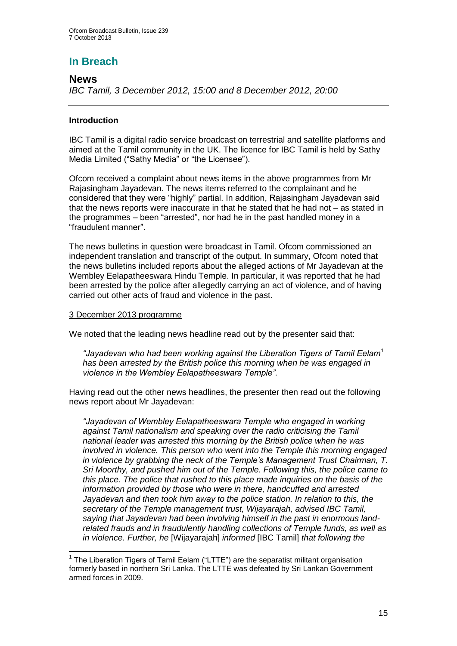## **In Breach**

#### **News**

*IBC Tamil, 3 December 2012, 15:00 and 8 December 2012, 20:00* 

#### **Introduction**

IBC Tamil is a digital radio service broadcast on terrestrial and satellite platforms and aimed at the Tamil community in the UK. The licence for IBC Tamil is held by Sathy Media Limited ("Sathy Media" or "the Licensee").

Ofcom received a complaint about news items in the above programmes from Mr Rajasingham Jayadevan. The news items referred to the complainant and he considered that they were "highly" partial. In addition, Rajasingham Jayadevan said that the news reports were inaccurate in that he stated that he had not – as stated in the programmes – been "arrested", nor had he in the past handled money in a "fraudulent manner".

The news bulletins in question were broadcast in Tamil. Ofcom commissioned an independent translation and transcript of the output. In summary, Ofcom noted that the news bulletins included reports about the alleged actions of Mr Jayadevan at the Wembley Eelapatheeswara Hindu Temple. In particular, it was reported that he had been arrested by the police after allegedly carrying an act of violence, and of having carried out other acts of fraud and violence in the past.

#### 3 December 2013 programme

We noted that the leading news headline read out by the presenter said that:

*"Jayadevan who had been working against the Liberation Tigers of Tamil Eelam*<sup>1</sup> *has been arrested by the British police this morning when he was engaged in violence in the Wembley Eelapatheeswara Temple"*.

Having read out the other news headlines, the presenter then read out the following news report about Mr Jayadevan:

*"Jayadevan of Wembley Eelapatheeswara Temple who engaged in working against Tamil nationalism and speaking over the radio criticising the Tamil national leader was arrested this morning by the British police when he was involved in violence. This person who went into the Temple this morning engaged in violence by grabbing the neck of the Temple's Management Trust Chairman, T. Sri Moorthy, and pushed him out of the Temple. Following this, the police came to this place. The police that rushed to this place made inquiries on the basis of the information provided by those who were in there, handcuffed and arrested Jayadevan and then took him away to the police station. In relation to this, the secretary of the Temple management trust, Wijayarajah, advised IBC Tamil, saying that Jayadevan had been involving himself in the past in enormous landrelated frauds and in fraudulently handling collections of Temple funds, as well as in violence. Further, he* [Wijayarajah] *informed* [IBC Tamil] *that following the* 

<sup>1</sup> <sup>1</sup> The Liberation Tigers of Tamil Eelam ("LTTE") are the separatist militant organisation formerly based in northern Sri Lanka. The LTTE was defeated by Sri Lankan Government armed forces in 2009.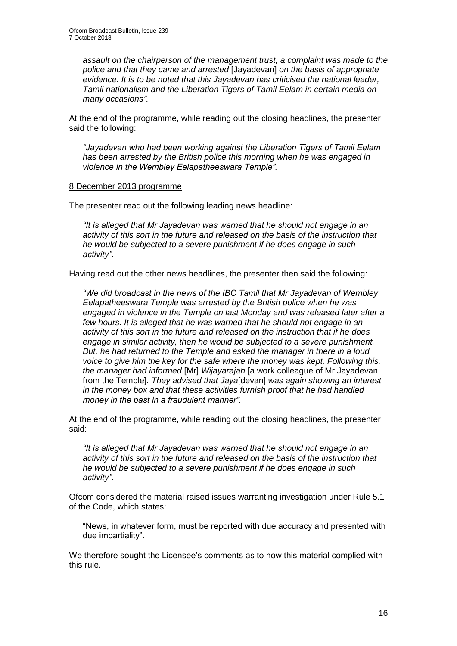*assault on the chairperson of the management trust, a complaint was made to the police and that they came and arrested* [Jayadevan] *on the basis of appropriate evidence. It is to be noted that this Jayadevan has criticised the national leader, Tamil nationalism and the Liberation Tigers of Tamil Eelam in certain media on many occasions".* 

At the end of the programme, while reading out the closing headlines, the presenter said the following:

*"Jayadevan who had been working against the Liberation Tigers of Tamil Eelam has been arrested by the British police this morning when he was engaged in violence in the Wembley Eelapatheeswara Temple".*

#### 8 December 2013 programme

The presenter read out the following leading news headline:

*"It is alleged that Mr Jayadevan was warned that he should not engage in an activity of this sort in the future and released on the basis of the instruction that he would be subjected to a severe punishment if he does engage in such activity"*.

Having read out the other news headlines, the presenter then said the following:

*"We did broadcast in the news of the IBC Tamil that Mr Jayadevan of Wembley Eelapatheeswara Temple was arrested by the British police when he was engaged in violence in the Temple on last Monday and was released later after a few hours. It is alleged that he was warned that he should not engage in an activity of this sort in the future and released on the instruction that if he does engage in similar activity, then he would be subjected to a severe punishment. But, he had returned to the Temple and asked the manager in there in a loud voice to give him the key for the safe where the money was kept. Following this, the manager had informed* [Mr] *Wijayarajah* [a work colleague of Mr Jayadevan from the Temple]*. They advised that Jaya*[devan] *was again showing an interest in the money box and that these activities furnish proof that he had handled money in the past in a fraudulent manner".*

At the end of the programme, while reading out the closing headlines, the presenter said:

*"It is alleged that Mr Jayadevan was warned that he should not engage in an activity of this sort in the future and released on the basis of the instruction that he would be subjected to a severe punishment if he does engage in such activity"*.

Ofcom considered the material raised issues warranting investigation under Rule 5.1 of the Code, which states:

"News, in whatever form, must be reported with due accuracy and presented with due impartiality".

We therefore sought the Licensee's comments as to how this material complied with this rule.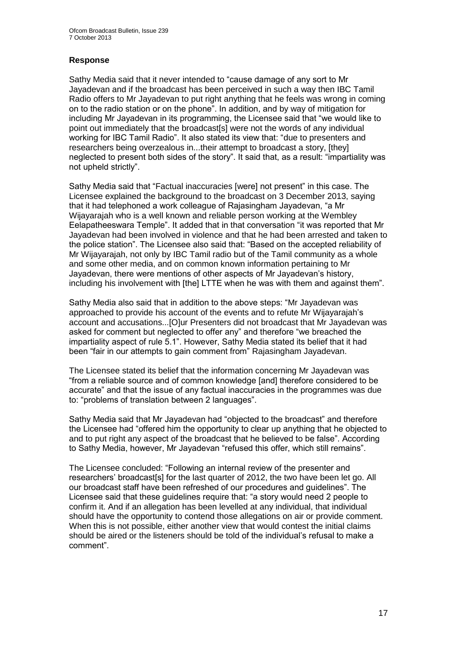#### **Response**

Sathy Media said that it never intended to "cause damage of any sort to Mr Jayadevan and if the broadcast has been perceived in such a way then IBC Tamil Radio offers to Mr Jayadevan to put right anything that he feels was wrong in coming on to the radio station or on the phone". In addition, and by way of mitigation for including Mr Jayadevan in its programming, the Licensee said that "we would like to point out immediately that the broadcast[s] were not the words of any individual working for IBC Tamil Radio". It also stated its view that: "due to presenters and researchers being overzealous in...their attempt to broadcast a story, [they] neglected to present both sides of the story". It said that, as a result: "impartiality was not upheld strictly".

Sathy Media said that "Factual inaccuracies [were] not present" in this case. The Licensee explained the background to the broadcast on 3 December 2013, saying that it had telephoned a work colleague of Rajasingham Jayadevan, "a Mr Wijayarajah who is a well known and reliable person working at the Wembley Eelapatheeswara Temple". It added that in that conversation "it was reported that Mr Jayadevan had been involved in violence and that he had been arrested and taken to the police station". The Licensee also said that: "Based on the accepted reliability of Mr Wijayarajah, not only by IBC Tamil radio but of the Tamil community as a whole and some other media, and on common known information pertaining to Mr Jayadevan, there were mentions of other aspects of Mr Jayadevan's history, including his involvement with [the] LTTE when he was with them and against them".

Sathy Media also said that in addition to the above steps: "Mr Jayadevan was approached to provide his account of the events and to refute Mr Wijayarajah's account and accusations...[O]ur Presenters did not broadcast that Mr Jayadevan was asked for comment but neglected to offer any" and therefore "we breached the impartiality aspect of rule 5.1". However, Sathy Media stated its belief that it had been "fair in our attempts to gain comment from" Rajasingham Jayadevan.

The Licensee stated its belief that the information concerning Mr Jayadevan was "from a reliable source and of common knowledge [and] therefore considered to be accurate" and that the issue of any factual inaccuracies in the programmes was due to: "problems of translation between 2 languages".

Sathy Media said that Mr Jayadevan had "objected to the broadcast" and therefore the Licensee had "offered him the opportunity to clear up anything that he objected to and to put right any aspect of the broadcast that he believed to be false". According to Sathy Media, however, Mr Jayadevan "refused this offer, which still remains".

The Licensee concluded: "Following an internal review of the presenter and researchers' broadcast [s] for the last quarter of 2012, the two have been let go. All our broadcast staff have been refreshed of our procedures and guidelines". The Licensee said that these guidelines require that: "a story would need 2 people to confirm it. And if an allegation has been levelled at any individual, that individual should have the opportunity to contend those allegations on air or provide comment. When this is not possible, either another view that would contest the initial claims should be aired or the listeners should be told of the individual's refusal to make a comment".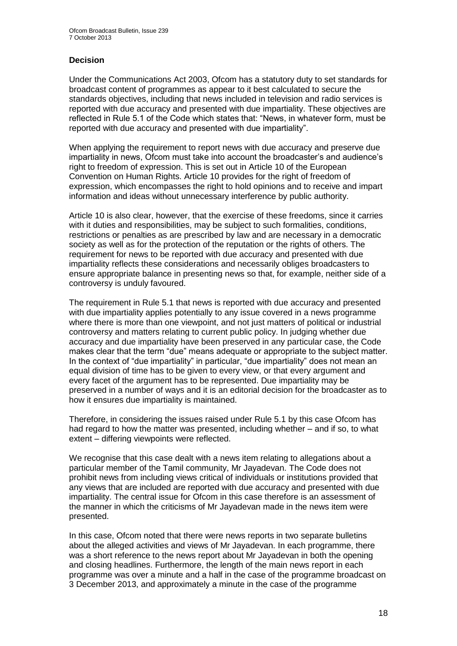#### **Decision**

Under the Communications Act 2003, Ofcom has a statutory duty to set standards for broadcast content of programmes as appear to it best calculated to secure the standards objectives, including that news included in television and radio services is reported with due accuracy and presented with due impartiality. These objectives are reflected in Rule 5.1 of the Code which states that: "News, in whatever form, must be reported with due accuracy and presented with due impartiality".

When applying the requirement to report news with due accuracy and preserve due impartiality in news, Ofcom must take into account the broadcaster's and audience's right to freedom of expression. This is set out in Article 10 of the European Convention on Human Rights. Article 10 provides for the right of freedom of expression, which encompasses the right to hold opinions and to receive and impart information and ideas without unnecessary interference by public authority.

Article 10 is also clear, however, that the exercise of these freedoms, since it carries with it duties and responsibilities, may be subject to such formalities, conditions, restrictions or penalties as are prescribed by law and are necessary in a democratic society as well as for the protection of the reputation or the rights of others. The requirement for news to be reported with due accuracy and presented with due impartiality reflects these considerations and necessarily obliges broadcasters to ensure appropriate balance in presenting news so that, for example, neither side of a controversy is unduly favoured.

The requirement in Rule 5.1 that news is reported with due accuracy and presented with due impartiality applies potentially to any issue covered in a news programme where there is more than one viewpoint, and not just matters of political or industrial controversy and matters relating to current public policy. In judging whether due accuracy and due impartiality have been preserved in any particular case, the Code makes clear that the term "due" means adequate or appropriate to the subject matter. In the context of "due impartiality" in particular, "due impartiality" does not mean an equal division of time has to be given to every view, or that every argument and every facet of the argument has to be represented. Due impartiality may be preserved in a number of ways and it is an editorial decision for the broadcaster as to how it ensures due impartiality is maintained.

Therefore, in considering the issues raised under Rule 5.1 by this case Ofcom has had regard to how the matter was presented, including whether – and if so, to what extent – differing viewpoints were reflected.

We recognise that this case dealt with a news item relating to allegations about a particular member of the Tamil community, Mr Jayadevan. The Code does not prohibit news from including views critical of individuals or institutions provided that any views that are included are reported with due accuracy and presented with due impartiality. The central issue for Ofcom in this case therefore is an assessment of the manner in which the criticisms of Mr Jayadevan made in the news item were presented.

In this case, Ofcom noted that there were news reports in two separate bulletins about the alleged activities and views of Mr Jayadevan. In each programme, there was a short reference to the news report about Mr Jayadevan in both the opening and closing headlines. Furthermore, the length of the main news report in each programme was over a minute and a half in the case of the programme broadcast on 3 December 2013, and approximately a minute in the case of the programme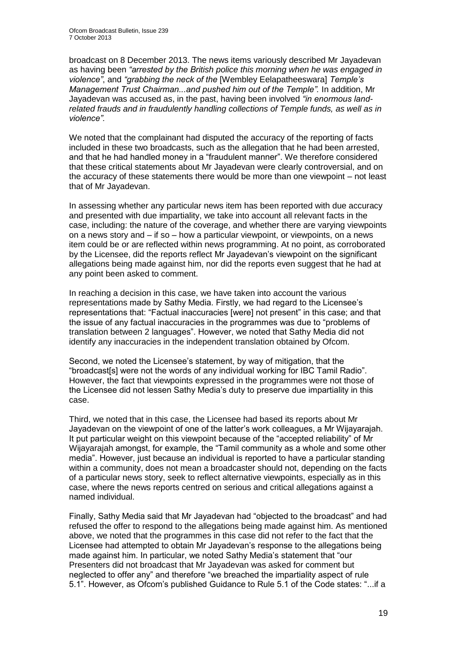broadcast on 8 December 2013. The news items variously described Mr Jayadevan as having been *"arrested by the British police this morning when he was engaged in violence"*, and *"grabbing the neck of the* [Wembley Eelapatheeswara] *Temple's Management Trust Chairman...and pushed him out of the Temple".* In addition, Mr Jayadevan was accused as, in the past, having been involved *"in enormous landrelated frauds and in fraudulently handling collections of Temple funds, as well as in violence".* 

We noted that the complainant had disputed the accuracy of the reporting of facts included in these two broadcasts, such as the allegation that he had been arrested, and that he had handled money in a "fraudulent manner". We therefore considered that these critical statements about Mr Jayadevan were clearly controversial, and on the accuracy of these statements there would be more than one viewpoint – not least that of Mr Jayadevan.

In assessing whether any particular news item has been reported with due accuracy and presented with due impartiality, we take into account all relevant facts in the case, including: the nature of the coverage, and whether there are varying viewpoints on a news story and – if so – how a particular viewpoint, or viewpoints, on a news item could be or are reflected within news programming. At no point, as corroborated by the Licensee, did the reports reflect Mr Jayadevan's viewpoint on the significant allegations being made against him, nor did the reports even suggest that he had at any point been asked to comment.

In reaching a decision in this case, we have taken into account the various representations made by Sathy Media. Firstly, we had regard to the Licensee's representations that: "Factual inaccuracies [were] not present" in this case; and that the issue of any factual inaccuracies in the programmes was due to "problems of translation between 2 languages". However, we noted that Sathy Media did not identify any inaccuracies in the independent translation obtained by Ofcom.

Second, we noted the Licensee's statement, by way of mitigation, that the "broadcast[s] were not the words of any individual working for IBC Tamil Radio". However, the fact that viewpoints expressed in the programmes were not those of the Licensee did not lessen Sathy Media's duty to preserve due impartiality in this case.

Third, we noted that in this case, the Licensee had based its reports about Mr Jayadevan on the viewpoint of one of the latter's work colleagues, a Mr Wijayarajah. It put particular weight on this viewpoint because of the "accepted reliability" of Mr Wijayarajah amongst, for example, the "Tamil community as a whole and some other media". However, just because an individual is reported to have a particular standing within a community, does not mean a broadcaster should not, depending on the facts of a particular news story, seek to reflect alternative viewpoints, especially as in this case, where the news reports centred on serious and critical allegations against a named individual.

Finally, Sathy Media said that Mr Jayadevan had "objected to the broadcast" and had refused the offer to respond to the allegations being made against him. As mentioned above, we noted that the programmes in this case did not refer to the fact that the Licensee had attempted to obtain Mr Jayadevan's response to the allegations being made against him. In particular, we noted Sathy Media's statement that "our Presenters did not broadcast that Mr Jayadevan was asked for comment but neglected to offer any" and therefore "we breached the impartiality aspect of rule 5.1". However, as Ofcom's published Guidance to Rule 5.1 of the Code states: "...if a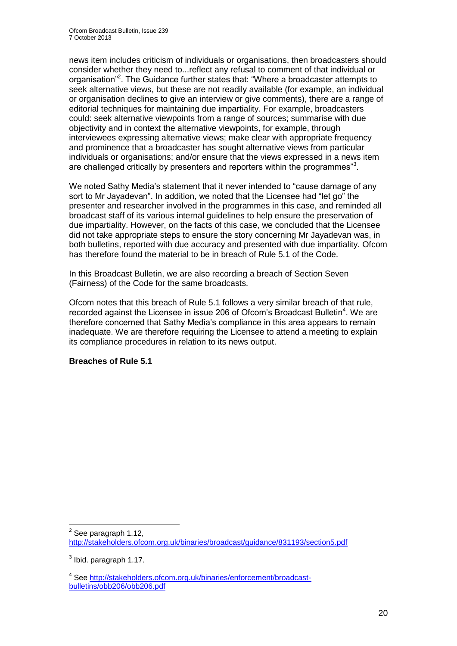news item includes criticism of individuals or organisations, then broadcasters should consider whether they need to...reflect any refusal to comment of that individual or organisation<sup>"2</sup>. The Guidance further states that: "Where a broadcaster attempts to seek alternative views, but these are not readily available (for example, an individual or organisation declines to give an interview or give comments), there are a range of editorial techniques for maintaining due impartiality. For example, broadcasters could: seek alternative viewpoints from a range of sources; summarise with due objectivity and in context the alternative viewpoints, for example, through interviewees expressing alternative views; make clear with appropriate frequency and prominence that a broadcaster has sought alternative views from particular individuals or organisations; and/or ensure that the views expressed in a news item are challenged critically by presenters and reporters within the programmes"<sup>3</sup>.

We noted Sathy Media's statement that it never intended to "cause damage of any sort to Mr Jayadevan". In addition, we noted that the Licensee had "let go" the presenter and researcher involved in the programmes in this case, and reminded all broadcast staff of its various internal guidelines to help ensure the preservation of due impartiality. However, on the facts of this case, we concluded that the Licensee did not take appropriate steps to ensure the story concerning Mr Jayadevan was, in both bulletins, reported with due accuracy and presented with due impartiality. Ofcom has therefore found the material to be in breach of Rule 5.1 of the Code.

In this Broadcast Bulletin, we are also recording a breach of Section Seven (Fairness) of the Code for the same broadcasts.

Ofcom notes that this breach of Rule 5.1 follows a very similar breach of that rule, recorded against the Licensee in issue 206 of Ofcom's Broadcast Bulletin<sup>4</sup>. We are therefore concerned that Sathy Media's compliance in this area appears to remain inadequate. We are therefore requiring the Licensee to attend a meeting to explain its compliance procedures in relation to its news output.

#### **Breaches of Rule 5.1**

<sup>1</sup>  $2$  See paragraph 1.12, <http://stakeholders.ofcom.org.uk/binaries/broadcast/guidance/831193/section5.pdf>

 $3$  lbid. paragraph 1.17.

<sup>&</sup>lt;sup>4</sup> See [http://stakeholders.ofcom.org.uk/binaries/enforcement/broadcast](http://stakeholders.ofcom.org.uk/binaries/enforcement/broadcast-bulletins/obb206/obb206.pdf)[bulletins/obb206/obb206.pdf](http://stakeholders.ofcom.org.uk/binaries/enforcement/broadcast-bulletins/obb206/obb206.pdf)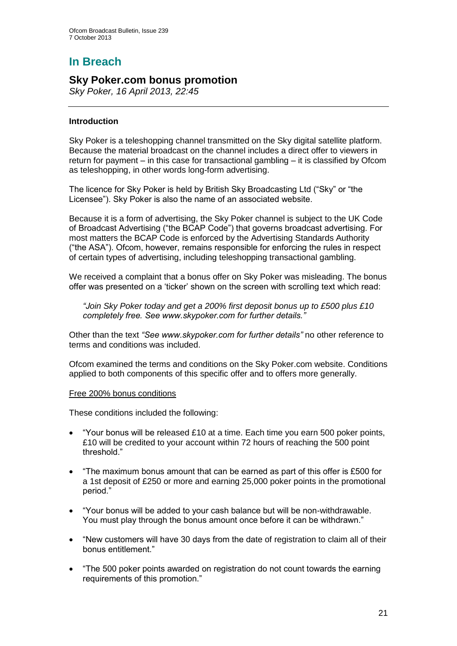# **In Breach**

## **Sky Poker.com bonus promotion**

*Sky Poker, 16 April 2013, 22:45*

#### **Introduction**

Sky Poker is a teleshopping channel transmitted on the Sky digital satellite platform. Because the material broadcast on the channel includes a direct offer to viewers in return for payment – in this case for transactional gambling – it is classified by Ofcom as teleshopping, in other words long-form advertising.

The licence for Sky Poker is held by British Sky Broadcasting Ltd ("Sky" or "the Licensee"). Sky Poker is also the name of an associated website.

Because it is a form of advertising, the Sky Poker channel is subject to the UK Code of Broadcast Advertising ("the BCAP Code") that governs broadcast advertising. For most matters the BCAP Code is enforced by the Advertising Standards Authority ("the ASA"). Ofcom, however, remains responsible for enforcing the rules in respect of certain types of advertising, including teleshopping transactional gambling.

We received a complaint that a bonus offer on Sky Poker was misleading. The bonus offer was presented on a 'ticker' shown on the screen with scrolling text which read:

*"Join Sky Poker today and get a 200% first deposit bonus up to £500 plus £10 completely free. See www.skypoker.com for further details."*

Other than the text *"See www.skypoker.com for further details"* no other reference to terms and conditions was included.

Ofcom examined the terms and conditions on the Sky Poker.com website. Conditions applied to both components of this specific offer and to offers more generally.

#### Free 200% bonus conditions

These conditions included the following:

- "Your bonus will be released £10 at a time. Each time you earn 500 poker points, £10 will be credited to your account within 72 hours of reaching the 500 point threshold."
- "The maximum bonus amount that can be earned as part of this offer is £500 for a 1st deposit of £250 or more and earning 25,000 poker points in the promotional period."
- "Your bonus will be added to your cash balance but will be non-withdrawable. You must play through the bonus amount once before it can be withdrawn."
- "New customers will have 30 days from the date of registration to claim all of their bonus entitlement."
- "The 500 poker points awarded on registration do not count towards the earning requirements of this promotion."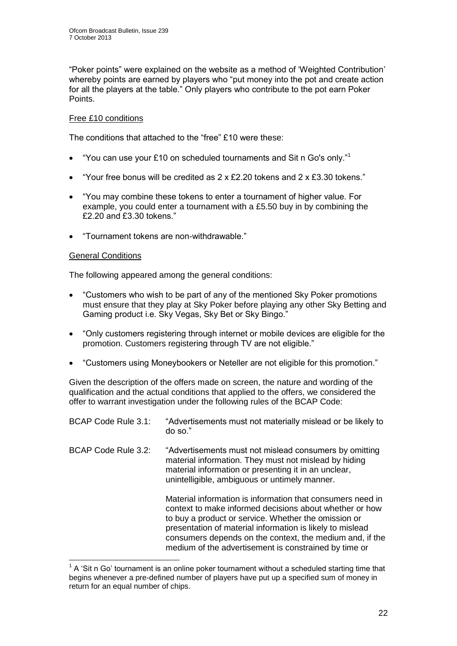"Poker points" were explained on the website as a method of 'Weighted Contribution' whereby points are earned by players who "put money into the pot and create action for all the players at the table." Only players who contribute to the pot earn Poker Points.

#### Free £10 conditions

The conditions that attached to the "free" £10 were these:

- "You can use your £10 on scheduled tournaments and Sit n Go's only."<sup>1</sup>
- "Your free bonus will be credited as  $2 \times 52.20$  tokens and  $2 \times 53.30$  tokens."
- "You may combine these tokens to enter a tournament of higher value. For example, you could enter a tournament with a £5.50 buy in by combining the £2.20 and £3.30 tokens."
- "Tournament tokens are non-withdrawable."

#### General Conditions

The following appeared among the general conditions:

- "Customers who wish to be part of any of the mentioned Sky Poker promotions must ensure that they play at Sky Poker before playing any other Sky Betting and Gaming product i.e. Sky Vegas, Sky Bet or Sky Bingo."
- "Only customers registering through internet or mobile devices are eligible for the promotion. Customers registering through TV are not eligible."
- "Customers using Moneybookers or Neteller are not eligible for this promotion."

Given the description of the offers made on screen, the nature and wording of the qualification and the actual conditions that applied to the offers, we considered the offer to warrant investigation under the following rules of the BCAP Code:

| BCAP Code Rule 3.1: | "Advertisements must not materially mislead or be likely to<br>do so."                                                                                                                                                                                                                                                                                          |
|---------------------|-----------------------------------------------------------------------------------------------------------------------------------------------------------------------------------------------------------------------------------------------------------------------------------------------------------------------------------------------------------------|
| BCAP Code Rule 3.2: | "Advertisements must not mislead consumers by omitting<br>material information. They must not mislead by hiding<br>material information or presenting it in an unclear,<br>unintelligible, ambiguous or untimely manner.                                                                                                                                        |
|                     | Material information is information that consumers need in<br>context to make informed decisions about whether or how<br>to buy a product or service. Whether the omission or<br>presentation of material information is likely to mislead<br>consumers depends on the context, the medium and, if the<br>medium of the advertisement is constrained by time or |

 $1$  A 'Sit n Go' tournament is an online poker tournament without a scheduled starting time that begins whenever a pre-defined number of players have put up a specified sum of money in return for an equal number of chips.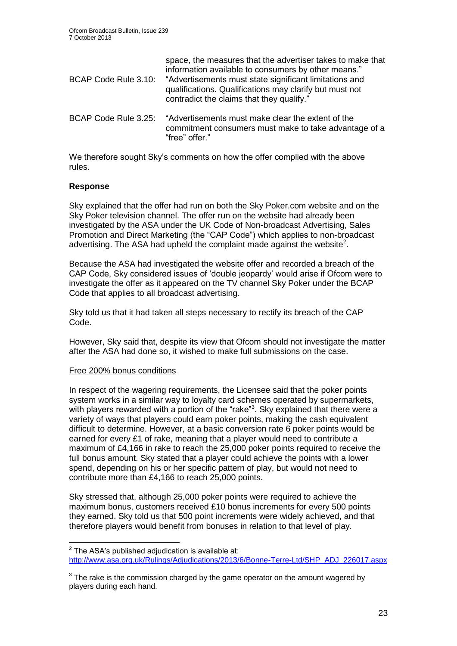| BCAP Code Rule 3.10: | space, the measures that the advertiser takes to make that<br>information available to consumers by other means."<br>"Advertisements must state significant limitations and<br>qualifications. Qualifications may clarify but must not<br>contradict the claims that they qualify." |
|----------------------|-------------------------------------------------------------------------------------------------------------------------------------------------------------------------------------------------------------------------------------------------------------------------------------|
| BCAP Code Rule 3.25: | "Advertisements must make clear the extent of the<br>commitment consumers must make to take advantage of a<br>"free" offer."                                                                                                                                                        |

We therefore sought Sky's comments on how the offer complied with the above rules.

#### **Response**

Sky explained that the offer had run on both the Sky Poker.com website and on the Sky Poker television channel. The offer run on the website had already been investigated by the ASA under the UK Code of Non-broadcast Advertising, Sales Promotion and Direct Marketing (the "CAP Code") which applies to non-broadcast advertising. The ASA had upheld the complaint made against the website<sup>2</sup>.

Because the ASA had investigated the website offer and recorded a breach of the CAP Code, Sky considered issues of 'double jeopardy' would arise if Ofcom were to investigate the offer as it appeared on the TV channel Sky Poker under the BCAP Code that applies to all broadcast advertising.

Sky told us that it had taken all steps necessary to rectify its breach of the CAP Code.

However, Sky said that, despite its view that Ofcom should not investigate the matter after the ASA had done so, it wished to make full submissions on the case.

#### Free 200% bonus conditions

In respect of the wagering requirements, the Licensee said that the poker points system works in a similar way to loyalty card schemes operated by supermarkets, with players rewarded with a portion of the "rake"<sup>3</sup>. Sky explained that there were a variety of ways that players could earn poker points, making the cash equivalent difficult to determine. However, at a basic conversion rate 6 poker points would be earned for every £1 of rake, meaning that a player would need to contribute a maximum of £4,166 in rake to reach the 25,000 poker points required to receive the full bonus amount. Sky stated that a player could achieve the points with a lower spend, depending on his or her specific pattern of play, but would not need to contribute more than £4,166 to reach 25,000 points.

Sky stressed that, although 25,000 poker points were required to achieve the maximum bonus, customers received £10 bonus increments for every 500 points they earned. Sky told us that 500 point increments were widely achieved, and that therefore players would benefit from bonuses in relation to that level of play.

 2 The ASA's published adjudication is available at: [http://www.asa.org.uk/Rulings/Adjudications/2013/6/Bonne-Terre-Ltd/SHP\\_ADJ\\_226017.aspx](http://www.asa.org.uk/Rulings/Adjudications/2013/6/Bonne-Terre-Ltd/SHP_ADJ_226017.aspx)

 $3$  The rake is the commission charged by the game operator on the amount wagered by players during each hand.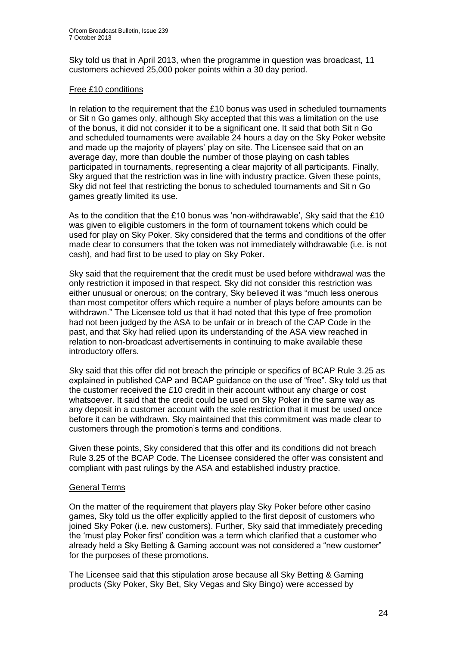Sky told us that in April 2013, when the programme in question was broadcast, 11 customers achieved 25,000 poker points within a 30 day period.

#### Free £10 conditions

In relation to the requirement that the £10 bonus was used in scheduled tournaments or Sit n Go games only, although Sky accepted that this was a limitation on the use of the bonus, it did not consider it to be a significant one. It said that both Sit n Go and scheduled tournaments were available 24 hours a day on the Sky Poker website and made up the majority of players' play on site. The Licensee said that on an average day, more than double the number of those playing on cash tables participated in tournaments, representing a clear majority of all participants. Finally, Sky argued that the restriction was in line with industry practice. Given these points, Sky did not feel that restricting the bonus to scheduled tournaments and Sit n Go games greatly limited its use.

As to the condition that the £10 bonus was 'non-withdrawable', Sky said that the £10 was given to eligible customers in the form of tournament tokens which could be used for play on Sky Poker. Sky considered that the terms and conditions of the offer made clear to consumers that the token was not immediately withdrawable (i.e. is not cash), and had first to be used to play on Sky Poker.

Sky said that the requirement that the credit must be used before withdrawal was the only restriction it imposed in that respect. Sky did not consider this restriction was either unusual or onerous; on the contrary, Sky believed it was "much less onerous than most competitor offers which require a number of plays before amounts can be withdrawn." The Licensee told us that it had noted that this type of free promotion had not been judged by the ASA to be unfair or in breach of the CAP Code in the past, and that Sky had relied upon its understanding of the ASA view reached in relation to non-broadcast advertisements in continuing to make available these introductory offers.

Sky said that this offer did not breach the principle or specifics of BCAP Rule 3.25 as explained in published CAP and BCAP guidance on the use of "free". Sky told us that the customer received the £10 credit in their account without any charge or cost whatsoever. It said that the credit could be used on Sky Poker in the same way as any deposit in a customer account with the sole restriction that it must be used once before it can be withdrawn. Sky maintained that this commitment was made clear to customers through the promotion's terms and conditions.

Given these points, Sky considered that this offer and its conditions did not breach Rule 3.25 of the BCAP Code. The Licensee considered the offer was consistent and compliant with past rulings by the ASA and established industry practice.

#### General Terms

On the matter of the requirement that players play Sky Poker before other casino games, Sky told us the offer explicitly applied to the first deposit of customers who joined Sky Poker (i.e. new customers). Further, Sky said that immediately preceding the 'must play Poker first' condition was a term which clarified that a customer who already held a Sky Betting & Gaming account was not considered a "new customer" for the purposes of these promotions.

The Licensee said that this stipulation arose because all Sky Betting & Gaming products (Sky Poker, Sky Bet, Sky Vegas and Sky Bingo) were accessed by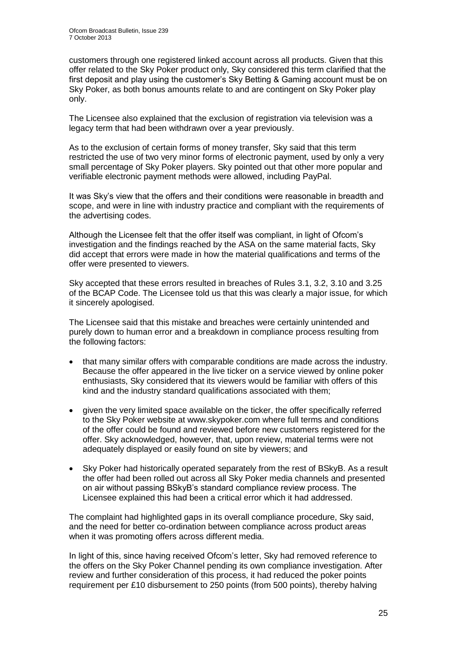customers through one registered linked account across all products. Given that this offer related to the Sky Poker product only, Sky considered this term clarified that the first deposit and play using the customer's Sky Betting & Gaming account must be on Sky Poker, as both bonus amounts relate to and are contingent on Sky Poker play only.

The Licensee also explained that the exclusion of registration via television was a legacy term that had been withdrawn over a year previously.

As to the exclusion of certain forms of money transfer, Sky said that this term restricted the use of two very minor forms of electronic payment, used by only a very small percentage of Sky Poker players. Sky pointed out that other more popular and verifiable electronic payment methods were allowed, including PayPal.

It was Sky's view that the offers and their conditions were reasonable in breadth and scope, and were in line with industry practice and compliant with the requirements of the advertising codes.

Although the Licensee felt that the offer itself was compliant, in light of Ofcom's investigation and the findings reached by the ASA on the same material facts, Sky did accept that errors were made in how the material qualifications and terms of the offer were presented to viewers.

Sky accepted that these errors resulted in breaches of Rules 3.1, 3.2, 3.10 and 3.25 of the BCAP Code. The Licensee told us that this was clearly a major issue, for which it sincerely apologised.

The Licensee said that this mistake and breaches were certainly unintended and purely down to human error and a breakdown in compliance process resulting from the following factors:

- that many similar offers with comparable conditions are made across the industry. Because the offer appeared in the live ticker on a service viewed by online poker enthusiasts, Sky considered that its viewers would be familiar with offers of this kind and the industry standard qualifications associated with them;
- given the very limited space available on the ticker, the offer specifically referred to the Sky Poker website at www.skypoker.com where full terms and conditions of the offer could be found and reviewed before new customers registered for the offer. Sky acknowledged, however, that, upon review, material terms were not adequately displayed or easily found on site by viewers; and
- Sky Poker had historically operated separately from the rest of BSkyB. As a result the offer had been rolled out across all Sky Poker media channels and presented on air without passing BSkyB's standard compliance review process. The Licensee explained this had been a critical error which it had addressed.

The complaint had highlighted gaps in its overall compliance procedure, Sky said, and the need for better co-ordination between compliance across product areas when it was promoting offers across different media.

In light of this, since having received Ofcom's letter, Sky had removed reference to the offers on the Sky Poker Channel pending its own compliance investigation. After review and further consideration of this process, it had reduced the poker points requirement per £10 disbursement to 250 points (from 500 points), thereby halving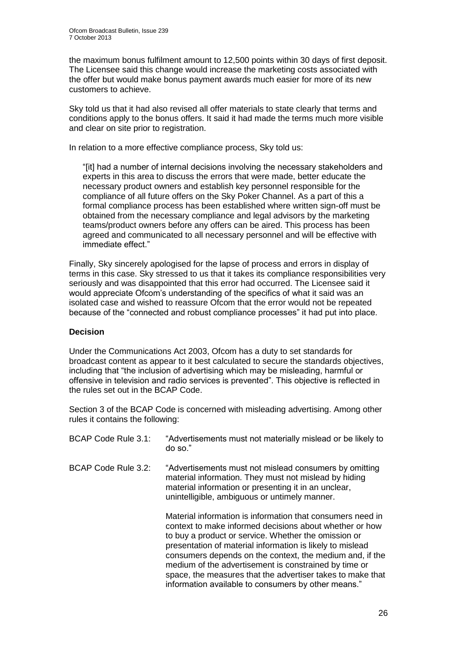the maximum bonus fulfilment amount to 12,500 points within 30 days of first deposit. The Licensee said this change would increase the marketing costs associated with the offer but would make bonus payment awards much easier for more of its new customers to achieve.

Sky told us that it had also revised all offer materials to state clearly that terms and conditions apply to the bonus offers. It said it had made the terms much more visible and clear on site prior to registration.

In relation to a more effective compliance process, Sky told us:

"[it] had a number of internal decisions involving the necessary stakeholders and experts in this area to discuss the errors that were made, better educate the necessary product owners and establish key personnel responsible for the compliance of all future offers on the Sky Poker Channel. As a part of this a formal compliance process has been established where written sign-off must be obtained from the necessary compliance and legal advisors by the marketing teams/product owners before any offers can be aired. This process has been agreed and communicated to all necessary personnel and will be effective with immediate effect."

Finally, Sky sincerely apologised for the lapse of process and errors in display of terms in this case. Sky stressed to us that it takes its compliance responsibilities very seriously and was disappointed that this error had occurred. The Licensee said it would appreciate Ofcom's understanding of the specifics of what it said was an isolated case and wished to reassure Ofcom that the error would not be repeated because of the "connected and robust compliance processes" it had put into place.

#### **Decision**

Under the Communications Act 2003, Ofcom has a duty to set standards for broadcast content as appear to it best calculated to secure the standards objectives, including that "the inclusion of advertising which may be misleading, harmful or offensive in television and radio services is prevented". This objective is reflected in the rules set out in the BCAP Code.

Section 3 of the BCAP Code is concerned with misleading advertising. Among other rules it contains the following:

| BCAP Code Rule 3.1: | "Advertisements must not materially mislead or be likely to<br>do so."                                                                                                                                                                                                                                                                                                                                                        |
|---------------------|-------------------------------------------------------------------------------------------------------------------------------------------------------------------------------------------------------------------------------------------------------------------------------------------------------------------------------------------------------------------------------------------------------------------------------|
| BCAP Code Rule 3.2: | "Advertisements must not mislead consumers by omitting<br>material information. They must not mislead by hiding<br>material information or presenting it in an unclear,<br>unintelligible, ambiguous or untimely manner.                                                                                                                                                                                                      |
|                     | Material information is information that consumers need in<br>context to make informed decisions about whether or how<br>to buy a product or service. Whether the omission or<br>presentation of material information is likely to mislead<br>consumers depends on the context, the medium and, if the<br>medium of the advertisement is constrained by time or<br>space, the measures that the advertiser takes to make that |

information available to consumers by other means."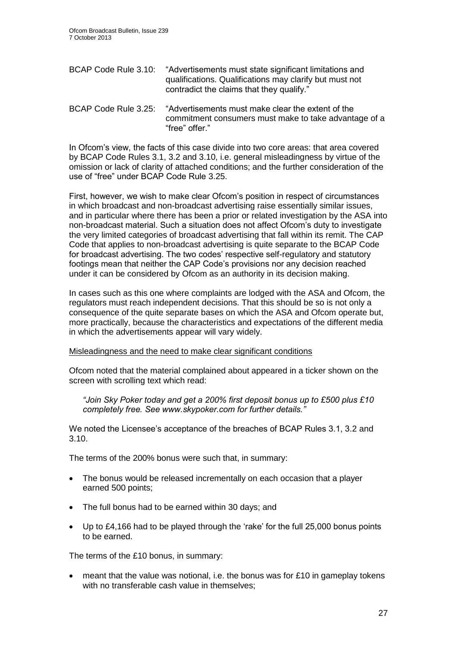| BCAP Code Rule 3.10:               | "Advertisements must state significant limitations and<br>qualifications. Qualifications may clarify but must not<br>contradict the claims that they qualify." |  |  |  |
|------------------------------------|----------------------------------------------------------------------------------------------------------------------------------------------------------------|--|--|--|
| $\sim$ $\sim$ $\sim$ $\sim$ $\sim$ |                                                                                                                                                                |  |  |  |

BCAP Code Rule 3.25: "Advertisements must make clear the extent of the commitment consumers must make to take advantage of a "free" offer."

In Ofcom's view, the facts of this case divide into two core areas: that area covered by BCAP Code Rules 3.1, 3.2 and 3.10, i.e. general misleadingness by virtue of the omission or lack of clarity of attached conditions; and the further consideration of the use of "free" under BCAP Code Rule 3.25.

First, however, we wish to make clear Ofcom's position in respect of circumstances in which broadcast and non-broadcast advertising raise essentially similar issues, and in particular where there has been a prior or related investigation by the ASA into non-broadcast material. Such a situation does not affect Ofcom's duty to investigate the very limited categories of broadcast advertising that fall within its remit. The CAP Code that applies to non-broadcast advertising is quite separate to the BCAP Code for broadcast advertising. The two codes' respective self-regulatory and statutory footings mean that neither the CAP Code's provisions nor any decision reached under it can be considered by Ofcom as an authority in its decision making.

In cases such as this one where complaints are lodged with the ASA and Ofcom, the regulators must reach independent decisions. That this should be so is not only a consequence of the quite separate bases on which the ASA and Ofcom operate but, more practically, because the characteristics and expectations of the different media in which the advertisements appear will vary widely.

#### Misleadingness and the need to make clear significant conditions

Ofcom noted that the material complained about appeared in a ticker shown on the screen with scrolling text which read:

*"Join Sky Poker today and get a 200% first deposit bonus up to £500 plus £10 completely free. See www.skypoker.com for further details."*

We noted the Licensee's acceptance of the breaches of BCAP Rules 3.1, 3.2 and 3.10.

The terms of the 200% bonus were such that, in summary:

- The bonus would be released incrementally on each occasion that a player earned 500 points;
- The full bonus had to be earned within 30 days; and
- Up to £4,166 had to be played through the 'rake' for the full 25,000 bonus points to be earned.

The terms of the £10 bonus, in summary:

 meant that the value was notional, i.e. the bonus was for £10 in gameplay tokens with no transferable cash value in themselves: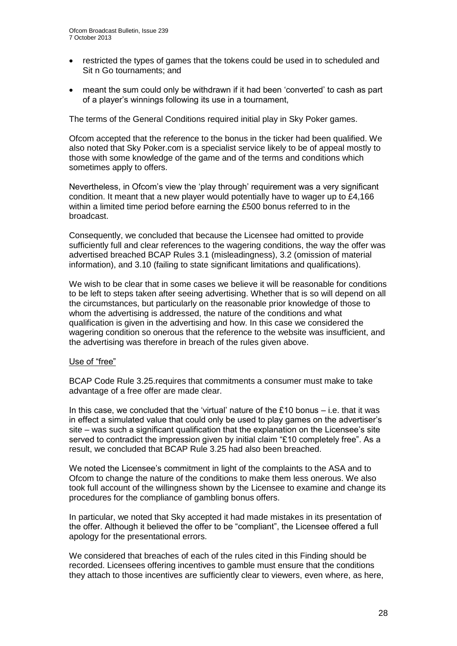- restricted the types of games that the tokens could be used in to scheduled and Sit n Go tournaments; and
- meant the sum could only be withdrawn if it had been 'converted' to cash as part of a player's winnings following its use in a tournament,

The terms of the General Conditions required initial play in Sky Poker games.

Ofcom accepted that the reference to the bonus in the ticker had been qualified. We also noted that Sky Poker.com is a specialist service likely to be of appeal mostly to those with some knowledge of the game and of the terms and conditions which sometimes apply to offers.

Nevertheless, in Ofcom's view the 'play through' requirement was a very significant condition. It meant that a new player would potentially have to wager up to £4,166 within a limited time period before earning the £500 bonus referred to in the broadcast.

Consequently, we concluded that because the Licensee had omitted to provide sufficiently full and clear references to the wagering conditions, the way the offer was advertised breached BCAP Rules 3.1 (misleadingness), 3.2 (omission of material information), and 3.10 (failing to state significant limitations and qualifications).

We wish to be clear that in some cases we believe it will be reasonable for conditions to be left to steps taken after seeing advertising. Whether that is so will depend on all the circumstances, but particularly on the reasonable prior knowledge of those to whom the advertising is addressed, the nature of the conditions and what qualification is given in the advertising and how. In this case we considered the wagering condition so onerous that the reference to the website was insufficient, and the advertising was therefore in breach of the rules given above.

#### Use of "free"

BCAP Code Rule 3.25.requires that commitments a consumer must make to take advantage of a free offer are made clear.

In this case, we concluded that the 'virtual' nature of the  $£10$  bonus  $-$  i.e. that it was in effect a simulated value that could only be used to play games on the advertiser's site – was such a significant qualification that the explanation on the Licensee's site served to contradict the impression given by initial claim "£10 completely free". As a result, we concluded that BCAP Rule 3.25 had also been breached.

We noted the Licensee's commitment in light of the complaints to the ASA and to Ofcom to change the nature of the conditions to make them less onerous. We also took full account of the willingness shown by the Licensee to examine and change its procedures for the compliance of gambling bonus offers.

In particular, we noted that Sky accepted it had made mistakes in its presentation of the offer. Although it believed the offer to be "compliant", the Licensee offered a full apology for the presentational errors.

We considered that breaches of each of the rules cited in this Finding should be recorded. Licensees offering incentives to gamble must ensure that the conditions they attach to those incentives are sufficiently clear to viewers, even where, as here,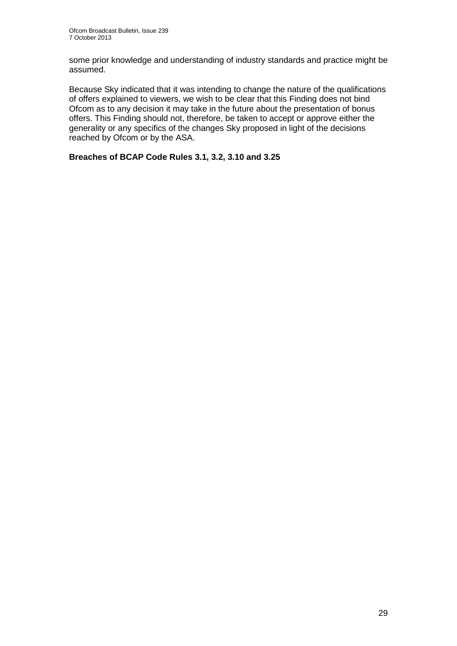some prior knowledge and understanding of industry standards and practice might be assumed.

Because Sky indicated that it was intending to change the nature of the qualifications of offers explained to viewers, we wish to be clear that this Finding does not bind Ofcom as to any decision it may take in the future about the presentation of bonus offers. This Finding should not, therefore, be taken to accept or approve either the generality or any specifics of the changes Sky proposed in light of the decisions reached by Ofcom or by the ASA.

#### **Breaches of BCAP Code Rules 3.1, 3.2, 3.10 and 3.25**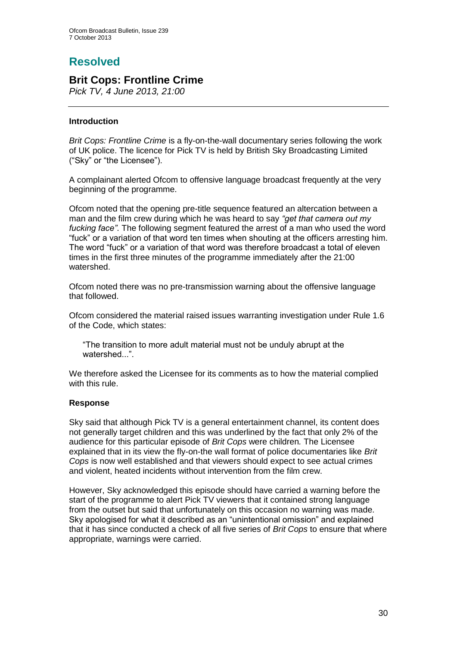# **Resolved**

## **Brit Cops: Frontline Crime**

*Pick TV, 4 June 2013, 21:00*

#### **Introduction**

*Brit Cops: Frontline Crime* is a fly-on-the-wall documentary series following the work of UK police. The licence for Pick TV is held by British Sky Broadcasting Limited ("Sky" or "the Licensee").

A complainant alerted Ofcom to offensive language broadcast frequently at the very beginning of the programme.

Ofcom noted that the opening pre-title sequence featured an altercation between a man and the film crew during which he was heard to say *"get that camera out my fucking face"*. The following segment featured the arrest of a man who used the word "fuck" or a variation of that word ten times when shouting at the officers arresting him. The word "fuck" or a variation of that word was therefore broadcast a total of eleven times in the first three minutes of the programme immediately after the 21:00 watershed.

Ofcom noted there was no pre-transmission warning about the offensive language that followed.

Ofcom considered the material raised issues warranting investigation under Rule 1.6 of the Code, which states:

"The transition to more adult material must not be unduly abrupt at the watershed..."

We therefore asked the Licensee for its comments as to how the material complied with this rule.

#### **Response**

Sky said that although Pick TV is a general entertainment channel, its content does not generally target children and this was underlined by the fact that only 2% of the audience for this particular episode of *Brit Cops* were children*.* The Licensee explained that in its view the fly-on-the wall format of police documentaries like *Brit Cops* is now well established and that viewers should expect to see actual crimes and violent, heated incidents without intervention from the film crew.

However, Sky acknowledged this episode should have carried a warning before the start of the programme to alert Pick TV viewers that it contained strong language from the outset but said that unfortunately on this occasion no warning was made. Sky apologised for what it described as an "unintentional omission" and explained that it has since conducted a check of all five series of *Brit Cops* to ensure that where appropriate, warnings were carried.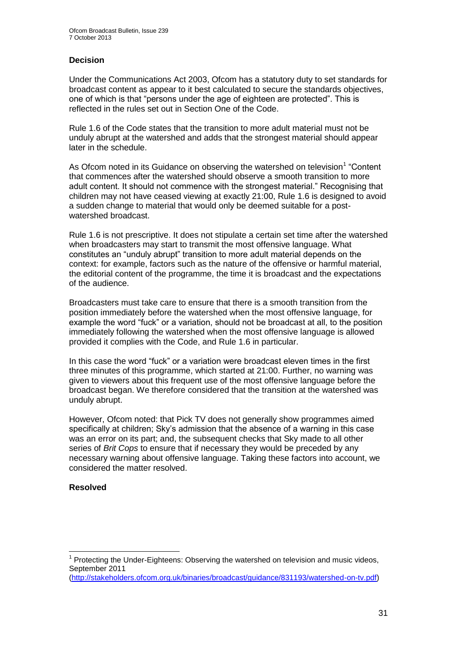#### **Decision**

Under the Communications Act 2003, Ofcom has a statutory duty to set standards for broadcast content as appear to it best calculated to secure the standards objectives, one of which is that "persons under the age of eighteen are protected". This is reflected in the rules set out in Section One of the Code.

Rule 1.6 of the Code states that the transition to more adult material must not be unduly abrupt at the watershed and adds that the strongest material should appear later in the schedule.

As Ofcom noted in its Guidance on observing the watershed on television<sup>1</sup> "Content that commences after the watershed should observe a smooth transition to more adult content. It should not commence with the strongest material." Recognising that children may not have ceased viewing at exactly 21:00, Rule 1.6 is designed to avoid a sudden change to material that would only be deemed suitable for a postwatershed broadcast.

Rule 1.6 is not prescriptive. It does not stipulate a certain set time after the watershed when broadcasters may start to transmit the most offensive language. What constitutes an "unduly abrupt" transition to more adult material depends on the context: for example, factors such as the nature of the offensive or harmful material, the editorial content of the programme, the time it is broadcast and the expectations of the audience.

Broadcasters must take care to ensure that there is a smooth transition from the position immediately before the watershed when the most offensive language, for example the word "fuck" or a variation, should not be broadcast at all, to the position immediately following the watershed when the most offensive language is allowed provided it complies with the Code, and Rule 1.6 in particular.

In this case the word "fuck" or a variation were broadcast eleven times in the first three minutes of this programme, which started at 21:00. Further, no warning was given to viewers about this frequent use of the most offensive language before the broadcast began. We therefore considered that the transition at the watershed was unduly abrupt.

However, Ofcom noted: that Pick TV does not generally show programmes aimed specifically at children; Sky's admission that the absence of a warning in this case was an error on its part; and, the subsequent checks that Sky made to all other series of *Brit Cops* to ensure that if necessary they would be preceded by any necessary warning about offensive language. Taking these factors into account, we considered the matter resolved.

#### **Resolved**

<sup>1</sup> <sup>1</sup> Protecting the Under-Eighteens: Observing the watershed on television and music videos, September 2011

[<sup>\(</sup>http://stakeholders.ofcom.org.uk/binaries/broadcast/guidance/831193/watershed-on-tv.pdf\)](http://stakeholders.ofcom.org.uk/binaries/broadcast/guidance/831193/watershed-on-tv.pdf)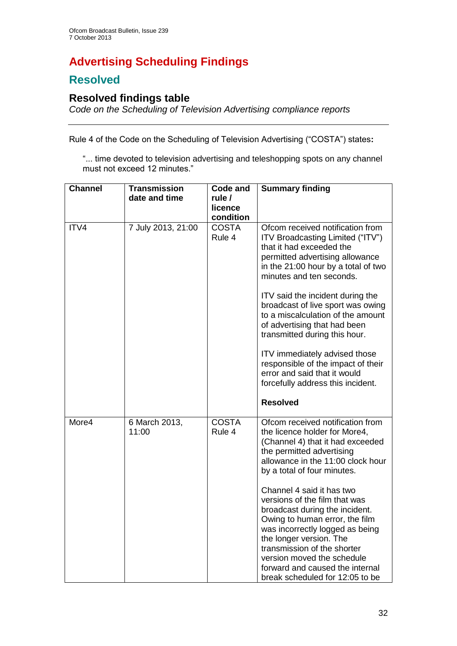# **Advertising Scheduling Findings**

# **Resolved**

# **Resolved findings table**

*Code on the Scheduling of Television Advertising compliance reports*

Rule 4 of the Code on the Scheduling of Television Advertising ("COSTA") states**:**

"... time devoted to television advertising and teleshopping spots on any channel must not exceed 12 minutes."

| <b>Channel</b> | <b>Transmission</b><br>date and time | <b>Code and</b><br>rule $\prime$<br>licence<br>condition | <b>Summary finding</b>                                                                                                                                                                                                                                                                                                                                                                                                                                                                                                                               |
|----------------|--------------------------------------|----------------------------------------------------------|------------------------------------------------------------------------------------------------------------------------------------------------------------------------------------------------------------------------------------------------------------------------------------------------------------------------------------------------------------------------------------------------------------------------------------------------------------------------------------------------------------------------------------------------------|
| ITV4           | 7 July 2013, 21:00                   | <b>COSTA</b><br>Rule 4                                   | Ofcom received notification from<br>ITV Broadcasting Limited ("ITV")<br>that it had exceeded the<br>permitted advertising allowance<br>in the 21:00 hour by a total of two<br>minutes and ten seconds.<br>ITV said the incident during the<br>broadcast of live sport was owing<br>to a miscalculation of the amount<br>of advertising that had been<br>transmitted during this hour.<br>ITV immediately advised those<br>responsible of the impact of their<br>error and said that it would<br>forcefully address this incident.<br><b>Resolved</b> |
| More4          | 6 March 2013,<br>11:00               | <b>COSTA</b><br>Rule 4                                   | Ofcom received notification from<br>the licence holder for More4,<br>(Channel 4) that it had exceeded<br>the permitted advertising<br>allowance in the 11:00 clock hour<br>by a total of four minutes.<br>Channel 4 said it has two<br>versions of the film that was<br>broadcast during the incident.<br>Owing to human error, the film<br>was incorrectly logged as being<br>the longer version. The<br>transmission of the shorter<br>version moved the schedule<br>forward and caused the internal<br>break scheduled for 12:05 to be            |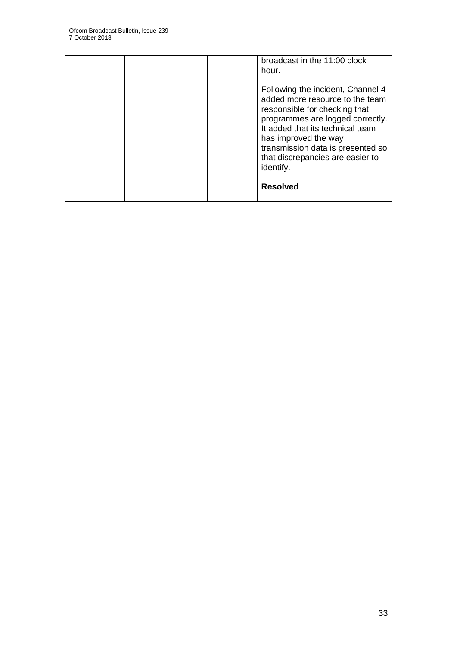|  | broadcast in the 11:00 clock<br>hour.                                                                                                                                                                                                                                                       |
|--|---------------------------------------------------------------------------------------------------------------------------------------------------------------------------------------------------------------------------------------------------------------------------------------------|
|  | Following the incident, Channel 4<br>added more resource to the team<br>responsible for checking that<br>programmes are logged correctly.<br>It added that its technical team<br>has improved the way<br>transmission data is presented so<br>that discrepancies are easier to<br>identify. |
|  | <b>Resolved</b>                                                                                                                                                                                                                                                                             |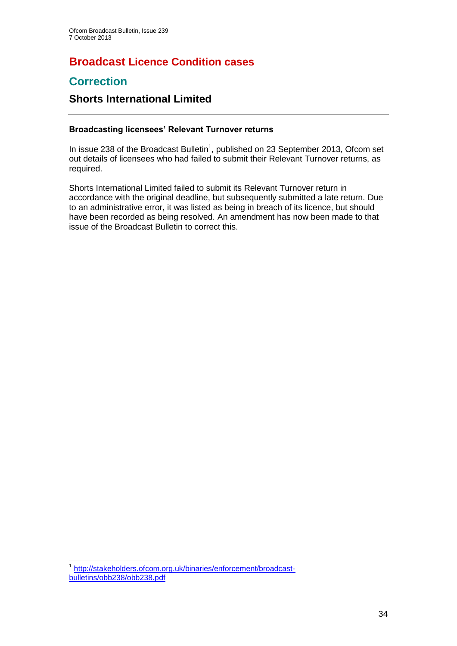## **Broadcast Licence Condition cases**

## **Correction**

## **Shorts International Limited**

#### **Broadcasting licensees' Relevant Turnover returns**

In issue 238 of the Broadcast Bulletin<sup>1</sup>, published on 23 September 2013, Ofcom set out details of licensees who had failed to submit their Relevant Turnover returns, as required.

Shorts International Limited failed to submit its Relevant Turnover return in accordance with the original deadline, but subsequently submitted a late return. Due to an administrative error, it was listed as being in breach of its licence, but should have been recorded as being resolved. An amendment has now been made to that issue of the Broadcast Bulletin to correct this.

<sup>1</sup> 1 [http://stakeholders.ofcom.org.uk/binaries/enforcement/broadcast](http://stakeholders.ofcom.org.uk/binaries/enforcement/broadcast-bulletins/obb238/obb238.pdf)[bulletins/obb238/obb238.pdf](http://stakeholders.ofcom.org.uk/binaries/enforcement/broadcast-bulletins/obb238/obb238.pdf)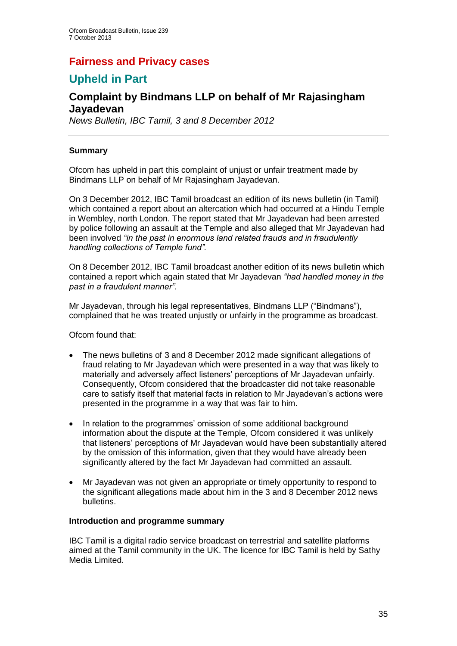## **Fairness and Privacy cases**

## **Upheld in Part**

## **Complaint by Bindmans LLP on behalf of Mr Rajasingham Jayadevan**

*News Bulletin, IBC Tamil, 3 and 8 December 2012*

#### **Summary**

Ofcom has upheld in part this complaint of unjust or unfair treatment made by Bindmans LLP on behalf of Mr Rajasingham Jayadevan.

On 3 December 2012, IBC Tamil broadcast an edition of its news bulletin (in Tamil) which contained a report about an altercation which had occurred at a Hindu Temple in Wembley, north London. The report stated that Mr Jayadevan had been arrested by police following an assault at the Temple and also alleged that Mr Jayadevan had been involved *"in the past in enormous land related frauds and in fraudulently handling collections of Temple fund".* 

On 8 December 2012, IBC Tamil broadcast another edition of its news bulletin which contained a report which again stated that Mr Jayadevan *"had handled money in the past in a fraudulent manner".*

Mr Jayadevan, through his legal representatives, Bindmans LLP ("Bindmans"), complained that he was treated unjustly or unfairly in the programme as broadcast.

Ofcom found that:

- The news bulletins of 3 and 8 December 2012 made significant allegations of fraud relating to Mr Jayadevan which were presented in a way that was likely to materially and adversely affect listeners' perceptions of Mr Jayadevan unfairly. Consequently, Ofcom considered that the broadcaster did not take reasonable care to satisfy itself that material facts in relation to Mr Jayadevan's actions were presented in the programme in a way that was fair to him.
- In relation to the programmes' omission of some additional background information about the dispute at the Temple, Ofcom considered it was unlikely that listeners' perceptions of Mr Jayadevan would have been substantially altered by the omission of this information, given that they would have already been significantly altered by the fact Mr Jayadevan had committed an assault.
- Mr Jayadevan was not given an appropriate or timely opportunity to respond to the significant allegations made about him in the 3 and 8 December 2012 news bulletins.

#### **Introduction and programme summary**

IBC Tamil is a digital radio service broadcast on terrestrial and satellite platforms aimed at the Tamil community in the UK. The licence for IBC Tamil is held by Sathy Media Limited.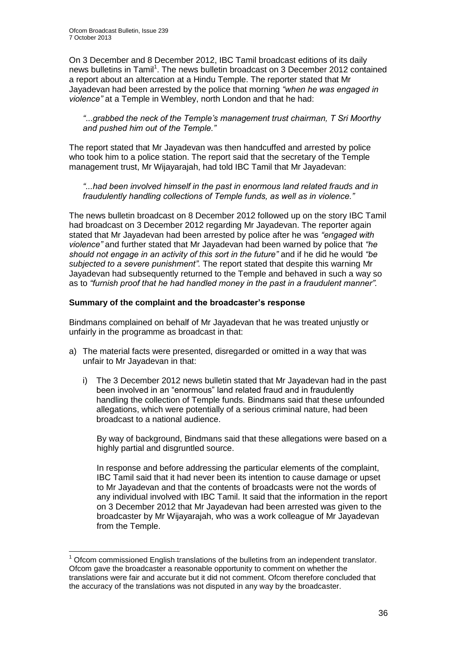1

On 3 December and 8 December 2012, IBC Tamil broadcast editions of its daily news bulletins in Tamil<sup>1</sup>. The news bulletin broadcast on 3 December 2012 contained a report about an altercation at a Hindu Temple. The reporter stated that Mr Jayadevan had been arrested by the police that morning *"when he was engaged in violence"* at a Temple in Wembley, north London and that he had:

*"*...*grabbed the neck of the Temple's management trust chairman, T Sri Moorthy and pushed him out of the Temple."* 

The report stated that Mr Jayadevan was then handcuffed and arrested by police who took him to a police station. The report said that the secretary of the Temple management trust, Mr Wijayarajah, had told IBC Tamil that Mr Jayadevan:

*"...had been involved himself in the past in enormous land related frauds and in fraudulently handling collections of Temple funds, as well as in violence."*

The news bulletin broadcast on 8 December 2012 followed up on the story IBC Tamil had broadcast on 3 December 2012 regarding Mr Jayadevan. The reporter again stated that Mr Jayadevan had been arrested by police after he was *"engaged with violence"* and further stated that Mr Jayadevan had been warned by police that *"he should not engage in an activity of this sort in the future"* and if he did he would *"be subjected to a severe punishment".* The report stated that despite this warning Mr Jayadevan had subsequently returned to the Temple and behaved in such a way so as to *"furnish proof that he had handled money in the past in a fraudulent manner".* 

#### **Summary of the complaint and the broadcaster's response**

Bindmans complained on behalf of Mr Jayadevan that he was treated unjustly or unfairly in the programme as broadcast in that:

- a) The material facts were presented, disregarded or omitted in a way that was unfair to Mr Jayadevan in that:
	- i) The 3 December 2012 news bulletin stated that Mr Jayadevan had in the past been involved in an "enormous" land related fraud and in fraudulently handling the collection of Temple funds. Bindmans said that these unfounded allegations, which were potentially of a serious criminal nature, had been broadcast to a national audience.

By way of background, Bindmans said that these allegations were based on a highly partial and disgruntled source.

In response and before addressing the particular elements of the complaint, IBC Tamil said that it had never been its intention to cause damage or upset to Mr Jayadevan and that the contents of broadcasts were not the words of any individual involved with IBC Tamil. It said that the information in the report on 3 December 2012 that Mr Jayadevan had been arrested was given to the broadcaster by Mr Wijayarajah, who was a work colleague of Mr Jayadevan from the Temple.

<sup>1</sup> Ofcom commissioned English translations of the bulletins from an independent translator. Ofcom gave the broadcaster a reasonable opportunity to comment on whether the translations were fair and accurate but it did not comment. Ofcom therefore concluded that the accuracy of the translations was not disputed in any way by the broadcaster.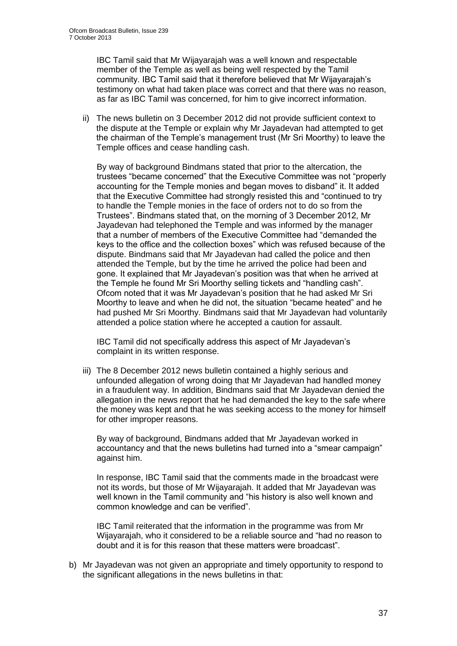IBC Tamil said that Mr Wijayarajah was a well known and respectable member of the Temple as well as being well respected by the Tamil community. IBC Tamil said that it therefore believed that Mr Wijayarajah's testimony on what had taken place was correct and that there was no reason, as far as IBC Tamil was concerned, for him to give incorrect information.

ii) The news bulletin on 3 December 2012 did not provide sufficient context to the dispute at the Temple or explain why Mr Jayadevan had attempted to get the chairman of the Temple's management trust (Mr Sri Moorthy) to leave the Temple offices and cease handling cash.

By way of background Bindmans stated that prior to the altercation, the trustees "became concerned" that the Executive Committee was not "properly accounting for the Temple monies and began moves to disband" it. It added that the Executive Committee had strongly resisted this and "continued to try to handle the Temple monies in the face of orders not to do so from the Trustees". Bindmans stated that, on the morning of 3 December 2012, Mr Jayadevan had telephoned the Temple and was informed by the manager that a number of members of the Executive Committee had "demanded the keys to the office and the collection boxes" which was refused because of the dispute. Bindmans said that Mr Jayadevan had called the police and then attended the Temple, but by the time he arrived the police had been and gone. It explained that Mr Jayadevan's position was that when he arrived at the Temple he found Mr Sri Moorthy selling tickets and "handling cash". Ofcom noted that it was Mr Jayadevan's position that he had asked Mr Sri Moorthy to leave and when he did not, the situation "became heated" and he had pushed Mr Sri Moorthy. Bindmans said that Mr Jayadevan had voluntarily attended a police station where he accepted a caution for assault.

IBC Tamil did not specifically address this aspect of Mr Jayadevan's complaint in its written response.

iii) The 8 December 2012 news bulletin contained a highly serious and unfounded allegation of wrong doing that Mr Jayadevan had handled money in a fraudulent way. In addition, Bindmans said that Mr Jayadevan denied the allegation in the news report that he had demanded the key to the safe where the money was kept and that he was seeking access to the money for himself for other improper reasons.

By way of background, Bindmans added that Mr Jayadevan worked in accountancy and that the news bulletins had turned into a "smear campaign" against him.

In response, IBC Tamil said that the comments made in the broadcast were not its words, but those of Mr Wijayarajah. It added that Mr Jayadevan was well known in the Tamil community and "his history is also well known and common knowledge and can be verified".

IBC Tamil reiterated that the information in the programme was from Mr Wijayarajah, who it considered to be a reliable source and "had no reason to doubt and it is for this reason that these matters were broadcast".

b) Mr Jayadevan was not given an appropriate and timely opportunity to respond to the significant allegations in the news bulletins in that: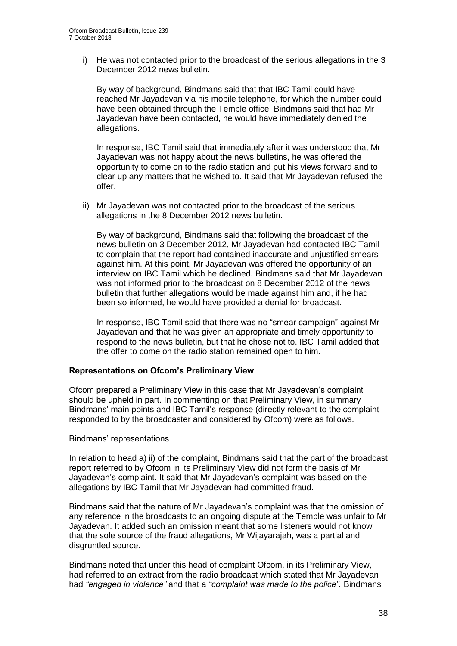i) He was not contacted prior to the broadcast of the serious allegations in the 3 December 2012 news bulletin.

By way of background, Bindmans said that that IBC Tamil could have reached Mr Jayadevan via his mobile telephone, for which the number could have been obtained through the Temple office. Bindmans said that had Mr Jayadevan have been contacted, he would have immediately denied the allegations.

In response, IBC Tamil said that immediately after it was understood that Mr Jayadevan was not happy about the news bulletins, he was offered the opportunity to come on to the radio station and put his views forward and to clear up any matters that he wished to. It said that Mr Jayadevan refused the offer.

ii) Mr Jayadevan was not contacted prior to the broadcast of the serious allegations in the 8 December 2012 news bulletin.

By way of background, Bindmans said that following the broadcast of the news bulletin on 3 December 2012, Mr Jayadevan had contacted IBC Tamil to complain that the report had contained inaccurate and unjustified smears against him. At this point, Mr Jayadevan was offered the opportunity of an interview on IBC Tamil which he declined. Bindmans said that Mr Jayadevan was not informed prior to the broadcast on 8 December 2012 of the news bulletin that further allegations would be made against him and, if he had been so informed, he would have provided a denial for broadcast.

In response, IBC Tamil said that there was no "smear campaign" against Mr Jayadevan and that he was given an appropriate and timely opportunity to respond to the news bulletin, but that he chose not to. IBC Tamil added that the offer to come on the radio station remained open to him.

#### **Representations on Ofcom's Preliminary View**

Ofcom prepared a Preliminary View in this case that Mr Jayadevan's complaint should be upheld in part. In commenting on that Preliminary View, in summary Bindmans' main points and IBC Tamil's response (directly relevant to the complaint responded to by the broadcaster and considered by Ofcom) were as follows.

#### Bindmans' representations

In relation to head a) ii) of the complaint, Bindmans said that the part of the broadcast report referred to by Ofcom in its Preliminary View did not form the basis of Mr Jayadevan's complaint. It said that Mr Jayadevan's complaint was based on the allegations by IBC Tamil that Mr Jayadevan had committed fraud.

Bindmans said that the nature of Mr Jayadevan's complaint was that the omission of any reference in the broadcasts to an ongoing dispute at the Temple was unfair to Mr Jayadevan. It added such an omission meant that some listeners would not know that the sole source of the fraud allegations, Mr Wijayarajah, was a partial and disgruntled source.

Bindmans noted that under this head of complaint Ofcom, in its Preliminary View, had referred to an extract from the radio broadcast which stated that Mr Jayadevan had *"engaged in violence"* and that a *"complaint was made to the police".* Bindmans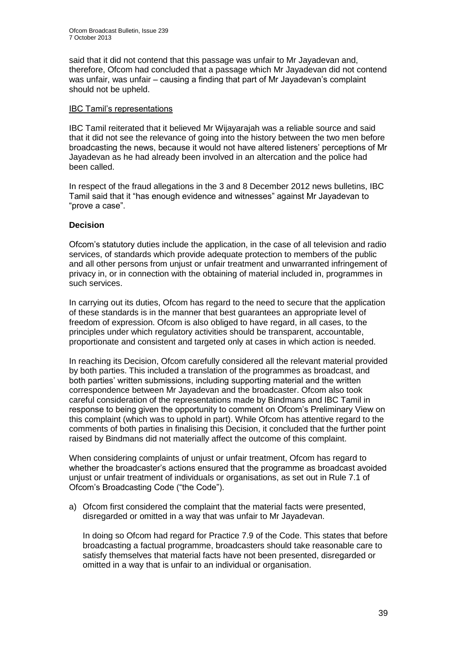said that it did not contend that this passage was unfair to Mr Jayadevan and, therefore, Ofcom had concluded that a passage which Mr Jayadevan did not contend was unfair, was unfair – causing a finding that part of Mr Jayadevan's complaint should not be upheld.

#### IBC Tamil's representations

IBC Tamil reiterated that it believed Mr Wijayarajah was a reliable source and said that it did not see the relevance of going into the history between the two men before broadcasting the news, because it would not have altered listeners' perceptions of Mr Jayadevan as he had already been involved in an altercation and the police had been called.

In respect of the fraud allegations in the 3 and 8 December 2012 news bulletins, IBC Tamil said that it "has enough evidence and witnesses" against Mr Jayadevan to "prove a case".

#### **Decision**

Ofcom's statutory duties include the application, in the case of all television and radio services, of standards which provide adequate protection to members of the public and all other persons from unjust or unfair treatment and unwarranted infringement of privacy in, or in connection with the obtaining of material included in, programmes in such services.

In carrying out its duties, Ofcom has regard to the need to secure that the application of these standards is in the manner that best guarantees an appropriate level of freedom of expression. Ofcom is also obliged to have regard, in all cases, to the principles under which regulatory activities should be transparent, accountable, proportionate and consistent and targeted only at cases in which action is needed.

In reaching its Decision, Ofcom carefully considered all the relevant material provided by both parties. This included a translation of the programmes as broadcast, and both parties' written submissions, including supporting material and the written correspondence between Mr Jayadevan and the broadcaster. Ofcom also took careful consideration of the representations made by Bindmans and IBC Tamil in response to being given the opportunity to comment on Ofcom's Preliminary View on this complaint (which was to uphold in part). While Ofcom has attentive regard to the comments of both parties in finalising this Decision, it concluded that the further point raised by Bindmans did not materially affect the outcome of this complaint.

When considering complaints of unjust or unfair treatment, Ofcom has regard to whether the broadcaster's actions ensured that the programme as broadcast avoided unjust or unfair treatment of individuals or organisations, as set out in Rule 7.1 of Ofcom's Broadcasting Code ("the Code").

a) Ofcom first considered the complaint that the material facts were presented, disregarded or omitted in a way that was unfair to Mr Jayadevan.

In doing so Ofcom had regard for Practice 7.9 of the Code. This states that before broadcasting a factual programme, broadcasters should take reasonable care to satisfy themselves that material facts have not been presented, disregarded or omitted in a way that is unfair to an individual or organisation.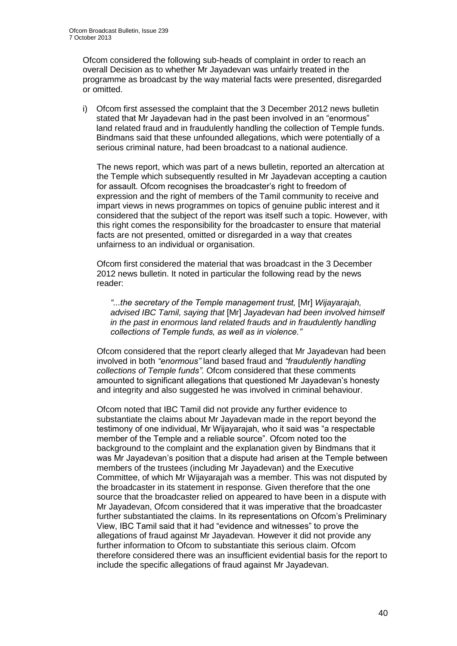Ofcom considered the following sub-heads of complaint in order to reach an overall Decision as to whether Mr Jayadevan was unfairly treated in the programme as broadcast by the way material facts were presented, disregarded or omitted.

i) Ofcom first assessed the complaint that the 3 December 2012 news bulletin stated that Mr Jayadevan had in the past been involved in an "enormous" land related fraud and in fraudulently handling the collection of Temple funds. Bindmans said that these unfounded allegations, which were potentially of a serious criminal nature, had been broadcast to a national audience.

The news report, which was part of a news bulletin, reported an altercation at the Temple which subsequently resulted in Mr Jayadevan accepting a caution for assault. Ofcom recognises the broadcaster's right to freedom of expression and the right of members of the Tamil community to receive and impart views in news programmes on topics of genuine public interest and it considered that the subject of the report was itself such a topic. However, with this right comes the responsibility for the broadcaster to ensure that material facts are not presented, omitted or disregarded in a way that creates unfairness to an individual or organisation.

Ofcom first considered the material that was broadcast in the 3 December 2012 news bulletin. It noted in particular the following read by the news reader:

*"...the secretary of the Temple management trust,* [Mr] *Wijayarajah, advised IBC Tamil, saying that* [Mr] *Jayadevan had been involved himself in the past in enormous land related frauds and in fraudulently handling collections of Temple funds, as well as in violence."*

Ofcom considered that the report clearly alleged that Mr Jayadevan had been involved in both *"enormous"* land based fraud and *"fraudulently handling collections of Temple funds".* Ofcom considered that these comments amounted to significant allegations that questioned Mr Jayadevan's honesty and integrity and also suggested he was involved in criminal behaviour.

Ofcom noted that IBC Tamil did not provide any further evidence to substantiate the claims about Mr Jayadevan made in the report beyond the testimony of one individual, Mr Wijayarajah, who it said was "a respectable member of the Temple and a reliable source". Ofcom noted too the background to the complaint and the explanation given by Bindmans that it was Mr Jayadevan's position that a dispute had arisen at the Temple between members of the trustees (including Mr Jayadevan) and the Executive Committee, of which Mr Wijayarajah was a member. This was not disputed by the broadcaster in its statement in response. Given therefore that the one source that the broadcaster relied on appeared to have been in a dispute with Mr Jayadevan, Ofcom considered that it was imperative that the broadcaster further substantiated the claims. In its representations on Ofcom's Preliminary View, IBC Tamil said that it had "evidence and witnesses" to prove the allegations of fraud against Mr Jayadevan. However it did not provide any further information to Ofcom to substantiate this serious claim. Ofcom therefore considered there was an insufficient evidential basis for the report to include the specific allegations of fraud against Mr Jayadevan.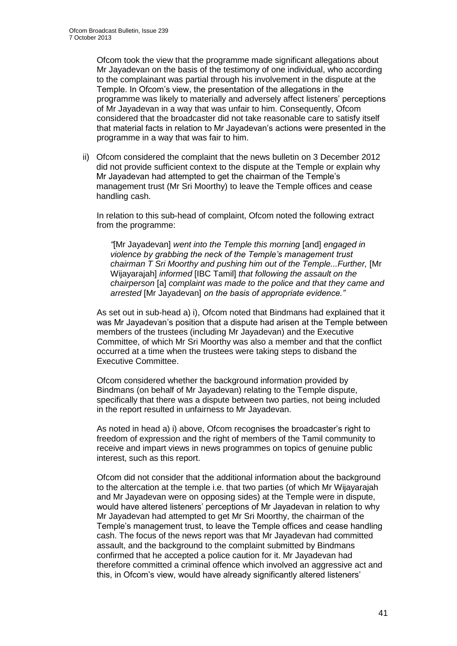Ofcom took the view that the programme made significant allegations about Mr Jayadevan on the basis of the testimony of one individual, who according to the complainant was partial through his involvement in the dispute at the Temple. In Ofcom's view, the presentation of the allegations in the programme was likely to materially and adversely affect listeners' perceptions of Mr Jayadevan in a way that was unfair to him. Consequently, Ofcom considered that the broadcaster did not take reasonable care to satisfy itself that material facts in relation to Mr Jayadevan's actions were presented in the programme in a way that was fair to him.

ii) Ofcom considered the complaint that the news bulletin on 3 December 2012 did not provide sufficient context to the dispute at the Temple or explain why Mr Jayadevan had attempted to get the chairman of the Temple's management trust (Mr Sri Moorthy) to leave the Temple offices and cease handling cash.

In relation to this sub-head of complaint, Ofcom noted the following extract from the programme:

*"*[Mr Jayadevan] *went into the Temple this morning* [and] *engaged in violence by grabbing the neck of the Temple's management trust chairman T Sri Moorthy and pushing him out of the Temple...Further,* [Mr Wijayarajah] *informed* [IBC Tamil] *that following the assault on the chairperson* [a] *complaint was made to the police and that they came and arrested* [Mr Jayadevan] *on the basis of appropriate evidence."*

As set out in sub-head a) i), Ofcom noted that Bindmans had explained that it was Mr Jayadevan's position that a dispute had arisen at the Temple between members of the trustees (including Mr Jayadevan) and the Executive Committee, of which Mr Sri Moorthy was also a member and that the conflict occurred at a time when the trustees were taking steps to disband the Executive Committee.

Ofcom considered whether the background information provided by Bindmans (on behalf of Mr Jayadevan) relating to the Temple dispute, specifically that there was a dispute between two parties, not being included in the report resulted in unfairness to Mr Jayadevan.

As noted in head a) i) above, Ofcom recognises the broadcaster's right to freedom of expression and the right of members of the Tamil community to receive and impart views in news programmes on topics of genuine public interest, such as this report.

Ofcom did not consider that the additional information about the background to the altercation at the temple i.e. that two parties (of which Mr Wijayarajah and Mr Jayadevan were on opposing sides) at the Temple were in dispute, would have altered listeners' perceptions of Mr Jayadevan in relation to why Mr Jayadevan had attempted to get Mr Sri Moorthy, the chairman of the Temple's management trust, to leave the Temple offices and cease handling cash. The focus of the news report was that Mr Jayadevan had committed assault, and the background to the complaint submitted by Bindmans confirmed that he accepted a police caution for it. Mr Jayadevan had therefore committed a criminal offence which involved an aggressive act and this, in Ofcom's view, would have already significantly altered listeners'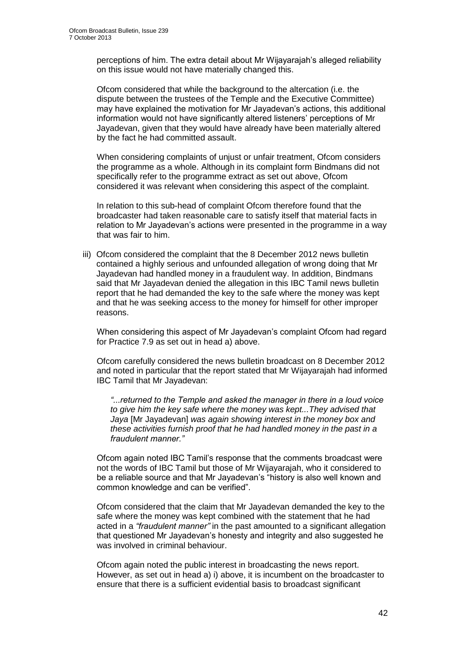perceptions of him. The extra detail about Mr Wijayarajah's alleged reliability on this issue would not have materially changed this.

Ofcom considered that while the background to the altercation (i.e. the dispute between the trustees of the Temple and the Executive Committee) may have explained the motivation for Mr Jayadevan's actions, this additional information would not have significantly altered listeners' perceptions of Mr Jayadevan, given that they would have already have been materially altered by the fact he had committed assault.

When considering complaints of unjust or unfair treatment. Ofcom considers the programme as a whole. Although in its complaint form Bindmans did not specifically refer to the programme extract as set out above, Ofcom considered it was relevant when considering this aspect of the complaint.

In relation to this sub-head of complaint Ofcom therefore found that the broadcaster had taken reasonable care to satisfy itself that material facts in relation to Mr Jayadevan's actions were presented in the programme in a way that was fair to him.

iii) Ofcom considered the complaint that the 8 December 2012 news bulletin contained a highly serious and unfounded allegation of wrong doing that Mr Jayadevan had handled money in a fraudulent way. In addition, Bindmans said that Mr Jayadevan denied the allegation in this IBC Tamil news bulletin report that he had demanded the key to the safe where the money was kept and that he was seeking access to the money for himself for other improper reasons.

When considering this aspect of Mr Jayadevan's complaint Ofcom had regard for Practice 7.9 as set out in head a) above.

Ofcom carefully considered the news bulletin broadcast on 8 December 2012 and noted in particular that the report stated that Mr Wijayarajah had informed IBC Tamil that Mr Jayadevan:

*"...returned to the Temple and asked the manager in there in a loud voice to give him the key safe where the money was kept...They advised that Jaya* [Mr Jayadevan] *was again showing interest in the money box and these activities furnish proof that he had handled money in the past in a fraudulent manner."*

Ofcom again noted IBC Tamil's response that the comments broadcast were not the words of IBC Tamil but those of Mr Wijayarajah, who it considered to be a reliable source and that Mr Jayadevan's "history is also well known and common knowledge and can be verified".

Ofcom considered that the claim that Mr Jayadevan demanded the key to the safe where the money was kept combined with the statement that he had acted in a *"fraudulent manner"* in the past amounted to a significant allegation that questioned Mr Jayadevan's honesty and integrity and also suggested he was involved in criminal behaviour.

Ofcom again noted the public interest in broadcasting the news report. However, as set out in head a) i) above, it is incumbent on the broadcaster to ensure that there is a sufficient evidential basis to broadcast significant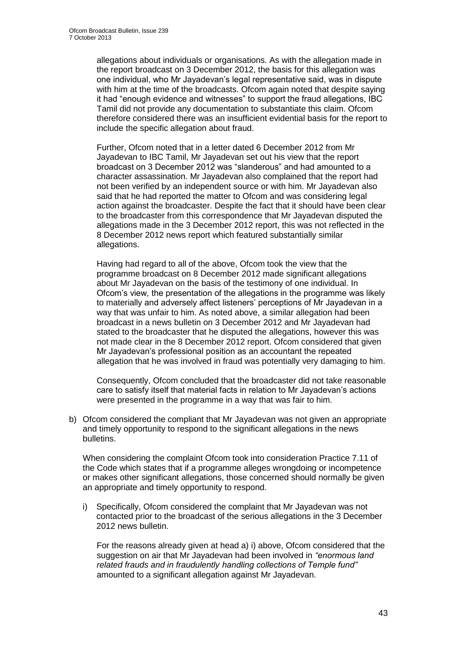allegations about individuals or organisations. As with the allegation made in the report broadcast on 3 December 2012, the basis for this allegation was one individual, who Mr Jayadevan's legal representative said, was in dispute with him at the time of the broadcasts. Ofcom again noted that despite saying it had "enough evidence and witnesses" to support the fraud allegations, IBC Tamil did not provide any documentation to substantiate this claim. Ofcom therefore considered there was an insufficient evidential basis for the report to include the specific allegation about fraud.

Further, Ofcom noted that in a letter dated 6 December 2012 from Mr Jayadevan to IBC Tamil, Mr Jayadevan set out his view that the report broadcast on 3 December 2012 was "slanderous" and had amounted to a character assassination. Mr Jayadevan also complained that the report had not been verified by an independent source or with him. Mr Jayadevan also said that he had reported the matter to Ofcom and was considering legal action against the broadcaster. Despite the fact that it should have been clear to the broadcaster from this correspondence that Mr Jayadevan disputed the allegations made in the 3 December 2012 report, this was not reflected in the 8 December 2012 news report which featured substantially similar allegations.

Having had regard to all of the above, Ofcom took the view that the programme broadcast on 8 December 2012 made significant allegations about Mr Jayadevan on the basis of the testimony of one individual. In Ofcom's view, the presentation of the allegations in the programme was likely to materially and adversely affect listeners' perceptions of Mr Jayadevan in a way that was unfair to him. As noted above, a similar allegation had been broadcast in a news bulletin on 3 December 2012 and Mr Jayadevan had stated to the broadcaster that he disputed the allegations, however this was not made clear in the 8 December 2012 report. Ofcom considered that given Mr Jayadevan's professional position as an accountant the repeated allegation that he was involved in fraud was potentially very damaging to him.

Consequently, Ofcom concluded that the broadcaster did not take reasonable care to satisfy itself that material facts in relation to Mr Jayadevan's actions were presented in the programme in a way that was fair to him.

b) Ofcom considered the compliant that Mr Jayadevan was not given an appropriate and timely opportunity to respond to the significant allegations in the news bulletins.

When considering the complaint Ofcom took into consideration Practice 7.11 of the Code which states that if a programme alleges wrongdoing or incompetence or makes other significant allegations, those concerned should normally be given an appropriate and timely opportunity to respond.

i) Specifically, Ofcom considered the complaint that Mr Jayadevan was not contacted prior to the broadcast of the serious allegations in the 3 December 2012 news bulletin.

For the reasons already given at head a) i) above, Ofcom considered that the suggestion on air that Mr Jayadevan had been involved in *"enormous land related frauds and in fraudulently handling collections of Temple fund"*  amounted to a significant allegation against Mr Jayadevan.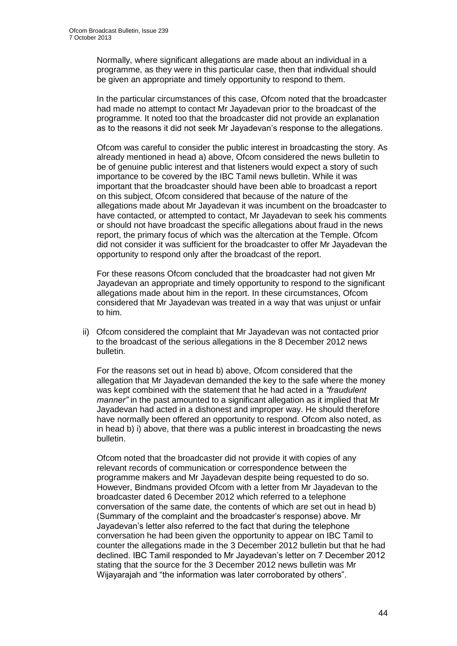Normally, where significant allegations are made about an individual in a programme, as they were in this particular case, then that individual should be given an appropriate and timely opportunity to respond to them.

In the particular circumstances of this case, Ofcom noted that the broadcaster had made no attempt to contact Mr Jayadevan prior to the broadcast of the programme. It noted too that the broadcaster did not provide an explanation as to the reasons it did not seek Mr Jayadevan's response to the allegations.

Ofcom was careful to consider the public interest in broadcasting the story. As already mentioned in head a) above, Ofcom considered the news bulletin to be of genuine public interest and that listeners would expect a story of such importance to be covered by the IBC Tamil news bulletin. While it was important that the broadcaster should have been able to broadcast a report on this subject, Ofcom considered that because of the nature of the allegations made about Mr Jayadevan it was incumbent on the broadcaster to have contacted, or attempted to contact, Mr Jayadevan to seek his comments or should not have broadcast the specific allegations about fraud in the news report, the primary focus of which was the altercation at the Temple. Ofcom did not consider it was sufficient for the broadcaster to offer Mr Jayadevan the opportunity to respond only after the broadcast of the report.

For these reasons Ofcom concluded that the broadcaster had not given Mr Jayadevan an appropriate and timely opportunity to respond to the significant allegations made about him in the report. In these circumstances, Ofcom considered that Mr Jayadevan was treated in a way that was unjust or unfair to him.

ii) Ofcom considered the complaint that Mr Jayadevan was not contacted prior to the broadcast of the serious allegations in the 8 December 2012 news bulletin.

For the reasons set out in head b) above, Ofcom considered that the allegation that Mr Jayadevan demanded the key to the safe where the money was kept combined with the statement that he had acted in a *"fraudulent manner"* in the past amounted to a significant allegation as it implied that Mr Jayadevan had acted in a dishonest and improper way. He should therefore have normally been offered an opportunity to respond. Ofcom also noted, as in head b) i) above, that there was a public interest in broadcasting the news bulletin.

Ofcom noted that the broadcaster did not provide it with copies of any relevant records of communication or correspondence between the programme makers and Mr Jayadevan despite being requested to do so. However, Bindmans provided Ofcom with a letter from Mr Jayadevan to the broadcaster dated 6 December 2012 which referred to a telephone conversation of the same date, the contents of which are set out in head b) (Summary of the complaint and the broadcaster's response) above. Mr Jayadevan's letter also referred to the fact that during the telephone conversation he had been given the opportunity to appear on IBC Tamil to counter the allegations made in the 3 December 2012 bulletin but that he had declined. IBC Tamil responded to Mr Jayadevan's letter on 7 December 2012 stating that the source for the 3 December 2012 news bulletin was Mr Wijayarajah and "the information was later corroborated by others".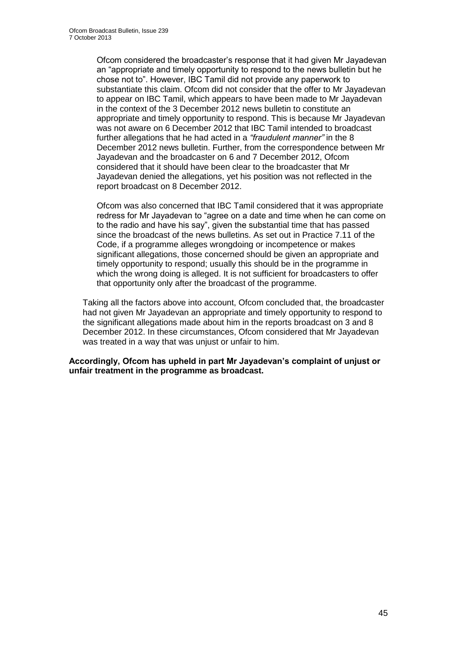Ofcom considered the broadcaster's response that it had given Mr Jayadevan an "appropriate and timely opportunity to respond to the news bulletin but he chose not to". However, IBC Tamil did not provide any paperwork to substantiate this claim. Ofcom did not consider that the offer to Mr Jayadevan to appear on IBC Tamil, which appears to have been made to Mr Jayadevan in the context of the 3 December 2012 news bulletin to constitute an appropriate and timely opportunity to respond. This is because Mr Jayadevan was not aware on 6 December 2012 that IBC Tamil intended to broadcast further allegations that he had acted in a *"fraudulent manner"* in the 8 December 2012 news bulletin. Further, from the correspondence between Mr Jayadevan and the broadcaster on 6 and 7 December 2012, Ofcom considered that it should have been clear to the broadcaster that Mr Jayadevan denied the allegations, yet his position was not reflected in the report broadcast on 8 December 2012.

Ofcom was also concerned that IBC Tamil considered that it was appropriate redress for Mr Jayadevan to "agree on a date and time when he can come on to the radio and have his say", given the substantial time that has passed since the broadcast of the news bulletins. As set out in Practice 7.11 of the Code, if a programme alleges wrongdoing or incompetence or makes significant allegations, those concerned should be given an appropriate and timely opportunity to respond; usually this should be in the programme in which the wrong doing is alleged. It is not sufficient for broadcasters to offer that opportunity only after the broadcast of the programme.

Taking all the factors above into account, Ofcom concluded that, the broadcaster had not given Mr Jayadevan an appropriate and timely opportunity to respond to the significant allegations made about him in the reports broadcast on 3 and 8 December 2012. In these circumstances, Ofcom considered that Mr Jayadevan was treated in a way that was unjust or unfair to him.

**Accordingly, Ofcom has upheld in part Mr Jayadevan's complaint of unjust or unfair treatment in the programme as broadcast.**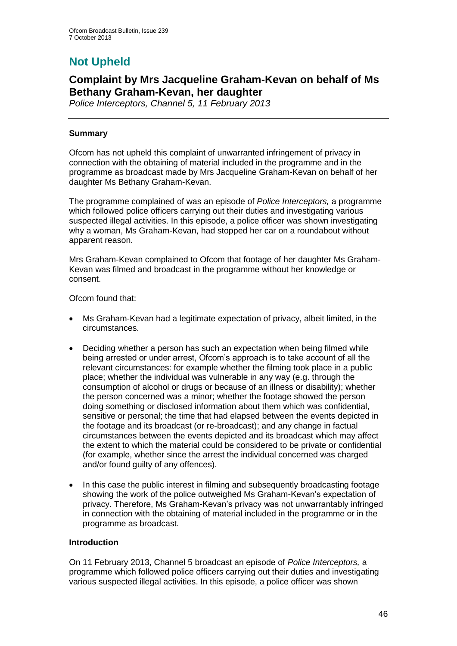# **Not Upheld**

## **Complaint by Mrs Jacqueline Graham-Kevan on behalf of Ms Bethany Graham-Kevan, her daughter**

*Police Interceptors, Channel 5, 11 February 2013*

#### **Summary**

Ofcom has not upheld this complaint of unwarranted infringement of privacy in connection with the obtaining of material included in the programme and in the programme as broadcast made by Mrs Jacqueline Graham-Kevan on behalf of her daughter Ms Bethany Graham-Kevan.

The programme complained of was an episode of *Police Interceptors,* a programme which followed police officers carrying out their duties and investigating various suspected illegal activities. In this episode, a police officer was shown investigating why a woman, Ms Graham-Kevan, had stopped her car on a roundabout without apparent reason.

Mrs Graham-Kevan complained to Ofcom that footage of her daughter Ms Graham-Kevan was filmed and broadcast in the programme without her knowledge or consent.

Ofcom found that:

- Ms Graham-Kevan had a legitimate expectation of privacy, albeit limited, in the circumstances.
- Deciding whether a person has such an expectation when being filmed while being arrested or under arrest, Ofcom's approach is to take account of all the relevant circumstances: for example whether the filming took place in a public place; whether the individual was vulnerable in any way (e.g. through the consumption of alcohol or drugs or because of an illness or disability); whether the person concerned was a minor; whether the footage showed the person doing something or disclosed information about them which was confidential, sensitive or personal; the time that had elapsed between the events depicted in the footage and its broadcast (or re-broadcast); and any change in factual circumstances between the events depicted and its broadcast which may affect the extent to which the material could be considered to be private or confidential (for example, whether since the arrest the individual concerned was charged and/or found guilty of any offences).
- In this case the public interest in filming and subsequently broadcasting footage showing the work of the police outweighed Ms Graham-Kevan's expectation of privacy. Therefore, Ms Graham-Kevan's privacy was not unwarrantably infringed in connection with the obtaining of material included in the programme or in the programme as broadcast.

#### **Introduction**

On 11 February 2013, Channel 5 broadcast an episode of *Police Interceptors,* a programme which followed police officers carrying out their duties and investigating various suspected illegal activities. In this episode, a police officer was shown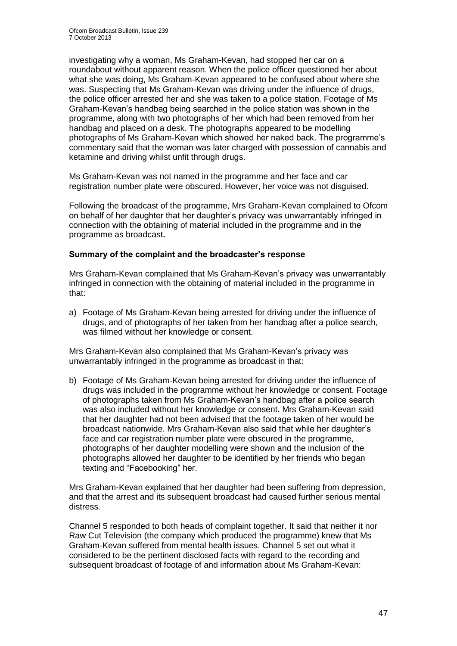investigating why a woman, Ms Graham-Kevan, had stopped her car on a roundabout without apparent reason. When the police officer questioned her about what she was doing, Ms Graham-Kevan appeared to be confused about where she was. Suspecting that Ms Graham-Kevan was driving under the influence of drugs, the police officer arrested her and she was taken to a police station. Footage of Ms Graham-Kevan's handbag being searched in the police station was shown in the programme, along with two photographs of her which had been removed from her handbag and placed on a desk. The photographs appeared to be modelling photographs of Ms Graham-Kevan which showed her naked back. The programme's commentary said that the woman was later charged with possession of cannabis and ketamine and driving whilst unfit through drugs.

Ms Graham-Kevan was not named in the programme and her face and car registration number plate were obscured. However, her voice was not disguised.

Following the broadcast of the programme, Mrs Graham-Kevan complained to Ofcom on behalf of her daughter that her daughter's privacy was unwarrantably infringed in connection with the obtaining of material included in the programme and in the programme as broadcast**.**

#### **Summary of the complaint and the broadcaster's response**

Mrs Graham-Kevan complained that Ms Graham-Kevan's privacy was unwarrantably infringed in connection with the obtaining of material included in the programme in that:

a) Footage of Ms Graham-Kevan being arrested for driving under the influence of drugs, and of photographs of her taken from her handbag after a police search, was filmed without her knowledge or consent.

Mrs Graham-Kevan also complained that Ms Graham-Kevan's privacy was unwarrantably infringed in the programme as broadcast in that:

b) Footage of Ms Graham-Kevan being arrested for driving under the influence of drugs was included in the programme without her knowledge or consent. Footage of photographs taken from Ms Graham-Kevan's handbag after a police search was also included without her knowledge or consent. Mrs Graham-Kevan said that her daughter had not been advised that the footage taken of her would be broadcast nationwide. Mrs Graham-Kevan also said that while her daughter's face and car registration number plate were obscured in the programme, photographs of her daughter modelling were shown and the inclusion of the photographs allowed her daughter to be identified by her friends who began texting and "Facebooking" her.

Mrs Graham-Kevan explained that her daughter had been suffering from depression, and that the arrest and its subsequent broadcast had caused further serious mental distress.

Channel 5 responded to both heads of complaint together. It said that neither it nor Raw Cut Television (the company which produced the programme) knew that Ms Graham-Kevan suffered from mental health issues. Channel 5 set out what it considered to be the pertinent disclosed facts with regard to the recording and subsequent broadcast of footage of and information about Ms Graham-Kevan: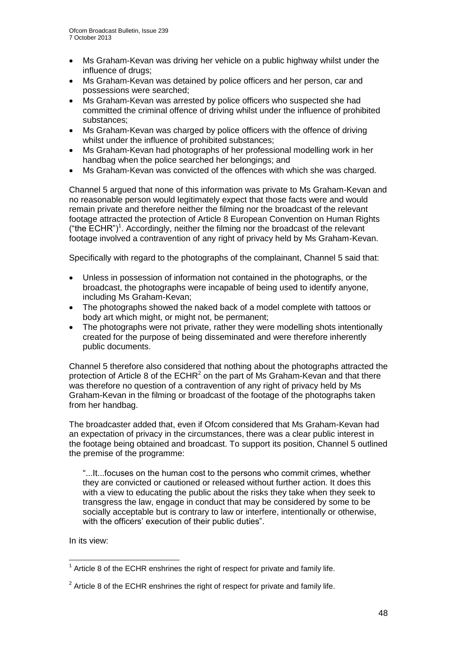- Ms Graham-Kevan was driving her vehicle on a public highway whilst under the influence of drugs;
- Ms Graham-Kevan was detained by police officers and her person, car and possessions were searched;
- Ms Graham-Kevan was arrested by police officers who suspected she had committed the criminal offence of driving whilst under the influence of prohibited substances;
- Ms Graham-Kevan was charged by police officers with the offence of driving whilst under the influence of prohibited substances;
- Ms Graham-Kevan had photographs of her professional modelling work in her handbag when the police searched her belongings; and
- Ms Graham-Kevan was convicted of the offences with which she was charged.

Channel 5 argued that none of this information was private to Ms Graham-Kevan and no reasonable person would legitimately expect that those facts were and would remain private and therefore neither the filming nor the broadcast of the relevant footage attracted the protection of Article 8 European Convention on Human Rights ("the  $\text{ECHR}$ ")<sup>1</sup>. Accordingly, neither the filming nor the broadcast of the relevant footage involved a contravention of any right of privacy held by Ms Graham-Kevan.

Specifically with regard to the photographs of the complainant, Channel 5 said that:

- Unless in possession of information not contained in the photographs, or the broadcast, the photographs were incapable of being used to identify anyone, including Ms Graham-Kevan;
- The photographs showed the naked back of a model complete with tattoos or body art which might, or might not, be permanent;
- The photographs were not private, rather they were modelling shots intentionally created for the purpose of being disseminated and were therefore inherently public documents.

Channel 5 therefore also considered that nothing about the photographs attracted the protection of Article 8 of the  $ECHR<sup>2</sup>$  on the part of Ms Graham-Kevan and that there was therefore no question of a contravention of any right of privacy held by Ms Graham-Kevan in the filming or broadcast of the footage of the photographs taken from her handbag.

The broadcaster added that, even if Ofcom considered that Ms Graham-Kevan had an expectation of privacy in the circumstances, there was a clear public interest in the footage being obtained and broadcast. To support its position, Channel 5 outlined the premise of the programme:

"...It...focuses on the human cost to the persons who commit crimes, whether they are convicted or cautioned or released without further action. It does this with a view to educating the public about the risks they take when they seek to transgress the law, engage in conduct that may be considered by some to be socially acceptable but is contrary to law or interfere, intentionally or otherwise, with the officers' execution of their public duties".

In its view:

<sup>1</sup>  $1$  Article 8 of the ECHR enshrines the right of respect for private and family life.

 $2$  Article 8 of the ECHR enshrines the right of respect for private and family life.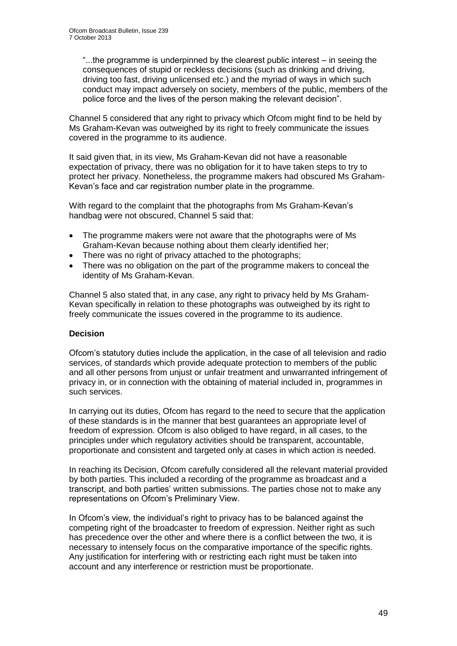"...the programme is underpinned by the clearest public interest – in seeing the consequences of stupid or reckless decisions (such as drinking and driving, driving too fast, driving unlicensed etc.) and the myriad of ways in which such conduct may impact adversely on society, members of the public, members of the police force and the lives of the person making the relevant decision".

Channel 5 considered that any right to privacy which Ofcom might find to be held by Ms Graham-Kevan was outweighed by its right to freely communicate the issues covered in the programme to its audience.

It said given that, in its view, Ms Graham-Kevan did not have a reasonable expectation of privacy, there was no obligation for it to have taken steps to try to protect her privacy. Nonetheless, the programme makers had obscured Ms Graham-Kevan's face and car registration number plate in the programme.

With regard to the complaint that the photographs from Ms Graham-Kevan's handbag were not obscured, Channel 5 said that:

- The programme makers were not aware that the photographs were of Ms Graham-Kevan because nothing about them clearly identified her;
- There was no right of privacy attached to the photographs;
- There was no obligation on the part of the programme makers to conceal the identity of Ms Graham-Kevan.

Channel 5 also stated that, in any case, any right to privacy held by Ms Graham-Kevan specifically in relation to these photographs was outweighed by its right to freely communicate the issues covered in the programme to its audience.

#### **Decision**

Ofcom's statutory duties include the application, in the case of all television and radio services, of standards which provide adequate protection to members of the public and all other persons from unjust or unfair treatment and unwarranted infringement of privacy in, or in connection with the obtaining of material included in, programmes in such services.

In carrying out its duties, Ofcom has regard to the need to secure that the application of these standards is in the manner that best guarantees an appropriate level of freedom of expression. Ofcom is also obliged to have regard, in all cases, to the principles under which regulatory activities should be transparent, accountable, proportionate and consistent and targeted only at cases in which action is needed.

In reaching its Decision, Ofcom carefully considered all the relevant material provided by both parties. This included a recording of the programme as broadcast and a transcript, and both parties' written submissions. The parties chose not to make any representations on Ofcom's Preliminary View.

In Ofcom's view, the individual's right to privacy has to be balanced against the competing right of the broadcaster to freedom of expression. Neither right as such has precedence over the other and where there is a conflict between the two, it is necessary to intensely focus on the comparative importance of the specific rights. Any justification for interfering with or restricting each right must be taken into account and any interference or restriction must be proportionate.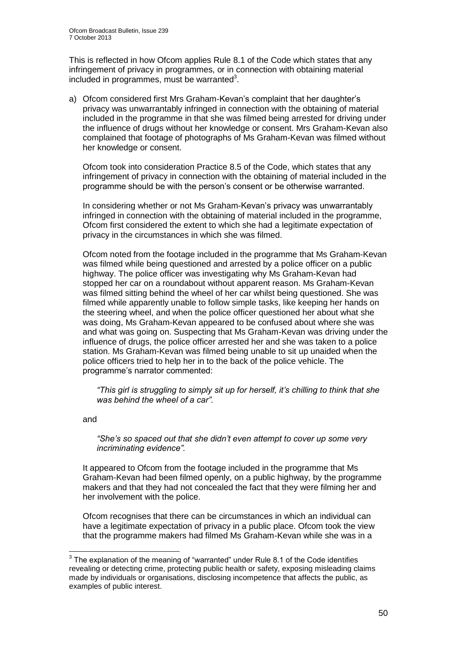This is reflected in how Ofcom applies Rule 8.1 of the Code which states that any infringement of privacy in programmes, or in connection with obtaining material included in programmes, must be warranted $3$ .

a) Ofcom considered first Mrs Graham-Kevan's complaint that her daughter's privacy was unwarrantably infringed in connection with the obtaining of material included in the programme in that she was filmed being arrested for driving under the influence of drugs without her knowledge or consent. Mrs Graham-Kevan also complained that footage of photographs of Ms Graham-Kevan was filmed without her knowledge or consent.

Ofcom took into consideration Practice 8.5 of the Code, which states that any infringement of privacy in connection with the obtaining of material included in the programme should be with the person's consent or be otherwise warranted.

In considering whether or not Ms Graham-Kevan's privacy was unwarrantably infringed in connection with the obtaining of material included in the programme, Ofcom first considered the extent to which she had a legitimate expectation of privacy in the circumstances in which she was filmed.

Ofcom noted from the footage included in the programme that Ms Graham-Kevan was filmed while being questioned and arrested by a police officer on a public highway. The police officer was investigating why Ms Graham-Kevan had stopped her car on a roundabout without apparent reason. Ms Graham-Kevan was filmed sitting behind the wheel of her car whilst being questioned. She was filmed while apparently unable to follow simple tasks, like keeping her hands on the steering wheel, and when the police officer questioned her about what she was doing, Ms Graham-Kevan appeared to be confused about where she was and what was going on. Suspecting that Ms Graham-Kevan was driving under the influence of drugs, the police officer arrested her and she was taken to a police station. Ms Graham-Kevan was filmed being unable to sit up unaided when the police officers tried to help her in to the back of the police vehicle. The programme's narrator commented:

*"This girl is struggling to simply sit up for herself, it's chilling to think that she was behind the wheel of a car".*

and

*"She's so spaced out that she didn't even attempt to cover up some very incriminating evidence".*

It appeared to Ofcom from the footage included in the programme that Ms Graham-Kevan had been filmed openly, on a public highway, by the programme makers and that they had not concealed the fact that they were filming her and her involvement with the police.

Ofcom recognises that there can be circumstances in which an individual can have a legitimate expectation of privacy in a public place. Ofcom took the view that the programme makers had filmed Ms Graham-Kevan while she was in a

 3 The explanation of the meaning of "warranted" under Rule 8.1 of the Code identifies revealing or detecting crime, protecting public health or safety, exposing misleading claims made by individuals or organisations, disclosing incompetence that affects the public, as examples of public interest.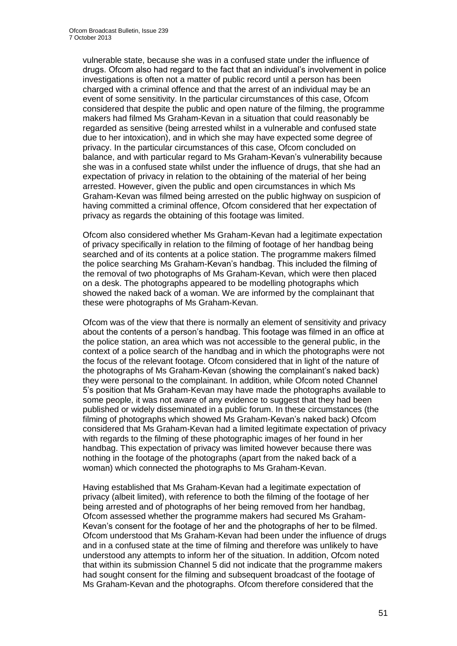vulnerable state, because she was in a confused state under the influence of drugs. Ofcom also had regard to the fact that an individual's involvement in police investigations is often not a matter of public record until a person has been charged with a criminal offence and that the arrest of an individual may be an event of some sensitivity. In the particular circumstances of this case, Ofcom considered that despite the public and open nature of the filming, the programme makers had filmed Ms Graham-Kevan in a situation that could reasonably be regarded as sensitive (being arrested whilst in a vulnerable and confused state due to her intoxication), and in which she may have expected some degree of privacy. In the particular circumstances of this case, Ofcom concluded on balance, and with particular regard to Ms Graham-Kevan's vulnerability because she was in a confused state whilst under the influence of drugs, that she had an expectation of privacy in relation to the obtaining of the material of her being arrested. However, given the public and open circumstances in which Ms Graham-Kevan was filmed being arrested on the public highway on suspicion of having committed a criminal offence, Ofcom considered that her expectation of privacy as regards the obtaining of this footage was limited.

Ofcom also considered whether Ms Graham-Kevan had a legitimate expectation of privacy specifically in relation to the filming of footage of her handbag being searched and of its contents at a police station. The programme makers filmed the police searching Ms Graham-Kevan's handbag. This included the filming of the removal of two photographs of Ms Graham-Kevan, which were then placed on a desk. The photographs appeared to be modelling photographs which showed the naked back of a woman. We are informed by the complainant that these were photographs of Ms Graham-Kevan.

Ofcom was of the view that there is normally an element of sensitivity and privacy about the contents of a person's handbag. This footage was filmed in an office at the police station, an area which was not accessible to the general public, in the context of a police search of the handbag and in which the photographs were not the focus of the relevant footage. Ofcom considered that in light of the nature of the photographs of Ms Graham-Kevan (showing the complainant's naked back) they were personal to the complainant. In addition, while Ofcom noted Channel 5's position that Ms Graham-Kevan may have made the photographs available to some people, it was not aware of any evidence to suggest that they had been published or widely disseminated in a public forum. In these circumstances (the filming of photographs which showed Ms Graham-Kevan's naked back) Ofcom considered that Ms Graham-Kevan had a limited legitimate expectation of privacy with regards to the filming of these photographic images of her found in her handbag. This expectation of privacy was limited however because there was nothing in the footage of the photographs (apart from the naked back of a woman) which connected the photographs to Ms Graham-Kevan.

Having established that Ms Graham-Kevan had a legitimate expectation of privacy (albeit limited), with reference to both the filming of the footage of her being arrested and of photographs of her being removed from her handbag, Ofcom assessed whether the programme makers had secured Ms Graham-Kevan's consent for the footage of her and the photographs of her to be filmed. Ofcom understood that Ms Graham-Kevan had been under the influence of drugs and in a confused state at the time of filming and therefore was unlikely to have understood any attempts to inform her of the situation. In addition, Ofcom noted that within its submission Channel 5 did not indicate that the programme makers had sought consent for the filming and subsequent broadcast of the footage of Ms Graham-Kevan and the photographs. Ofcom therefore considered that the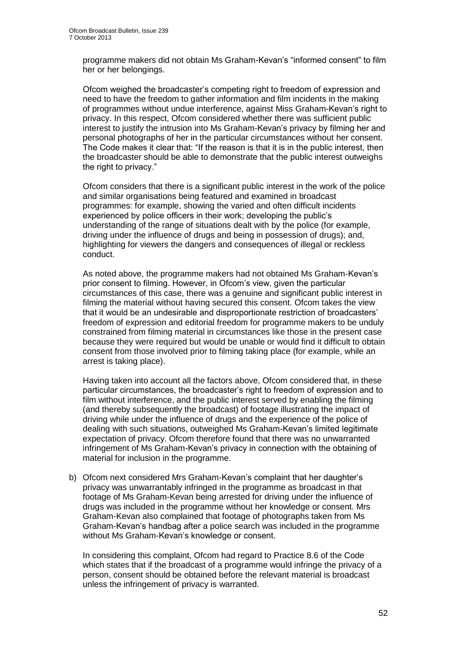programme makers did not obtain Ms Graham-Kevan's "informed consent" to film her or her belongings.

Ofcom weighed the broadcaster's competing right to freedom of expression and need to have the freedom to gather information and film incidents in the making of programmes without undue interference, against Miss Graham-Kevan's right to privacy. In this respect, Ofcom considered whether there was sufficient public interest to justify the intrusion into Ms Graham-Kevan's privacy by filming her and personal photographs of her in the particular circumstances without her consent. The Code makes it clear that: "If the reason is that it is in the public interest, then the broadcaster should be able to demonstrate that the public interest outweighs the right to privacy."

Ofcom considers that there is a significant public interest in the work of the police and similar organisations being featured and examined in broadcast programmes: for example, showing the varied and often difficult incidents experienced by police officers in their work; developing the public's understanding of the range of situations dealt with by the police (for example, driving under the influence of drugs and being in possession of drugs); and, highlighting for viewers the dangers and consequences of illegal or reckless conduct.

As noted above, the programme makers had not obtained Ms Graham-Kevan's prior consent to filming. However, in Ofcom's view, given the particular circumstances of this case, there was a genuine and significant public interest in filming the material without having secured this consent. Ofcom takes the view that it would be an undesirable and disproportionate restriction of broadcasters' freedom of expression and editorial freedom for programme makers to be unduly constrained from filming material in circumstances like those in the present case because they were required but would be unable or would find it difficult to obtain consent from those involved prior to filming taking place (for example, while an arrest is taking place).

Having taken into account all the factors above, Ofcom considered that, in these particular circumstances, the broadcaster's right to freedom of expression and to film without interference, and the public interest served by enabling the filming (and thereby subsequently the broadcast) of footage illustrating the impact of driving while under the influence of drugs and the experience of the police of dealing with such situations, outweighed Ms Graham-Kevan's limited legitimate expectation of privacy. Ofcom therefore found that there was no unwarranted infringement of Ms Graham-Kevan's privacy in connection with the obtaining of material for inclusion in the programme.

b) Ofcom next considered Mrs Graham-Kevan's complaint that her daughter's privacy was unwarrantably infringed in the programme as broadcast in that footage of Ms Graham-Kevan being arrested for driving under the influence of drugs was included in the programme without her knowledge or consent. Mrs Graham-Kevan also complained that footage of photographs taken from Ms Graham-Kevan's handbag after a police search was included in the programme without Ms Graham-Kevan's knowledge or consent.

In considering this complaint, Ofcom had regard to Practice 8.6 of the Code which states that if the broadcast of a programme would infringe the privacy of a person, consent should be obtained before the relevant material is broadcast unless the infringement of privacy is warranted.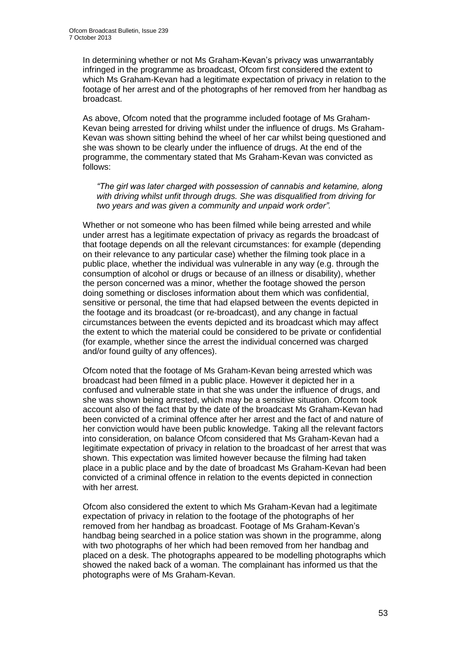In determining whether or not Ms Graham-Kevan's privacy was unwarrantably infringed in the programme as broadcast, Ofcom first considered the extent to which Ms Graham-Kevan had a legitimate expectation of privacy in relation to the footage of her arrest and of the photographs of her removed from her handbag as broadcast.

As above, Ofcom noted that the programme included footage of Ms Graham-Kevan being arrested for driving whilst under the influence of drugs. Ms Graham-Kevan was shown sitting behind the wheel of her car whilst being questioned and she was shown to be clearly under the influence of drugs. At the end of the programme, the commentary stated that Ms Graham-Kevan was convicted as follows:

*"The girl was later charged with possession of cannabis and ketamine, along with driving whilst unfit through drugs. She was disqualified from driving for two years and was given a community and unpaid work order".*

Whether or not someone who has been filmed while being arrested and while under arrest has a legitimate expectation of privacy as regards the broadcast of that footage depends on all the relevant circumstances: for example (depending on their relevance to any particular case) whether the filming took place in a public place, whether the individual was vulnerable in any way (e.g. through the consumption of alcohol or drugs or because of an illness or disability), whether the person concerned was a minor, whether the footage showed the person doing something or discloses information about them which was confidential, sensitive or personal, the time that had elapsed between the events depicted in the footage and its broadcast (or re-broadcast), and any change in factual circumstances between the events depicted and its broadcast which may affect the extent to which the material could be considered to be private or confidential (for example, whether since the arrest the individual concerned was charged and/or found guilty of any offences).

Ofcom noted that the footage of Ms Graham-Kevan being arrested which was broadcast had been filmed in a public place. However it depicted her in a confused and vulnerable state in that she was under the influence of drugs, and she was shown being arrested, which may be a sensitive situation. Ofcom took account also of the fact that by the date of the broadcast Ms Graham-Kevan had been convicted of a criminal offence after her arrest and the fact of and nature of her conviction would have been public knowledge. Taking all the relevant factors into consideration, on balance Ofcom considered that Ms Graham-Kevan had a legitimate expectation of privacy in relation to the broadcast of her arrest that was shown. This expectation was limited however because the filming had taken place in a public place and by the date of broadcast Ms Graham-Kevan had been convicted of a criminal offence in relation to the events depicted in connection with her arrest.

Ofcom also considered the extent to which Ms Graham-Kevan had a legitimate expectation of privacy in relation to the footage of the photographs of her removed from her handbag as broadcast. Footage of Ms Graham-Kevan's handbag being searched in a police station was shown in the programme, along with two photographs of her which had been removed from her handbag and placed on a desk. The photographs appeared to be modelling photographs which showed the naked back of a woman. The complainant has informed us that the photographs were of Ms Graham-Kevan.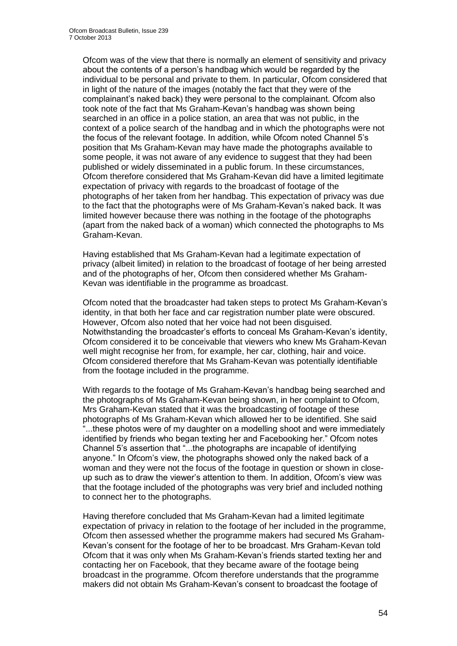Ofcom was of the view that there is normally an element of sensitivity and privacy about the contents of a person's handbag which would be regarded by the individual to be personal and private to them. In particular, Ofcom considered that in light of the nature of the images (notably the fact that they were of the complainant's naked back) they were personal to the complainant. Ofcom also took note of the fact that Ms Graham-Kevan's handbag was shown being searched in an office in a police station, an area that was not public, in the context of a police search of the handbag and in which the photographs were not the focus of the relevant footage. In addition, while Ofcom noted Channel 5's position that Ms Graham-Kevan may have made the photographs available to some people, it was not aware of any evidence to suggest that they had been published or widely disseminated in a public forum. In these circumstances, Ofcom therefore considered that Ms Graham-Kevan did have a limited legitimate expectation of privacy with regards to the broadcast of footage of the photographs of her taken from her handbag. This expectation of privacy was due to the fact that the photographs were of Ms Graham-Kevan's naked back. It was limited however because there was nothing in the footage of the photographs (apart from the naked back of a woman) which connected the photographs to Ms Graham-Kevan.

Having established that Ms Graham-Kevan had a legitimate expectation of privacy (albeit limited) in relation to the broadcast of footage of her being arrested and of the photographs of her, Ofcom then considered whether Ms Graham-Kevan was identifiable in the programme as broadcast.

Ofcom noted that the broadcaster had taken steps to protect Ms Graham-Kevan's identity, in that both her face and car registration number plate were obscured. However, Ofcom also noted that her voice had not been disguised. Notwithstanding the broadcaster's efforts to conceal Ms Graham-Kevan's identity, Ofcom considered it to be conceivable that viewers who knew Ms Graham-Kevan well might recognise her from, for example, her car, clothing, hair and voice. Ofcom considered therefore that Ms Graham-Kevan was potentially identifiable from the footage included in the programme.

With regards to the footage of Ms Graham-Kevan's handbag being searched and the photographs of Ms Graham-Kevan being shown, in her complaint to Ofcom, Mrs Graham-Kevan stated that it was the broadcasting of footage of these photographs of Ms Graham-Kevan which allowed her to be identified. She said ...these photos were of my daughter on a modelling shoot and were immediately identified by friends who began texting her and Facebooking her." Ofcom notes Channel 5's assertion that "...the photographs are incapable of identifying anyone." In Ofcom's view, the photographs showed only the naked back of a woman and they were not the focus of the footage in question or shown in closeup such as to draw the viewer's attention to them. In addition, Ofcom's view was that the footage included of the photographs was very brief and included nothing to connect her to the photographs.

Having therefore concluded that Ms Graham-Kevan had a limited legitimate expectation of privacy in relation to the footage of her included in the programme, Ofcom then assessed whether the programme makers had secured Ms Graham-Kevan's consent for the footage of her to be broadcast. Mrs Graham-Kevan told Ofcom that it was only when Ms Graham-Kevan's friends started texting her and contacting her on Facebook, that they became aware of the footage being broadcast in the programme. Ofcom therefore understands that the programme makers did not obtain Ms Graham-Kevan's consent to broadcast the footage of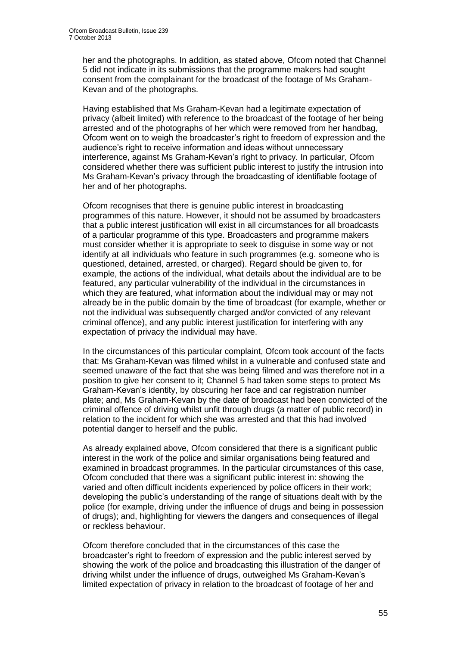her and the photographs. In addition, as stated above, Ofcom noted that Channel 5 did not indicate in its submissions that the programme makers had sought consent from the complainant for the broadcast of the footage of Ms Graham-Kevan and of the photographs.

Having established that Ms Graham-Kevan had a legitimate expectation of privacy (albeit limited) with reference to the broadcast of the footage of her being arrested and of the photographs of her which were removed from her handbag, Ofcom went on to weigh the broadcaster's right to freedom of expression and the audience's right to receive information and ideas without unnecessary interference, against Ms Graham-Kevan's right to privacy. In particular, Ofcom considered whether there was sufficient public interest to justify the intrusion into Ms Graham-Kevan's privacy through the broadcasting of identifiable footage of her and of her photographs.

Ofcom recognises that there is genuine public interest in broadcasting programmes of this nature. However, it should not be assumed by broadcasters that a public interest justification will exist in all circumstances for all broadcasts of a particular programme of this type. Broadcasters and programme makers must consider whether it is appropriate to seek to disguise in some way or not identify at all individuals who feature in such programmes (e.g. someone who is questioned, detained, arrested, or charged). Regard should be given to, for example, the actions of the individual, what details about the individual are to be featured, any particular vulnerability of the individual in the circumstances in which they are featured, what information about the individual may or may not already be in the public domain by the time of broadcast (for example, whether or not the individual was subsequently charged and/or convicted of any relevant criminal offence), and any public interest justification for interfering with any expectation of privacy the individual may have.

In the circumstances of this particular complaint, Ofcom took account of the facts that: Ms Graham-Kevan was filmed whilst in a vulnerable and confused state and seemed unaware of the fact that she was being filmed and was therefore not in a position to give her consent to it; Channel 5 had taken some steps to protect Ms Graham-Kevan's identity, by obscuring her face and car registration number plate; and, Ms Graham-Kevan by the date of broadcast had been convicted of the criminal offence of driving whilst unfit through drugs (a matter of public record) in relation to the incident for which she was arrested and that this had involved potential danger to herself and the public.

As already explained above, Ofcom considered that there is a significant public interest in the work of the police and similar organisations being featured and examined in broadcast programmes. In the particular circumstances of this case, Ofcom concluded that there was a significant public interest in: showing the varied and often difficult incidents experienced by police officers in their work; developing the public's understanding of the range of situations dealt with by the police (for example, driving under the influence of drugs and being in possession of drugs); and, highlighting for viewers the dangers and consequences of illegal or reckless behaviour.

Ofcom therefore concluded that in the circumstances of this case the broadcaster's right to freedom of expression and the public interest served by showing the work of the police and broadcasting this illustration of the danger of driving whilst under the influence of drugs, outweighed Ms Graham-Kevan's limited expectation of privacy in relation to the broadcast of footage of her and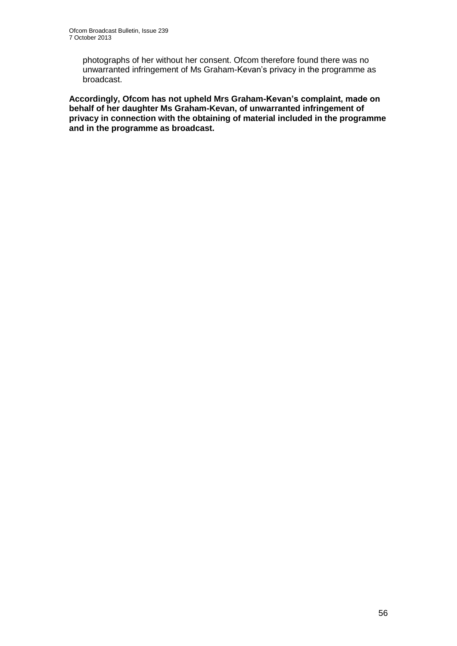photographs of her without her consent. Ofcom therefore found there was no unwarranted infringement of Ms Graham-Kevan's privacy in the programme as broadcast.

**Accordingly, Ofcom has not upheld Mrs Graham-Kevan's complaint, made on behalf of her daughter Ms Graham-Kevan, of unwarranted infringement of privacy in connection with the obtaining of material included in the programme and in the programme as broadcast.**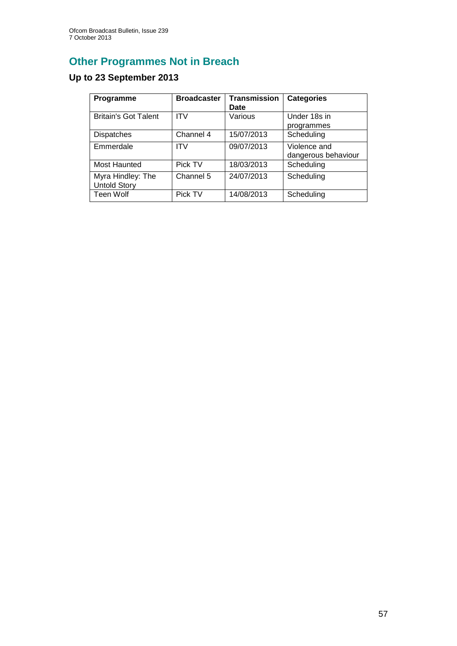# **Other Programmes Not in Breach**

# **Up to 23 September 2013**

| Programme                                | <b>Broadcaster</b> | <b>Transmission</b><br>Date | <b>Categories</b>                   |
|------------------------------------------|--------------------|-----------------------------|-------------------------------------|
| <b>Britain's Got Talent</b>              | <b>ITV</b>         | Various                     | Under 18s in<br>programmes          |
| <b>Dispatches</b>                        | Channel 4          | 15/07/2013                  | Scheduling                          |
| Emmerdale                                | <b>ITV</b>         | 09/07/2013                  | Violence and<br>dangerous behaviour |
| Most Haunted                             | Pick TV            | 18/03/2013                  | Scheduling                          |
| Myra Hindley: The<br><b>Untold Story</b> | Channel 5          | 24/07/2013                  | Scheduling                          |
| Teen Wolf                                | Pick TV            | 14/08/2013                  | Scheduling                          |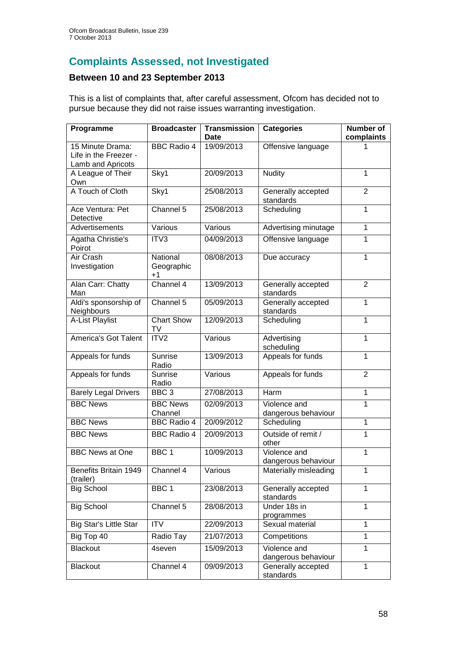# **Complaints Assessed, not Investigated**

### **Between 10 and 23 September 2013**

This is a list of complaints that, after careful assessment, Ofcom has decided not to pursue because they did not raise issues warranting investigation.

| Programme                                                      | <b>Broadcaster</b>           | <b>Transmission</b><br><b>Date</b> | <b>Categories</b>                   | <b>Number of</b><br>complaints |
|----------------------------------------------------------------|------------------------------|------------------------------------|-------------------------------------|--------------------------------|
| 15 Minute Drama:<br>Life in the Freezer -<br>Lamb and Apricots | <b>BBC</b> Radio 4           | 19/09/2013                         | Offensive language                  |                                |
| A League of Their<br>Own                                       | Sky1                         | 20/09/2013                         | <b>Nudity</b>                       | 1                              |
| A Touch of Cloth                                               | Sky1                         | 25/08/2013                         | Generally accepted<br>standards     | $\overline{2}$                 |
| Ace Ventura: Pet<br>Detective                                  | Channel 5                    | 25/08/2013                         | Scheduling                          | $\overline{1}$                 |
| Advertisements                                                 | Various                      | Various                            | Advertising minutage                | 1                              |
| Agatha Christie's<br>Poirot                                    | ITV3                         | 04/09/2013                         | Offensive language                  | 1                              |
| Air Crash<br>Investigation                                     | National<br>Geographic<br>+1 | 08/08/2013                         | Due accuracy                        | 1                              |
| Alan Carr: Chatty<br>Man                                       | Channel 4                    | 13/09/2013                         | Generally accepted<br>standards     | $\overline{2}$                 |
| Aldi's sponsorship of<br>Neighbours                            | Channel 5                    | 05/09/2013                         | Generally accepted<br>standards     | 1                              |
| A-List Playlist                                                | <b>Chart Show</b><br>TV      | 12/09/2013                         | Scheduling                          | 1                              |
| America's Got Talent                                           | ITV <sub>2</sub>             | Various                            | Advertising<br>scheduling           | $\mathbf{1}$                   |
| Appeals for funds                                              | Sunrise<br>Radio             | 13/09/2013                         | Appeals for funds                   | 1                              |
| Appeals for funds                                              | Sunrise<br>Radio             | Various                            | Appeals for funds                   | $\overline{2}$                 |
| <b>Barely Legal Drivers</b>                                    | BBC <sub>3</sub>             | 27/08/2013                         | Harm                                | $\mathbf{1}$                   |
| <b>BBC News</b>                                                | <b>BBC News</b><br>Channel   | 02/09/2013                         | Violence and<br>dangerous behaviour | 1                              |
| <b>BBC News</b>                                                | <b>BBC Radio 4</b>           | 20/09/2012                         | Scheduling                          | 1                              |
| <b>BBC News</b>                                                | <b>BBC Radio 4</b>           | 20/09/2013                         | Outside of remit /<br>other         | $\mathbf{1}$                   |
| <b>BBC News at One</b>                                         | BBC <sub>1</sub>             | 10/09/2013                         | Violence and<br>dangerous behaviour | 1                              |
| Benefits Britain 1949<br>(trailer)                             | Channel 4                    | Various                            | Materially misleading               | 1                              |
| <b>Big School</b>                                              | BBC <sub>1</sub>             | 23/08/2013                         | Generally accepted<br>standards     | 1                              |
| <b>Big School</b>                                              | Channel 5                    | 28/08/2013                         | Under 18s in<br>programmes          | $\mathbf{1}$                   |
| <b>Big Star's Little Star</b>                                  | <b>ITV</b>                   | 22/09/2013                         | Sexual material                     | $\mathbf{1}$                   |
| Big Top 40                                                     | Radio Tay                    | 21/07/2013                         | Competitions                        | $\mathbf{1}$                   |
| <b>Blackout</b>                                                | 4seven                       | 15/09/2013                         | Violence and<br>dangerous behaviour | 1                              |
| <b>Blackout</b>                                                | Channel 4                    | 09/09/2013                         | Generally accepted<br>standards     | 1                              |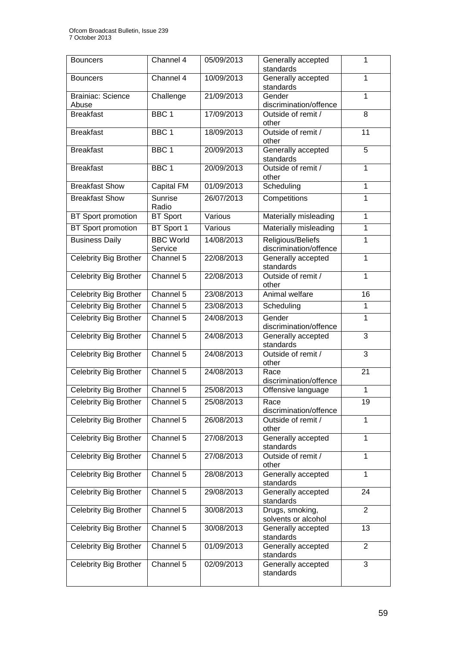| <b>Bouncers</b>                   | $Channel$ 4                 | 05/09/2013 | Generally accepted<br>standards             | 1              |
|-----------------------------------|-----------------------------|------------|---------------------------------------------|----------------|
| <b>Bouncers</b>                   | Channel 4                   | 10/09/2013 | Generally accepted<br>standards             | $\mathbf{1}$   |
| <b>Brainiac: Science</b><br>Abuse | Challenge                   | 21/09/2013 | Gender<br>discrimination/offence            | $\mathbf{1}$   |
| <b>Breakfast</b>                  | BBC <sub>1</sub>            | 17/09/2013 | Outside of remit /<br>other                 | 8              |
| <b>Breakfast</b>                  | BBC <sub>1</sub>            | 18/09/2013 | Outside of remit /<br>other                 | 11             |
| <b>Breakfast</b>                  | BBC <sub>1</sub>            | 20/09/2013 | Generally accepted<br>standards             | $\overline{5}$ |
| <b>Breakfast</b>                  | BBC <sub>1</sub>            | 20/09/2013 | Outside of remit /<br>other                 | $\mathbf{1}$   |
| <b>Breakfast Show</b>             | <b>Capital FM</b>           | 01/09/2013 | Scheduling                                  | $\overline{1}$ |
| <b>Breakfast Show</b>             | Sunrise<br>Radio            | 26/07/2013 | Competitions                                | 1              |
| <b>BT Sport promotion</b>         | <b>BT Sport</b>             | Various    | Materially misleading                       | $\mathbf{1}$   |
| <b>BT</b> Sport promotion         | BT Sport 1                  | Various    | Materially misleading                       | $\mathbf{1}$   |
| <b>Business Daily</b>             | <b>BBC</b> World<br>Service | 14/08/2013 | Religious/Beliefs<br>discrimination/offence | $\mathbf{1}$   |
| <b>Celebrity Big Brother</b>      | Channel 5                   | 22/08/2013 | Generally accepted<br>standards             | $\mathbf{1}$   |
| <b>Celebrity Big Brother</b>      | Channel 5                   | 22/08/2013 | Outside of remit /<br>other                 | $\mathbf{1}$   |
| <b>Celebrity Big Brother</b>      | Channel 5                   | 23/08/2013 | Animal welfare                              | 16             |
| Celebrity Big Brother             | Channel 5                   | 23/08/2013 | Scheduling                                  | $\mathbf{1}$   |
| Celebrity Big Brother             | Channel 5                   | 24/08/2013 | Gender<br>discrimination/offence            | 1              |
| Celebrity Big Brother             | Channel 5                   | 24/08/2013 | Generally accepted<br>standards             | $\overline{3}$ |
| <b>Celebrity Big Brother</b>      | Channel 5                   | 24/08/2013 | Outside of remit /<br>other                 | $\overline{3}$ |
| Celebrity Big Brother             | Channel 5                   | 24/08/2013 | 21<br>Race<br>discrimination/offence        |                |
| Celebrity Big Brother             | Channel 5                   | 25/08/2013 | Offensive language                          | $\mathbf{1}$   |
| <b>Celebrity Big Brother</b>      | Channel 5                   | 25/08/2013 | Race<br>discrimination/offence              | 19             |
| Celebrity Big Brother             | Channel 5                   | 26/08/2013 | Outside of remit /<br>other                 | $\overline{1}$ |
| Celebrity Big Brother             | Channel 5                   | 27/08/2013 | Generally accepted<br>standards             | $\mathbf{1}$   |
| Celebrity Big Brother             | Channel 5                   | 27/08/2013 | Outside of remit /<br>other                 | $\mathbf{1}$   |
| Celebrity Big Brother             | Channel 5                   | 28/08/2013 | Generally accepted<br>standards             | $\mathbf{1}$   |
| Celebrity Big Brother             | Channel 5                   | 29/08/2013 | Generally accepted<br>standards             | 24             |
| Celebrity Big Brother             | Channel 5                   | 30/08/2013 | Drugs, smoking,<br>solvents or alcohol      | 2              |
| Celebrity Big Brother             | Channel 5                   | 30/08/2013 | Generally accepted<br>standards             | 13             |
| Celebrity Big Brother             | Channel 5                   | 01/09/2013 | Generally accepted<br>standards             | 2              |
| Celebrity Big Brother             | Channel 5                   | 02/09/2013 | Generally accepted<br>standards             | $\overline{3}$ |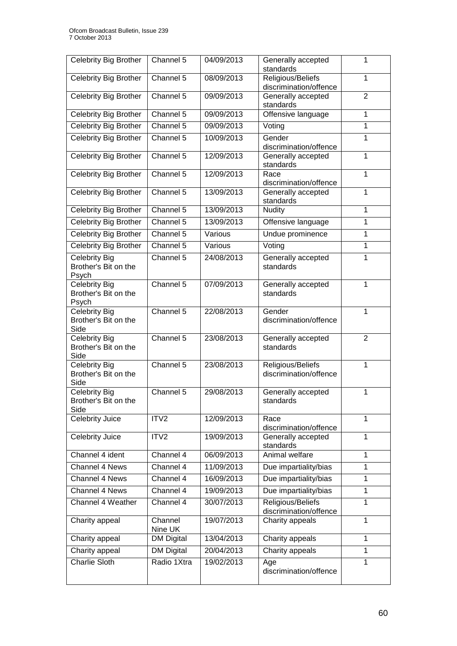| Celebrity Big Brother                        | Channel 5                    | 04/09/2013 | Generally accepted                          | 1              |
|----------------------------------------------|------------------------------|------------|---------------------------------------------|----------------|
|                                              |                              |            | standards                                   |                |
| <b>Celebrity Big Brother</b>                 | Channel 5                    | 08/09/2013 | Religious/Beliefs<br>discrimination/offence | 1              |
| <b>Celebrity Big Brother</b>                 | Channel 5                    | 09/09/2013 | Generally accepted                          | 2              |
|                                              |                              |            | standards                                   |                |
| <b>Celebrity Big Brother</b>                 | Channel 5                    | 09/09/2013 | Offensive language                          | 1              |
| Celebrity Big Brother                        | Channel 5                    | 09/09/2013 | Voting                                      | 1              |
| Celebrity Big Brother                        | Channel 5                    | 10/09/2013 | Gender                                      | 1              |
|                                              | Channel 5                    | 12/09/2013 | discrimination/offence                      |                |
| Celebrity Big Brother                        |                              |            | Generally accepted<br>standards             | 1              |
| <b>Celebrity Big Brother</b>                 | Channel 5                    | 12/09/2013 | Race                                        | 1              |
|                                              |                              |            | discrimination/offence                      |                |
| Celebrity Big Brother                        | Channel 5                    | 13/09/2013 | Generally accepted<br>standards             | 1              |
| Celebrity Big Brother                        | Channel 5                    | 13/09/2013 | <b>Nudity</b>                               | 1              |
| Celebrity Big Brother                        | Channel 5                    | 13/09/2013 | Offensive language                          | 1              |
| <b>Celebrity Big Brother</b>                 | Channel 5                    | Various    | Undue prominence                            | $\mathbf{1}$   |
| Celebrity Big Brother                        | Channel 5                    | Various    | Voting                                      | $\overline{1}$ |
| <b>Celebrity Big</b>                         | Channel 5                    | 24/08/2013 | Generally accepted                          | 1              |
| Brother's Bit on the                         |                              |            | standards                                   |                |
| Psych                                        | Channel 5                    |            |                                             |                |
| <b>Celebrity Big</b><br>Brother's Bit on the |                              | 07/09/2013 | Generally accepted<br>standards             | 1              |
| Psych                                        |                              |            |                                             |                |
| Celebrity Big                                | Channel 5                    | 22/08/2013 | Gender                                      | 1              |
| Brother's Bit on the<br>Side                 |                              |            | discrimination/offence                      |                |
| <b>Celebrity Big</b>                         | Channel 5                    | 23/08/2013 | Generally accepted                          | 2              |
| Brother's Bit on the                         |                              |            | standards                                   |                |
| Side                                         |                              |            |                                             |                |
| <b>Celebrity Big</b><br>Brother's Bit on the | Channel 5                    | 23/08/2013 | Religious/Beliefs<br>discrimination/offence | 1              |
| Side                                         |                              |            |                                             |                |
| <b>Celebrity Big</b>                         | Channel 5                    | 29/08/2013 | Generally accepted                          | 1              |
| Brother's Bit on the                         |                              |            | standards                                   |                |
| Side<br>Celebrity Juice                      | ITV <sub>2</sub>             | 12/09/2013 | Race                                        | 1              |
|                                              |                              |            | discrimination/offence                      |                |
| Celebrity Juice                              | ITV2                         | 19/09/2013 | Generally accepted<br>standards             | 1              |
| Channel 4 ident                              | Channel 4                    | 06/09/2013 | Animal welfare                              | 1              |
| Channel 4 News                               | Channel 4                    | 11/09/2013 | Due impartiality/bias                       | 1              |
| Channel 4 News                               | Channel 4                    | 16/09/2013 | Due impartiality/bias                       | 1              |
| Channel 4 News                               | Channel 4                    | 19/09/2013 | Due impartiality/bias                       | 1              |
| Channel 4 Weather                            | Channel 4                    | 30/07/2013 | Religious/Beliefs                           | 1              |
|                                              |                              |            | discrimination/offence                      |                |
| Charity appeal                               | Channel                      | 19/07/2013 | Charity appeals                             | 1              |
| Charity appeal                               | Nine UK<br><b>DM Digital</b> | 13/04/2013 | Charity appeals                             | 1              |
| Charity appeal                               | <b>DM Digital</b>            | 20/04/2013 | Charity appeals                             | 1              |
| <b>Charlie Sloth</b>                         | Radio 1Xtra                  | 19/02/2013 | Age                                         | 1              |
|                                              |                              |            | discrimination/offence                      |                |
|                                              |                              |            |                                             |                |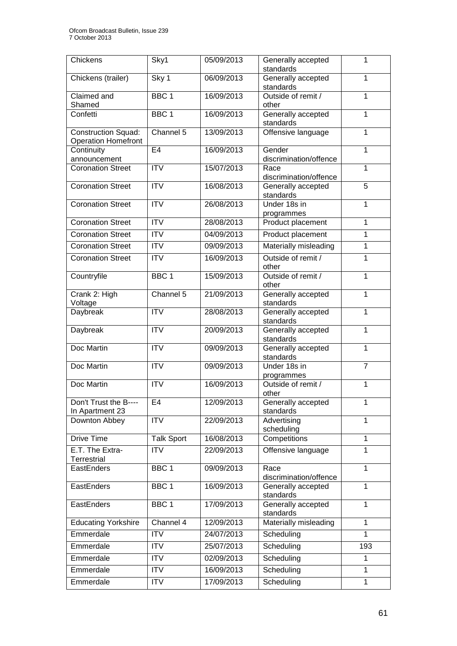| Chickens                       | Sky1                    | 05/09/2013 | Generally accepted                           | 1              |
|--------------------------------|-------------------------|------------|----------------------------------------------|----------------|
|                                |                         |            | standards                                    |                |
| Chickens (trailer)             | Sky 1                   | 06/09/2013 | Generally accepted                           | 1              |
|                                |                         |            | standards                                    |                |
| Claimed and                    | BBC <sub>1</sub>        | 16/09/2013 | Outside of remit /                           | 1              |
| Shamed<br>Confetti             | BBC <sub>1</sub>        | 16/09/2013 | other<br>Generally accepted                  | 1              |
|                                |                         |            | standards                                    |                |
| <b>Construction Squad:</b>     | Channel 5               | 13/09/2013 | Offensive language                           | 1              |
| <b>Operation Homefront</b>     |                         |            |                                              |                |
| Continuity                     | E <sub>4</sub>          | 16/09/2013 | Gender                                       | 1              |
| announcement                   |                         |            | discrimination/offence                       |                |
| <b>Coronation Street</b>       | $\overline{\text{ITV}}$ | 15/07/2013 | Race                                         | 1              |
| <b>Coronation Street</b>       | <b>ITV</b>              | 16/08/2013 | discrimination/offence<br>Generally accepted | $\overline{5}$ |
|                                |                         |            | standards                                    |                |
| <b>Coronation Street</b>       | <b>ITV</b>              | 26/08/2013 | Under 18s in                                 | 1              |
|                                |                         |            | programmes                                   |                |
| <b>Coronation Street</b>       | <b>ITV</b>              | 28/08/2013 | Product placement                            | 1              |
| <b>Coronation Street</b>       | <b>ITV</b>              | 04/09/2013 | Product placement                            | $\mathbf{1}$   |
| <b>Coronation Street</b>       | <b>ITV</b>              | 09/09/2013 | Materially misleading                        | 1              |
| <b>Coronation Street</b>       | $\overline{IV}$         | 16/09/2013 | Outside of remit /                           | 1              |
|                                |                         |            | other                                        |                |
| Countryfile                    | BBC <sub>1</sub>        | 15/09/2013 | Outside of remit /                           | 1              |
|                                |                         |            | other                                        |                |
| Crank 2: High                  | Channel 5               | 21/09/2013 | Generally accepted                           | 1              |
| Voltage                        | <b>ITV</b>              | 28/08/2013 | standards                                    | 1              |
| Daybreak                       |                         |            | Generally accepted<br>standards              |                |
| Daybreak                       | <b>ITV</b>              | 20/09/2013 | Generally accepted                           | 1              |
|                                |                         |            | standards                                    |                |
| Doc Martin                     | <b>ITV</b>              | 09/09/2013 | Generally accepted                           | 1              |
|                                |                         |            | standards                                    |                |
| Doc Martin                     | <b>ITV</b>              | 09/09/2013 | Under 18s in                                 | $\overline{7}$ |
| Doc Martin                     | <b>ITV</b>              | 16/09/2013 | programmes<br>Outside of remit /             | 1              |
|                                |                         |            | other                                        |                |
| Don't Trust the B----          | E4                      | 12/09/2013 | Generally accepted                           | 1              |
| In Apartment 23                |                         |            | standards                                    |                |
| Downton Abbey                  | <b>ITV</b>              | 22/09/2013 | Advertising                                  | 1              |
|                                |                         |            | scheduling                                   | 1              |
| Drive Time                     | <b>Talk Sport</b>       | 16/08/2013 | Competitions                                 |                |
| E.T. The Extra-<br>Terrestrial | <b>ITV</b>              | 22/09/2013 | Offensive language                           | 1              |
| EastEnders                     | BBC <sub>1</sub>        | 09/09/2013 | Race                                         | 1              |
|                                |                         |            | discrimination/offence                       |                |
| EastEnders                     | BBC <sub>1</sub>        | 16/09/2013 | Generally accepted                           | 1              |
|                                |                         |            | standards                                    |                |
| EastEnders                     | BBC <sub>1</sub>        | 17/09/2013 | Generally accepted                           | 1              |
|                                |                         |            | standards                                    |                |
| <b>Educating Yorkshire</b>     | Channel 4               | 12/09/2013 | Materially misleading                        | 1              |
| Emmerdale                      | <b>ITV</b>              | 24/07/2013 | Scheduling                                   | 1              |
| Emmerdale                      | <b>ITV</b>              | 25/07/2013 | Scheduling                                   | 193            |
| Emmerdale                      | <b>ITV</b>              | 02/09/2013 | Scheduling                                   | 1              |
| Emmerdale                      | <b>ITV</b>              | 16/09/2013 | Scheduling                                   | 1              |
| Emmerdale                      | <b>ITV</b>              | 17/09/2013 | Scheduling                                   | $\mathbf{1}$   |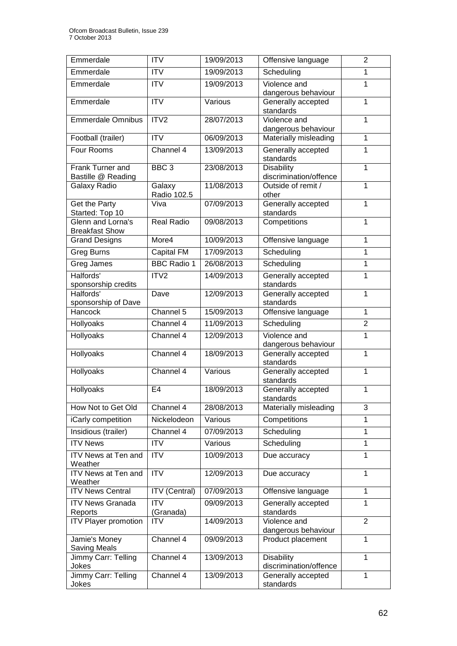| Emmerdale                                  | <b>ITV</b>              | 19/09/2013 | Offensive language                          | $\overline{2}$ |
|--------------------------------------------|-------------------------|------------|---------------------------------------------|----------------|
| Emmerdale                                  | <b>ITV</b>              | 19/09/2013 | Scheduling                                  | 1              |
| Emmerdale                                  | <b>ITV</b>              | 19/09/2013 | Violence and<br>dangerous behaviour         | 1              |
| Emmerdale                                  | <b>ITV</b>              | Various    | Generally accepted<br>standards             | 1              |
| <b>Emmerdale Omnibus</b>                   | ITV <sub>2</sub>        | 28/07/2013 | Violence and<br>dangerous behaviour         | 1              |
| Football (trailer)                         | <b>ITV</b>              | 06/09/2013 | Materially misleading                       | $\mathbf{1}$   |
| Four Rooms                                 | Channel 4               | 13/09/2013 | Generally accepted<br>standards             | 1              |
| Frank Turner and<br>Bastille @ Reading     | BBC <sub>3</sub>        | 23/08/2013 | <b>Disability</b><br>discrimination/offence | 1              |
| Galaxy Radio                               | Galaxy<br>Radio 102.5   | 11/08/2013 | Outside of remit /<br>other                 | 1              |
| Get the Party<br>Started: Top 10           | Viva                    | 07/09/2013 | Generally accepted<br>standards             | 1              |
| Glenn and Lorna's<br><b>Breakfast Show</b> | <b>Real Radio</b>       | 09/08/2013 | Competitions                                | 1              |
| <b>Grand Designs</b>                       | More4                   | 10/09/2013 | Offensive language                          | 1              |
| <b>Greg Burns</b>                          | Capital FM              | 17/09/2013 | Scheduling                                  | 1              |
| Greg James                                 | <b>BBC Radio 1</b>      | 26/08/2013 | Scheduling                                  | 1              |
| Halfords'<br>sponsorship credits           | ITV <sub>2</sub>        | 14/09/2013 | Generally accepted<br>standards             | 1              |
| Halfords'<br>sponsorship of Dave           | Dave                    | 12/09/2013 | Generally accepted<br>standards             | 1              |
| Hancock                                    | Channel 5               | 15/09/2013 | Offensive language                          | $\mathbf{1}$   |
| Hollyoaks                                  | Channel 4               | 11/09/2013 | Scheduling                                  | $\overline{2}$ |
| Hollyoaks                                  | Channel 4               | 12/09/2013 | Violence and<br>dangerous behaviour         | 1              |
| Hollyoaks                                  | Channel 4               | 18/09/2013 | Generally accepted<br>standards             | 1              |
| Hollyoaks                                  | Channel 4               | Various    | Generally accepted<br>standards             | 1              |
| Hollyoaks                                  | E <sub>4</sub>          | 18/09/2013 | Generally accepted<br>standards             | 1              |
| How Not to Get Old                         | Channel 4               | 28/08/2013 | Materially misleading                       | 3              |
| iCarly competition                         | Nickelodeon             | Various    | Competitions                                | 1              |
| Insidious (trailer)                        | Channel 4               | 07/09/2013 | Scheduling                                  | 1              |
| <b>ITV News</b>                            | <b>ITV</b>              | Various    | Scheduling                                  | 1              |
| <b>ITV News at Ten and</b><br>Weather      | <b>ITV</b>              | 10/09/2013 | Due accuracy                                | 1              |
| <b>ITV News at Ten and</b><br>Weather      | <b>ITV</b>              | 12/09/2013 | Due accuracy                                | 1              |
| <b>ITV News Central</b>                    | <b>ITV</b> (Central)    | 07/09/2013 | Offensive language                          | 1              |
| <b>ITV News Granada</b><br>Reports         | <b>ITV</b><br>(Granada) | 09/09/2013 | Generally accepted<br>standards             | 1              |
| <b>ITV Player promotion</b>                | <b>ITV</b>              | 14/09/2013 | Violence and<br>dangerous behaviour         | 2              |
| Jamie's Money<br><b>Saving Meals</b>       | Channel 4               | 09/09/2013 | Product placement                           | 1              |
| Jimmy Carr: Telling<br>Jokes               | Channel 4               | 13/09/2013 | <b>Disability</b><br>discrimination/offence | 1              |
| Jimmy Carr: Telling<br>Jokes               | Channel 4               | 13/09/2013 | Generally accepted<br>standards             | 1              |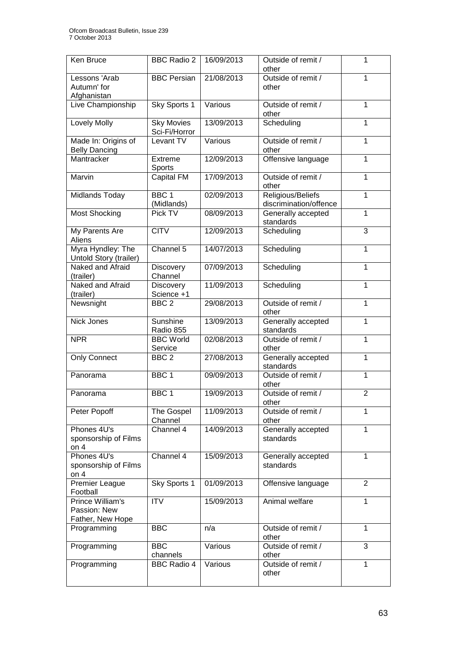| Ken Bruce                                            | <b>BBC Radio 2</b>                 | 16/09/2013 | Outside of remit /<br>other                 | 1              |
|------------------------------------------------------|------------------------------------|------------|---------------------------------------------|----------------|
| Lessons 'Arab<br>Autumn' for<br>Afghanistan          | <b>BBC Persian</b>                 | 21/08/2013 | Outside of remit /<br>other                 | 1              |
| Live Championship                                    | Sky Sports 1                       | Various    | Outside of remit /<br>other                 | 1              |
| <b>Lovely Molly</b>                                  | <b>Sky Movies</b><br>Sci-Fi/Horror | 13/09/2013 | Scheduling                                  | 1              |
| Made In: Origins of<br><b>Belly Dancing</b>          | Levant TV                          | Various    | Outside of remit /<br>other                 | 1              |
| Mantracker                                           | Extreme<br>Sports                  | 12/09/2013 | Offensive language                          | 1              |
| Marvin                                               | <b>Capital FM</b>                  | 17/09/2013 | Outside of remit /<br>other                 | 1              |
| Midlands Today                                       | BBC <sub>1</sub><br>(Midlands)     | 02/09/2013 | Religious/Beliefs<br>discrimination/offence | $\mathbf{1}$   |
| <b>Most Shocking</b>                                 | Pick TV                            | 08/09/2013 | Generally accepted<br>standards             | 1              |
| My Parents Are<br>Aliens                             | <b>CITV</b>                        | 12/09/2013 | Scheduling                                  | $\overline{3}$ |
| Myra Hyndley: The<br>Untold Story (trailer)          | Channel 5                          | 14/07/2013 | Scheduling                                  | 1              |
| Naked and Afraid<br>(trailer)                        | Discovery<br>Channel               | 07/09/2013 | Scheduling                                  | $\mathbf{1}$   |
| Naked and Afraid<br>(trailer)                        | Discovery<br>Science +1            | 11/09/2013 | Scheduling                                  | 1              |
| Newsnight                                            | BBC <sub>2</sub>                   | 29/08/2013 | Outside of remit /<br>other                 | 1              |
| <b>Nick Jones</b>                                    | Sunshine<br>Radio 855              | 13/09/2013 | Generally accepted<br>standards             | 1              |
| <b>NPR</b>                                           | <b>BBC World</b><br>Service        | 02/08/2013 | Outside of remit /<br>other                 | 1              |
| <b>Only Connect</b>                                  | BBC <sub>2</sub>                   | 27/08/2013 | Generally accepted<br>standards             | 1              |
| Panorama                                             | BBC <sub>1</sub>                   | 09/09/2013 | Outside of remit /<br>other                 | 1              |
| Panorama                                             | BBC <sub>1</sub>                   | 19/09/2013 | Outside of remit /<br>other                 | $\overline{2}$ |
| Peter Popoff                                         | The Gospel<br>Channel              | 11/09/2013 | Outside of remit /<br>other                 | 1              |
| Phones 4U's<br>sponsorship of Films<br>on $4$        | Channel 4                          | 14/09/2013 | Generally accepted<br>standards             | 1              |
| Phones 4U's<br>sponsorship of Films<br>on $4$        | Channel 4                          | 15/09/2013 | Generally accepted<br>standards             | 1              |
| Premier League<br>Football                           | Sky Sports 1                       | 01/09/2013 | Offensive language                          | $\overline{2}$ |
| Prince William's<br>Passion: New<br>Father, New Hope | <b>ITV</b>                         | 15/09/2013 | Animal welfare                              | $\mathbf{1}$   |
| Programming                                          | <b>BBC</b>                         | n/a        | Outside of remit /<br>other                 | 1              |
| Programming                                          | <b>BBC</b><br>channels             | Various    | Outside of remit /<br>other                 | 3              |
| Programming                                          | <b>BBC Radio 4</b>                 | Various    | Outside of remit /<br>other                 | 1              |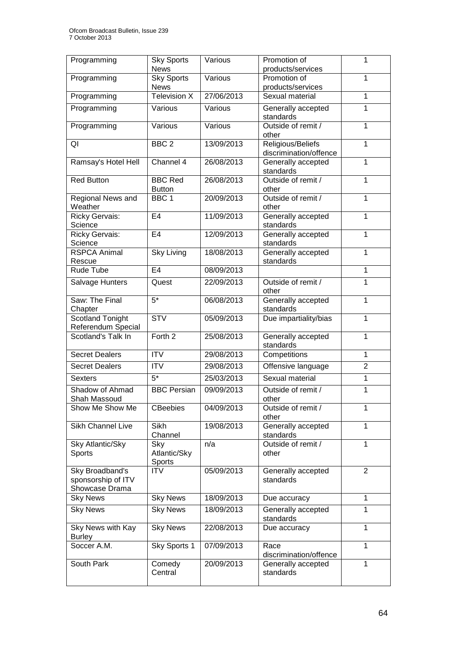| Programming                                             | <b>Sky Sports</b><br><b>News</b> | Various    | Promotion of<br>products/services           | 1              |
|---------------------------------------------------------|----------------------------------|------------|---------------------------------------------|----------------|
| Programming                                             | <b>Sky Sports</b><br><b>News</b> | Various    | Promotion of<br>products/services           | 1              |
| Programming                                             | <b>Television X</b>              | 27/06/2013 | Sexual material                             | 1              |
| Programming                                             | Various                          | Various    | Generally accepted<br>standards             | 1              |
| Programming                                             | Various                          | Various    | Outside of remit /<br>other                 | 1              |
| QI                                                      | BBC <sub>2</sub>                 | 13/09/2013 | Religious/Beliefs<br>discrimination/offence | $\mathbf{1}$   |
| Ramsay's Hotel Hell                                     | Channel 4                        | 26/08/2013 | Generally accepted<br>standards             | 1              |
| <b>Red Button</b>                                       | <b>BBC Red</b><br><b>Button</b>  | 26/08/2013 | Outside of remit /<br>other                 | 1              |
| Regional News and<br>Weather                            | BBC <sub>1</sub>                 | 20/09/2013 | Outside of remit /<br>other                 | $\mathbf{1}$   |
| <b>Ricky Gervais:</b><br>Science                        | E <sub>4</sub>                   | 11/09/2013 | Generally accepted<br>standards             | 1              |
| <b>Ricky Gervais:</b><br>Science                        | E <sub>4</sub>                   | 12/09/2013 | Generally accepted<br>standards             | 1              |
| <b>RSPCA Animal</b><br>Rescue                           | <b>Sky Living</b>                | 18/08/2013 | Generally accepted<br>standards             | 1              |
| Rude Tube                                               | E <sub>4</sub>                   | 08/09/2013 |                                             | 1              |
| Salvage Hunters                                         | Quest                            | 22/09/2013 | Outside of remit /<br>other                 | $\mathbf{1}$   |
| Saw: The Final<br>Chapter                               | $\overline{5^*}$                 | 06/08/2013 | Generally accepted<br>standards             | 1              |
| <b>Scotland Tonight</b><br>Referendum Special           | $\overline{\text{STV}}$          | 05/09/2013 | Due impartiality/bias                       | 1              |
| Scotland's Talk In                                      | Forth <sub>2</sub>               | 25/08/2013 | Generally accepted<br>standards             | 1              |
| <b>Secret Dealers</b>                                   | <b>ITV</b>                       | 29/08/2013 | Competitions                                | $\mathbf{1}$   |
| <b>Secret Dealers</b>                                   | <b>ITV</b>                       | 29/08/2013 | Offensive language                          | $\overline{2}$ |
| <b>Sexters</b>                                          | $\overline{5^*}$                 | 25/03/2013 | Sexual material                             | $\overline{1}$ |
| Shadow of Ahmad<br>Shah Massoud                         | <b>BBC Persian</b>               | 09/09/2013 | Outside of remit /<br>other                 | 1              |
| Show Me Show Me                                         | <b>CBeebies</b>                  | 04/09/2013 | Outside of remit /<br>other                 | 1              |
| Sikh Channel Live                                       | Sikh<br>Channel                  | 19/08/2013 | Generally accepted<br>standards             | 1              |
| Sky Atlantic/Sky<br>Sports                              | Sky<br>Atlantic/Sky<br>Sports    | n/a        | Outside of remit /<br>other                 | $\mathbf{1}$   |
| Sky Broadband's<br>sponsorship of ITV<br>Showcase Drama | <b>ITV</b>                       | 05/09/2013 | Generally accepted<br>standards             | 2              |
| <b>Sky News</b>                                         | <b>Sky News</b>                  | 18/09/2013 | Due accuracy                                | $\mathbf{1}$   |
| <b>Sky News</b>                                         | <b>Sky News</b>                  | 18/09/2013 | Generally accepted<br>standards             | 1              |
| Sky News with Kay<br><b>Burley</b>                      | <b>Sky News</b>                  | 22/08/2013 | Due accuracy                                | 1              |
| Soccer A.M.                                             | Sky Sports 1                     | 07/09/2013 | Race<br>discrimination/offence              | $\mathbf{1}$   |
| South Park                                              | Comedy<br>Central                | 20/09/2013 | Generally accepted<br>standards             | 1              |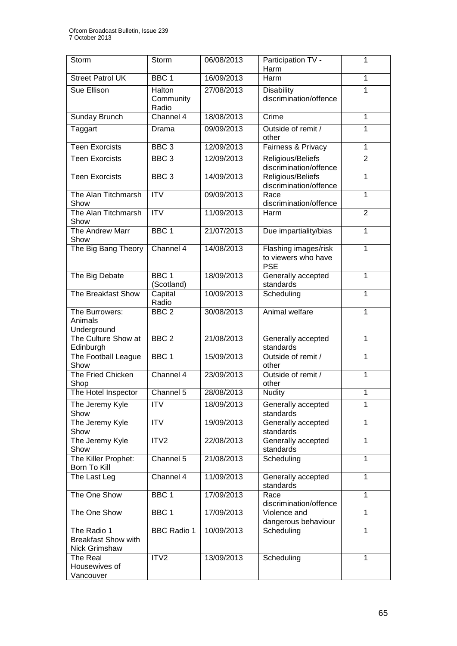| Storm                                                      | Storm                          | 06/08/2013 | Participation TV -                                        | 1              |
|------------------------------------------------------------|--------------------------------|------------|-----------------------------------------------------------|----------------|
|                                                            |                                |            | Harm                                                      |                |
| <b>Street Patrol UK</b>                                    | BBC <sub>1</sub>               | 16/09/2013 | Harm                                                      | 1              |
| Sue Ellison                                                | Halton<br>Community<br>Radio   | 27/08/2013 | <b>Disability</b><br>discrimination/offence               | 1              |
| Sunday Brunch                                              | Channel 4                      | 18/08/2013 | Crime                                                     | $\mathbf{1}$   |
| Taggart                                                    | Drama                          | 09/09/2013 | Outside of remit /<br>other                               | 1              |
| <b>Teen Exorcists</b>                                      | BBC <sub>3</sub>               | 12/09/2013 | Fairness & Privacy                                        | $\mathbf{1}$   |
| <b>Teen Exorcists</b>                                      | BBC <sub>3</sub>               | 12/09/2013 | Religious/Beliefs<br>discrimination/offence               | 2              |
| <b>Teen Exorcists</b>                                      | BBC <sub>3</sub>               | 14/09/2013 | Religious/Beliefs<br>discrimination/offence               | $\mathbf{1}$   |
| The Alan Titchmarsh<br>Show                                | $\overline{IV}$                | 09/09/2013 | Race<br>discrimination/offence                            | 1              |
| The Alan Titchmarsh<br>Show                                | $\overline{\text{ITV}}$        | 11/09/2013 | Harm                                                      | $\overline{2}$ |
| The Andrew Marr<br>Show                                    | BBC <sub>1</sub>               | 21/07/2013 | Due impartiality/bias                                     | $\mathbf{1}$   |
| The Big Bang Theory                                        | Channel 4                      | 14/08/2013 | Flashing images/risk<br>to viewers who have<br><b>PSE</b> | $\mathbf{1}$   |
| The Big Debate                                             | BBC <sub>1</sub><br>(Scotland) | 18/09/2013 | Generally accepted<br>standards                           | $\mathbf{1}$   |
| The Breakfast Show                                         | Capital<br>Radio               | 10/09/2013 | Scheduling                                                | 1              |
| The Burrowers:<br>Animals<br>Underground                   | BBC <sub>2</sub>               | 30/08/2013 | Animal welfare                                            | 1              |
| The Culture Show at<br>Edinburgh                           | BBC <sub>2</sub>               | 21/08/2013 | Generally accepted<br>standards                           | 1              |
| The Football League<br>Show                                | BBC <sub>1</sub>               | 15/09/2013 | Outside of remit /<br>other                               | $\mathbf{1}$   |
| The Fried Chicken<br>Shop                                  | Channel 4                      | 23/09/2013 | Outside of remit /<br>other                               | $\mathbf{1}$   |
| The Hotel Inspector                                        | Channel 5                      | 28/08/2013 | <b>Nudity</b>                                             | $\overline{1}$ |
| The Jeremy Kyle<br>Show                                    | <b>ITV</b>                     | 18/09/2013 | Generally accepted<br>standards                           | 1              |
| The Jeremy Kyle<br>Show                                    | <b>ITV</b>                     | 19/09/2013 | Generally accepted<br>standards                           | 1              |
| The Jeremy Kyle<br>Show                                    | ITV <sub>2</sub>               | 22/08/2013 | Generally accepted<br>standards                           | 1              |
| The Killer Prophet:<br>Born To Kill                        | Channel 5                      | 21/08/2013 | Scheduling                                                | 1              |
| The Last Leg                                               | Channel 4                      | 11/09/2013 | Generally accepted<br>standards                           | 1              |
| The One Show                                               | BBC <sub>1</sub>               | 17/09/2013 | Race<br>discrimination/offence                            | 1              |
| The One Show                                               | BBC 1                          | 17/09/2013 | Violence and<br>dangerous behaviour                       | 1              |
| The Radio 1<br><b>Breakfast Show with</b><br>Nick Grimshaw | <b>BBC Radio 1</b>             | 10/09/2013 | Scheduling                                                | 1              |
| The Real<br>Housewives of<br>Vancouver                     | ITV2                           | 13/09/2013 | Scheduling                                                | 1              |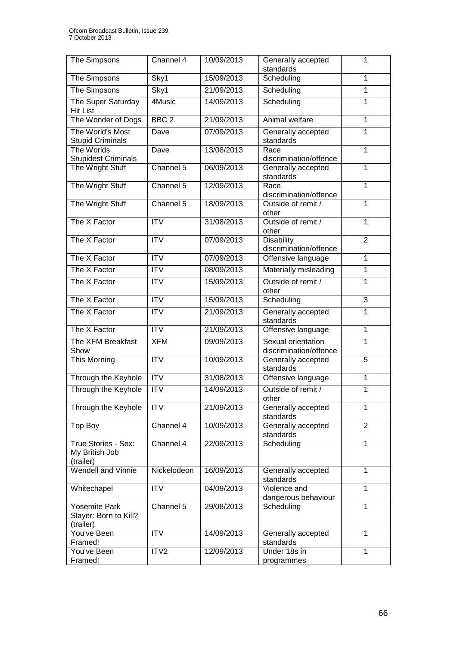| The Simpsons                                               | Channel 4               | 10/09/2013 | Generally accepted<br>standards              | 1              |
|------------------------------------------------------------|-------------------------|------------|----------------------------------------------|----------------|
| The Simpsons                                               | Sky1                    | 15/09/2013 | Scheduling                                   | 1              |
| The Simpsons                                               | Sky1                    | 21/09/2013 | Scheduling                                   | 1              |
| The Super Saturday<br><b>Hit List</b>                      | 4Music                  | 14/09/2013 | Scheduling                                   | 1              |
| The Wonder of Dogs                                         | BBC <sub>2</sub>        | 21/09/2013 | Animal welfare                               | 1              |
| The World's Most                                           | Dave                    | 07/09/2013 | Generally accepted                           | 1              |
| <b>Stupid Criminals</b>                                    |                         |            | standards                                    |                |
| The Worlds<br><b>Stupidest Criminals</b>                   | Dave                    | 13/08/2013 | Race<br>discrimination/offence               | 1              |
| The Wright Stuff                                           | Channel 5               | 06/09/2013 | Generally accepted                           | 1              |
|                                                            |                         |            | standards                                    |                |
| The Wright Stuff                                           | Channel 5               | 12/09/2013 | Race<br>discrimination/offence               | 1              |
| The Wright Stuff                                           | Channel 5               | 18/09/2013 | Outside of remit /                           | 1              |
|                                                            |                         |            | other                                        |                |
| The X Factor                                               | $\overline{ITV}$        | 31/08/2013 | Outside of remit /                           | 1              |
| The X Factor                                               | <b>ITV</b>              | 07/09/2013 | other<br><b>Disability</b>                   | $\overline{2}$ |
|                                                            |                         |            | discrimination/offence                       |                |
| The X Factor                                               | <b>ITV</b>              | 07/09/2013 | Offensive language                           | 1              |
| The X Factor                                               | <b>ITV</b>              | 08/09/2013 | Materially misleading                        | 1              |
| The X Factor                                               | $\overline{ITV}$        | 15/09/2013 | Outside of remit /<br>other                  | 1              |
| The X Factor                                               | $\overline{\text{ITV}}$ | 15/09/2013 | Scheduling                                   | $\overline{3}$ |
| The $X$ Factor                                             | <b>ITV</b>              | 21/09/2013 | Generally accepted<br>standards              | 1              |
| The X Factor                                               | <b>ITV</b>              | 21/09/2013 | Offensive language                           | 1              |
| The XFM Breakfast<br>Show                                  | <b>XFM</b>              | 09/09/2013 | Sexual orientation<br>discrimination/offence | 1              |
| This Morning                                               | <b>ITV</b>              | 10/09/2013 | Generally accepted<br>standards              | 5              |
| Through the Keyhole                                        | <b>ITV</b>              | 31/08/2013 | Offensive language                           | 1              |
| Through the Keyhole                                        | $\overline{ITV}$        | 14/09/2013 | Outside of remit /<br>other                  | 1              |
| Through the Keyhole                                        | <b>ITV</b>              | 21/09/2013 | Generally accepted<br>standards              | 1              |
| Top Boy                                                    | Channel 4               | 10/09/2013 | Generally accepted<br>standards              | $\overline{2}$ |
| True Stories - Sex:<br>My British Job<br>(trailer)         | Channel 4               | 22/09/2013 | Scheduling                                   | 1              |
| Wendell and Vinnie                                         | Nickelodeon             | 16/09/2013 | Generally accepted<br>standards              | 1              |
| Whitechapel                                                | <b>ITV</b>              | 04/09/2013 | Violence and<br>dangerous behaviour          | 1              |
| <b>Yosemite Park</b><br>Slayer: Born to Kill?<br>(trailer) | Channel 5               | 29/08/2013 | Scheduling                                   | 1              |
| You've Been<br>Framed!                                     | <b>ITV</b>              | 14/09/2013 | Generally accepted<br>standards              | 1              |
| You've Been<br>Framed!                                     | ITV <sub>2</sub>        | 12/09/2013 | Under 18s in<br>programmes                   | 1              |